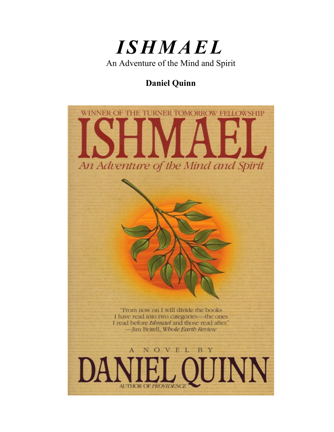

# **Daniel Quinn**

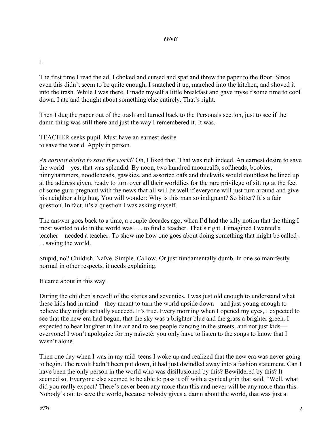1

The first time I read the ad, I choked and cursed and spat and threw the paper to the floor. Since even this didn't seem to be quite enough, I snatched it up, marched into the kitchen, and shoved it into the trash. While I was there, I made myself a little breakfast and gave myself some time to cool down. I ate and thought about something else entirely. That's right.

Then I dug the paper out of the trash and turned back to the Personals section, just to see if the damn thing was still there and just the way I remembered it. It was.

TEACHER seeks pupil. Must have an earnest desire to save the world. Apply in person.

*An earnest desire to save the world!* Oh, I liked that. That was rich indeed. An earnest desire to save the world—yes, that was splendid. By noon, two hundred mooncalfs, softheads, boobies, ninnyhammers, noodleheads, gawkies, and assorted oafs and thickwits would doubtless be lined up at the address given, ready to turn over all their worldlies for the rare privilege of sitting at the feet of some guru pregnant with the news that all will be well if everyone will just turn around and give his neighbor a big hug. You will wonder: Why is this man so indignant? So bitter? It's a fair question. In fact, it's a question I was asking myself.

The answer goes back to a time, a couple decades ago, when I'd had the silly notion that the thing I most wanted to do in the world was . . . to find a teacher. That's right. I imagined I wanted a teacher—needed a teacher. To show me how one goes about doing something that might be called . . . saving the world.

Stupid, no? Childish. Naïve. Simple. Callow. Or just fundamentally dumb. In one so manifestly normal in other respects, it needs explaining.

It came about in this way.

During the children's revolt of the sixties and seventies, I was just old enough to understand what these kids had in mind—they meant to turn the world upside down—and just young enough to believe they might actually succeed. It's true. Every morning when I opened my eyes, I expected to see that the new era had begun, that the sky was a brighter blue and the grass a brighter green. I expected to hear laughter in the air and to see people dancing in the streets, and not just kids everyone! I won't apologize for my naïveté; you only have to listen to the songs to know that I wasn't alone.

Then one day when I was in my mid–teens I woke up and realized that the new era was never going to begin. The revolt hadn't been put down, it had just dwindled away into a fashion statement. Can I have been the only person in the world who was disillusioned by this? Bewildered by this? It seemed so. Everyone else seemed to be able to pass it off with a cynical grin that said, "Well, what did you really expect? There's never been any more than this and never will be any more than this. Nobody's out to save the world, because nobody gives a damn about the world, that was just a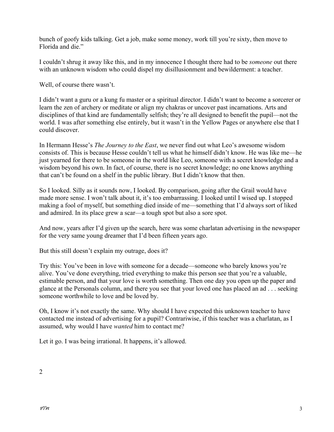bunch of goofy kids talking. Get a job, make some money, work till you're sixty, then move to Florida and die."

I couldn't shrug it away like this, and in my innocence I thought there had to be *someone* out there with an unknown wisdom who could dispel my disillusionment and bewilderment: a teacher.

Well, of course there wasn't.

I didn't want a guru or a kung fu master or a spiritual director. I didn't want to become a sorcerer or learn the zen of archery or meditate or align my chakras or uncover past incarnations. Arts and disciplines of that kind are fundamentally selfish; they're all designed to benefit the pupil—not the world. I was after something else entirely, but it wasn't in the Yellow Pages or anywhere else that I could discover.

In Hermann Hesse's *The Journey to the East*, we never find out what Leo's awesome wisdom consists of. This is because Hesse couldn't tell us what he himself didn't know. He was like me—he just yearned for there to be someone in the world like Leo, someone with a secret knowledge and a wisdom beyond his own. In fact, of course, there is no secret knowledge; no one knows anything that can't be found on a shelf in the public library. But I didn't know that then.

So I looked. Silly as it sounds now, I looked. By comparison, going after the Grail would have made more sense. I won't talk about it, it's too embarrassing. I looked until I wised up. I stopped making a fool of myself, but something died inside of me—something that I'd always sort of liked and admired. In its place grew a scar—a tough spot but also a sore spot.

And now, years after I'd given up the search, here was some charlatan advertising in the newspaper for the very same young dreamer that I'd been fifteen years ago.

But this still doesn't explain my outrage, does it?

Try this: You've been in love with someone for a decade—someone who barely knows you're alive. You've done everything, tried everything to make this person see that you're a valuable, estimable person, and that your love is worth something. Then one day you open up the paper and glance at the Personals column, and there you see that your loved one has placed an ad . . . seeking someone worthwhile to love and be loved by.

Oh, I know it's not exactly the same. Why should I have expected this unknown teacher to have contacted me instead of advertising for a pupil? Contrariwise, if this teacher was a charlatan, as I assumed, why would I have *wanted* him to contact me?

Let it go. I was being irrational. It happens, it's allowed.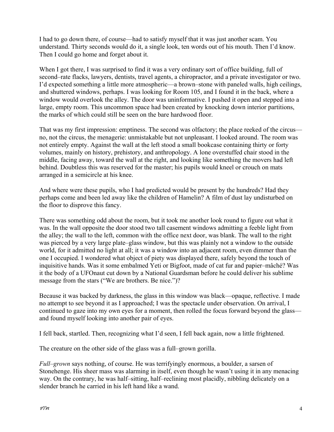I had to go down there, of course—had to satisfy myself that it was just another scam. You understand. Thirty seconds would do it, a single look, ten words out of his mouth. Then I'd know. Then I could go home and forget about it.

When I got there, I was surprised to find it was a very ordinary sort of office building, full of second–rate flacks, lawyers, dentists, travel agents, a chiropractor, and a private investigator or two. I'd expected something a little more atmospheric—a brown–stone with paneled walls, high ceilings, and shuttered windows, perhaps. I was looking for Room 105, and I found it in the back, where a window would overlook the alley. The door was uninformative. I pushed it open and stepped into a large, empty room. This uncommon space had been created by knocking down interior partitions, the marks of which could still be seen on the bare hardwood floor.

That was my first impression: emptiness. The second was olfactory; the place reeked of the circus no, not the circus, the menagerie: unmistakable but not unpleasant. I looked around. The room was not entirely empty. Against the wall at the left stood a small bookcase containing thirty or forty volumes, mainly on history, prehistory, and anthropology. A lone overstuffed chair stood in the middle, facing away, toward the wall at the right, and looking like something the movers had left behind. Doubtless this was reserved for the master; his pupils would kneel or crouch on mats arranged in a semicircle at his knee.

And where were these pupils, who I had predicted would be present by the hundreds? Had they perhaps come and been led away like the children of Hamelin? A film of dust lay undisturbed on the floor to disprove this fancy.

There was something odd about the room, but it took me another look round to figure out what it was. In the wall opposite the door stood two tall casement windows admitting a feeble light from the alley; the wall to the left, common with the office next door, was blank. The wall to the right was pierced by a very large plate–glass window, but this was plainly not a window to the outside world, for it admitted no light at all; it was a window into an adjacent room, even dimmer than the one I occupied. I wondered what object of piety was displayed there, safely beyond the touch of inquisitive hands. Was it some embalmed Yeti or Bigfoot, made of cat fur and papier–mâché? Was it the body of a UFOnaut cut down by a National Guardsman before he could deliver his sublime message from the stars ("We are brothers. Be nice.")?

Because it was backed by darkness, the glass in this window was black—opaque, reflective. I made no attempt to see beyond it as I approached; I was the spectacle under observation. On arrival, I continued to gaze into my own eyes for a moment, then rolled the focus forward beyond the glass and found myself looking into another pair of eyes.

I fell back, startled. Then, recognizing what I'd seen, I fell back again, now a little frightened.

The creature on the other side of the glass was a full–grown gorilla.

*Full–grown* says nothing, of course. He was terrifyingly enormous, a boulder, a sarsen of Stonehenge. His sheer mass was alarming in itself, even though he wasn't using it in any menacing way. On the contrary, he was half–sitting, half–reclining most placidly, nibbling delicately on a slender branch he carried in his left hand like a wand.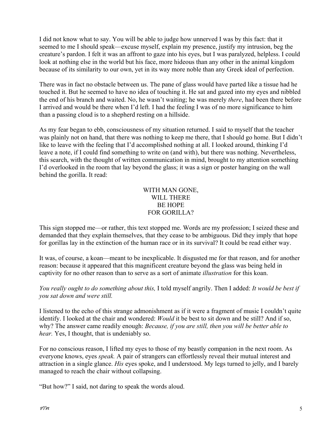I did not know what to say. You will be able to judge how unnerved I was by this fact: that it seemed to me I should speak—excuse myself, explain my presence, justify my intrusion, beg the creature's pardon. I felt it was an affront to gaze into his eyes, but I was paralyzed, helpless. I could look at nothing else in the world but his face, more hideous than any other in the animal kingdom because of its similarity to our own, yet in its way more noble than any Greek ideal of perfection.

There was in fact no obstacle between us. The pane of glass would have parted like a tissue had he touched it. But he seemed to have no idea of touching it. He sat and gazed into my eyes and nibbled the end of his branch and waited. No, he wasn't waiting; he was merely *there*, had been there before I arrived and would be there when I'd left. I had the feeling I was of no more significance to him than a passing cloud is to a shepherd resting on a hillside.

As my fear began to ebb, consciousness of my situation returned. I said to myself that the teacher was plainly not on hand, that there was nothing to keep me there, that I should go home. But I didn't like to leave with the feeling that I'd accomplished nothing at all. I looked around, thinking I'd leave a note, if I could find something to write on (and with), but there was nothing. Nevertheless, this search, with the thought of written communication in mind, brought to my attention something I'd overlooked in the room that lay beyond the glass; it was a sign or poster hanging on the wall behind the gorilla. It read:

#### WITH MAN GONE, WILL THERE BE HOPE FOR GORILLA?

This sign stopped me—or rather, this text stopped me. Words are my profession; I seized these and demanded that they explain themselves, that they cease to be ambiguous. Did they imply that hope for gorillas lay in the extinction of the human race or in its survival? It could be read either way.

It was, of course, a koan—meant to be inexplicable. It disgusted me for that reason, and for another reason: because it appeared that this magnificent creature beyond the glass was being held in captivity for no other reason than to serve as a sort of animate *illustration* for this koan.

*You really ought to do something about this,* I told myself angrily. Then I added: *It would be best if you sat down and were still.*

I listened to the echo of this strange admonishment as if it were a fragment of music I couldn't quite identify. I looked at the chair and wondered: *Would* it be best to sit down and be still? And if so, why? The answer came readily enough: *Because, if you are still, then you will be better able to hear.* Yes, I thought, that is undeniably so.

For no conscious reason, I lifted my eyes to those of my beastly companion in the next room. As everyone knows, eyes *speak.* A pair of strangers can effortlessly reveal their mutual interest and attraction in a single glance. *His* eyes spoke, and I understood. My legs turned to jelly, and I barely managed to reach the chair without collapsing.

"But how?" I said, not daring to speak the words aloud.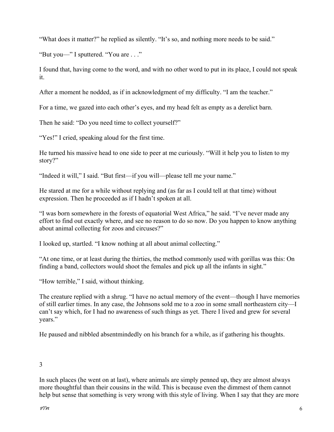"What does it matter?" he replied as silently. "It's so, and nothing more needs to be said."

"But you—" I sputtered. "You are . . ."

I found that, having come to the word, and with no other word to put in its place, I could not speak it.

After a moment he nodded, as if in acknowledgment of my difficulty. "I am the teacher."

For a time, we gazed into each other's eyes, and my head felt as empty as a derelict barn.

Then he said: "Do you need time to collect yourself?"

"Yes!" I cried, speaking aloud for the first time.

He turned his massive head to one side to peer at me curiously. "Will it help you to listen to my story?"

"Indeed it will," I said. "But first—if you will—please tell me your name."

He stared at me for a while without replying and (as far as I could tell at that time) without expression. Then he proceeded as if I hadn't spoken at all.

"I was born somewhere in the forests of equatorial West Africa," he said. "I've never made any effort to find out exactly where, and see no reason to do so now. Do you happen to know anything about animal collecting for zoos and circuses?"

I looked up, startled. "I know nothing at all about animal collecting."

"At one time, or at least during the thirties, the method commonly used with gorillas was this: On finding a band, collectors would shoot the females and pick up all the infants in sight."

"How terrible," I said, without thinking.

The creature replied with a shrug. "I have no actual memory of the event—though I have memories of still earlier times. In any case, the Johnsons sold me to a zoo in some small northeastern city—I can't say which, for I had no awareness of such things as yet. There I lived and grew for several years."

He paused and nibbled absentmindedly on his branch for a while, as if gathering his thoughts.

#### 3

In such places (he went on at last), where animals are simply penned up, they are almost always more thoughtful than their cousins in the wild. This is because even the dimmest of them cannot help but sense that something is very wrong with this style of living. When I say that they are more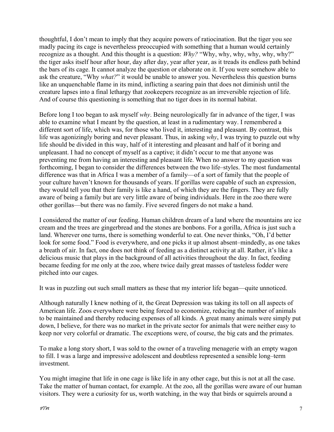thoughtful, I don't mean to imply that they acquire powers of ratiocination. But the tiger you see madly pacing its cage is nevertheless preoccupied with something that a human would certainly recognize as a thought. And this thought is a question: *Why?* "Why, why, why, why, why, why?" the tiger asks itself hour after hour, day after day, year after year, as it treads its endless path behind the bars of its cage. It cannot analyze the question or elaborate on it. If you were somehow able to ask the creature, "Why *what?*" it would be unable to answer you. Nevertheless this question burns like an unquenchable flame in its mind, inflicting a searing pain that does not diminish until the creature lapses into a final lethargy that zookeepers recognize as an irreversible rejection of life. And of course this questioning is something that no tiger does in its normal habitat.

Before long I too began to ask myself *why*. Being neurologically far in advance of the tiger, I was able to examine what I meant by the question, at least in a rudimentary way. I remembered a different sort of life, which was, for those who lived it, interesting and pleasant. By contrast, this life was agonizingly boring and never pleasant. Thus, in asking *why*, I was trying to puzzle out why life should be divided in this way, half of it interesting and pleasant and half of it boring and unpleasant. I had no concept of myself as a captive; it didn't occur to me that anyone was preventing me from having an interesting and pleasant life. When no answer to my question was forthcoming, I began to consider the differences between the two life–styles. The most fundamental difference was that in Africa I was a member of a family—of a sort of family that the people of your culture haven't known for thousands of years. If gorillas were capable of such an expression, they would tell you that their family is like a hand, of which they are the fingers. They are fully aware of being a family but are very little aware of being individuals. Here in the zoo there were other gorillas—but there was no family. Five severed fingers do not make a hand.

I considered the matter of our feeding. Human children dream of a land where the mountains are ice cream and the trees are gingerbread and the stones are bonbons. For a gorilla, Africa is just such a land. Wherever one turns, there is something wonderful to eat. One never thinks, "Oh, I'd better look for some food." Food is everywhere, and one picks it up almost absent–mindedly, as one takes a breath of air. In fact, one does not think of feeding as a distinct activity at all. Rather, it's like a delicious music that plays in the background of all activities throughout the day. In fact, feeding became feeding for me only at the zoo, where twice daily great masses of tasteless fodder were pitched into our cages.

It was in puzzling out such small matters as these that my interior life began—quite unnoticed.

Although naturally I knew nothing of it, the Great Depression was taking its toll on all aspects of American life. Zoos everywhere were being forced to economize, reducing the number of animals to be maintained and thereby reducing expenses of all kinds. A great many animals were simply put down, I believe, for there was no market in the private sector for animals that were neither easy to keep nor very colorful or dramatic. The exceptions were, of course, the big cats and the primates.

To make a long story short, I was sold to the owner of a traveling menagerie with an empty wagon to fill. I was a large and impressive adolescent and doubtless represented a sensible long–term investment.

You might imagine that life in one cage is like life in any other cage, but this is not at all the case. Take the matter of human contact, for example. At the zoo, all the gorillas were aware of our human visitors. They were a curiosity for us, worth watching, in the way that birds or squirrels around a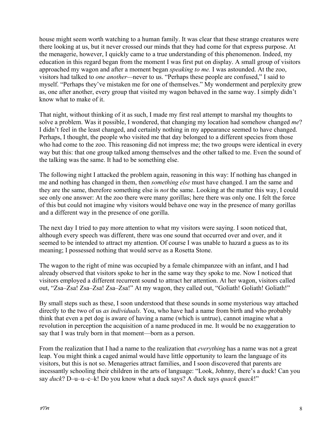house might seem worth watching to a human family. It was clear that these strange creatures were there looking at us, but it never crossed our minds that they had come for that express purpose. At the menagerie, however, I quickly came to a true understanding of this phenomenon. Indeed, my education in this regard began from the moment I was first put on display. A small group of visitors approached my wagon and after a moment began *speaking to me.* I was astounded. At the zoo, visitors had talked to *one another—*never to us. "Perhaps these people are confused," I said to myself. "Perhaps they've mistaken me for one of themselves." My wonderment and perplexity grew as, one after another, every group that visited my wagon behaved in the same way. I simply didn't know what to make of it.

That night, without thinking of it as such, I made my first real attempt to marshal my thoughts to solve a problem. Was it possible, I wondered, that changing my location had somehow changed *me*? I didn't feel in the least changed, and certainly nothing in my appearance seemed to have changed. Perhaps, I thought, the people who visited me that day belonged to a different species from those who had come to the zoo. This reasoning did not impress me; the two groups were identical in every way but this: that one group talked among themselves and the other talked to me. Even the sound of the talking was the same. It had to be something else.

The following night I attacked the problem again, reasoning in this way: If nothing has changed in me and nothing has changed in them, then *something else* must have changed. I am the same and they are the same, therefore something else is *not* the same. Looking at the matter this way, I could see only one answer: At the zoo there were many gorillas; here there was only one. I felt the force of this but could not imagine why visitors would behave one way in the presence of many gorillas and a different way in the presence of one gorilla.

The next day I tried to pay more attention to what my visitors were saying. I soon noticed that, although every speech was different, there was one sound that occurred over and over, and it seemed to be intended to attract my attention. Of course I was unable to hazard a guess as to its meaning; I possessed nothing that would serve as a Rosetta Stone.

The wagon to the right of mine was occupied by a female chimpanzee with an infant, and I had already observed that visitors spoke to her in the same way they spoke to me. Now I noticed that visitors employed a different recurrent sound to attract her attention. At her wagon, visitors called out, "Zsa–Zsa! Zsa–Zsa! Zsa–Zsa!" At my wagon, they called out, "Goliath! Goliath! Goliath!"

By small steps such as these, I soon understood that these sounds in some mysterious way attached directly to the two of us *as individuals.* You, who have had a name from birth and who probably think that even a pet dog is aware of having a name (which is untrue), cannot imagine what a revolution in perception the acquisition of a name produced in me. It would be no exaggeration to say that I was truly born in that moment—born as a person.

From the realization that I had a name to the realization that *everything* has a name was not a great leap. You might think a caged animal would have little opportunity to learn the language of its visitors, but this is not so. Menageries attract families, and I soon discovered that parents are incessantly schooling their children in the arts of language: "Look, Johnny, there's a duck! Can you say *duck*? D–u–u–c–k! Do you know what a duck says? A duck says *quack quack*!"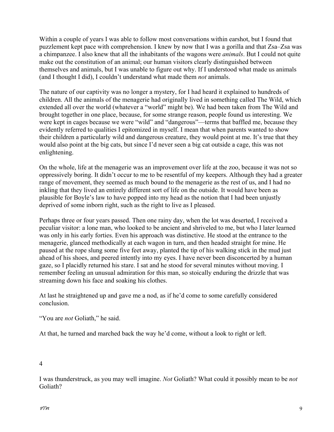Within a couple of years I was able to follow most conversations within earshot, but I found that puzzlement kept pace with comprehension. I knew by now that I was a gorilla and that Zsa–Zsa was a chimpanzee. I also knew that all the inhabitants of the wagons were *animals*. But I could not quite make out the constitution of an animal; our human visitors clearly distinguished between themselves and animals, but I was unable to figure out why. If I understood what made us animals (and I thought I did), I couldn't understand what made them *not* animals.

The nature of our captivity was no longer a mystery, for I had heard it explained to hundreds of children. All the animals of the menagerie had originally lived in something called The Wild, which extended all over the world (whatever a "world" might be). We had been taken from The Wild and brought together in one place, because, for some strange reason, people found us interesting. We were kept in cages because we were "wild" and "dangerous"—terms that baffled me, because they evidently referred to qualities I epitomized in myself. I mean that when parents wanted to show their children a particularly wild and dangerous creature, they would point at me. It's true that they would also point at the big cats, but since I'd never seen a big cat outside a cage, this was not enlightening.

On the whole, life at the menagerie was an improvement over life at the zoo, because it was not so oppressively boring. It didn't occur to me to be resentful of my keepers. Although they had a greater range of movement, they seemed as much bound to the menagerie as the rest of us, and I had no inkling that they lived an entirely different sort of life on the outside. It would have been as plausible for Boyle's law to have popped into my head as the notion that I had been unjustly deprived of some inborn right, such as the right to live as I pleased.

Perhaps three or four years passed. Then one rainy day, when the lot was deserted, I received a peculiar visitor: a lone man, who looked to be ancient and shriveled to me, but who I later learned was only in his early forties. Even his approach was distinctive. He stood at the entrance to the menagerie, glanced methodically at each wagon in turn, and then headed straight for mine. He paused at the rope slung some five feet away, planted the tip of his walking stick in the mud just ahead of his shoes, and peered intently into my eyes. I have never been disconcerted by a human gaze, so I placidly returned his stare. I sat and he stood for several minutes without moving. I remember feeling an unusual admiration for this man, so stoically enduring the drizzle that was streaming down his face and soaking his clothes.

At last he straightened up and gave me a nod, as if he'd come to some carefully considered conclusion.

"You are *not* Goliath," he said.

At that, he turned and marched back the way he'd come, without a look to right or left.

#### 4

I was thunderstruck, as you may well imagine. *Not* Goliath? What could it possibly mean to be *not*  Goliath?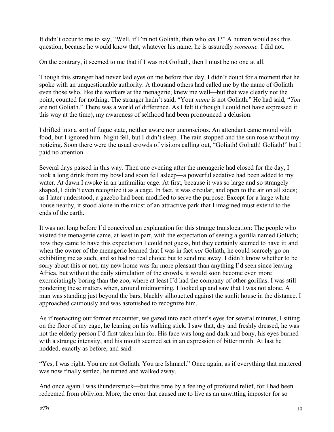It didn't occur to me to say, "Well, if I'm not Goliath, then who *am* I?" A human would ask this question, because he would know that, whatever his name, he is assuredly *someone.* I did not.

On the contrary, it seemed to me that if I was not Goliath, then I must be no one at all.

Though this stranger had never laid eyes on me before that day, I didn't doubt for a moment that he spoke with an unquestionable authority. A thousand others had called me by the name of Goliath even those who, like the workers at the menagerie, knew me well—but that was clearly not the point, counted for nothing. The stranger hadn't said, "Your *name* is not Goliath." He had said, "*You* are not Goliath." There was a world of difference. As I felt it (though I could not have expressed it this way at the time), my awareness of selfhood had been pronounced a delusion.

I drifted into a sort of fugue state, neither aware nor unconscious. An attendant came round with food, but I ignored him. Night fell, but I didn't sleep. The rain stopped and the sun rose without my noticing. Soon there were the usual crowds of visitors calling out, "Goliath! Goliath! Goliath!" but I paid no attention.

Several days passed in this way. Then one evening after the menagerie had closed for the day, I took a long drink from my bowl and soon fell asleep—a powerful sedative had been added to my water. At dawn I awoke in an unfamiliar cage. At first, because it was so large and so strangely shaped, I didn't even recognize it as a cage. In fact, it was circular, and open to the air on all sides; as I later understood, a gazebo had been modified to serve the purpose. Except for a large white house nearby, it stood alone in the midst of an attractive park that I imagined must extend to the ends of the earth.

It was not long before I'd conceived an explanation for this strange translocation: The people who visited the menagerie came, at least in part, with the expectation of seeing a gorilla named Goliath; how they came to have this expectation I could not guess, but they certainly seemed to have it; and when the owner of the menagerie learned that I was in fact *not* Goliath, he could scarcely go on exhibiting me as such, and so had no real choice but to send me away. I didn't know whether to be sorry about this or not; my new home was far more pleasant than anything I'd seen since leaving Africa, but without the daily stimulation of the crowds, it would soon become even more excruciatingly boring than the zoo, where at least I'd had the company of other gorillas. I was still pondering these matters when, around midmorning, I looked up and saw that I was not alone. A man was standing just beyond the bars, blackly silhouetted against the sunlit house in the distance. I approached cautiously and was astonished to recognize him.

As if reenacting our former encounter, we gazed into each other's eyes for several minutes, I sitting on the floor of my cage, he leaning on his walking stick. I saw that, dry and freshly dressed, he was not the elderly person I'd first taken him for. His face was long and dark and bony, his eyes burned with a strange intensity, and his mouth seemed set in an expression of bitter mirth. At last he nodded, exactly as before, and said:

"Yes, I was right. You are not Goliath. You are Ishmael." Once again, as if everything that mattered was now finally settled, he turned and walked away.

And once again I was thunderstruck—but this time by a feeling of profound relief, for I had been redeemed from oblivion. More, the error that caused me to live as an unwitting impostor for so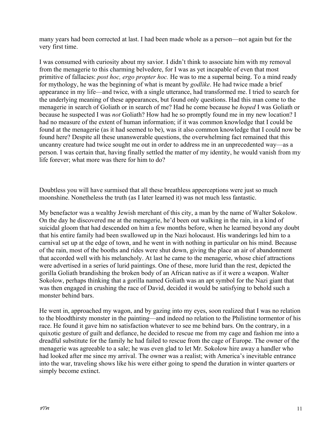many years had been corrected at last. I had been made whole as a person—not again but for the very first time.

I was consumed with curiosity about my savior. I didn't think to associate him with my removal from the menagerie to this charming belvedere, for I was as yet incapable of even that most primitive of fallacies: *post hoc, ergo propter hoc.* He was to me a supernal being. To a mind ready for mythology, he was the beginning of what is meant by *godlike*. He had twice made a brief appearance in my life—and twice, with a single utterance, had transformed me. I tried to search for the underlying meaning of these appearances, but found only questions. Had this man come to the menagerie in search of Goliath or in search of me? Had he come because he *hoped* I was Goliath or because he suspected I was *not* Goliath? How had he so promptly found me in my new location? I had no measure of the extent of human information; if it was common knowledge that I could be found at the menagerie (as it had seemed to be), was it also common knowledge that I could now be found here? Despite all these unanswerable questions, the overwhelming fact remained that this uncanny creature had twice sought me out in order to address me in an unprecedented way—as a person. I was certain that, having finally settled the matter of my identity, he would vanish from my life forever; what more was there for him to do?

Doubtless you will have surmised that all these breathless apperceptions were just so much moonshine. Nonetheless the truth (as I later learned it) was not much less fantastic.

My benefactor was a wealthy Jewish merchant of this city, a man by the name of Walter Sokolow. On the day he discovered me at the menagerie, he'd been out walking in the rain, in a kind of suicidal gloom that had descended on him a few months before, when he learned beyond any doubt that his entire family had been swallowed up in the Nazi holocaust. His wanderings led him to a carnival set up at the edge of town, and he went in with nothing in particular on his mind. Because of the rain, most of the booths and rides were shut down, giving the place an air of abandonment that accorded well with his melancholy. At last he came to the menagerie, whose chief attractions were advertised in a series of lurid paintings. One of these, more lurid than the rest, depicted the gorilla Goliath brandishing the broken body of an African native as if it were a weapon. Walter Sokolow, perhaps thinking that a gorilla named Goliath was an apt symbol for the Nazi giant that was then engaged in crushing the race of David, decided it would be satisfying to behold such a monster behind bars.

He went in, approached my wagon, and by gazing into my eyes, soon realized that I was no relation to the bloodthirsty monster in the painting—and indeed no relation to the Philistine tormentor of his race. He found it gave him no satisfaction whatever to see me behind bars. On the contrary, in a quixotic gesture of guilt and defiance, he decided to rescue me from my cage and fashion me into a dreadful substitute for the family he had failed to rescue from the cage of Europe. The owner of the menagerie was agreeable to a sale; he was even glad to let Mr. Sokolow hire away a handler who had looked after me since my arrival. The owner was a realist; with America's inevitable entrance into the war, traveling shows like his were either going to spend the duration in winter quarters or simply become extinct.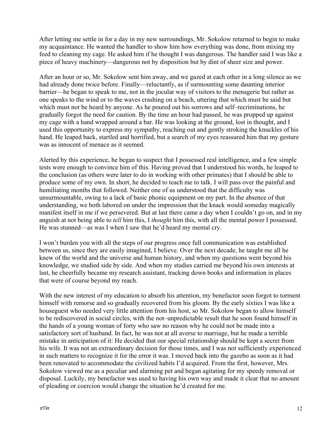After letting me settle in for a day in my new surroundings, Mr. Sokolow returned to begin to make my acquaintance. He wanted the handler to show him how everything was done, from mixing my feed to cleaning my cage. He asked him if he thought I was dangerous. The handler said I was like a piece of heavy machinery—dangerous not by disposition but by dint of sheer size and power.

After an hour or so, Mr. Sokolow sent him away, and we gazed at each other in a long silence as we had already done twice before. Finally—reluctantly, as if surmounting some daunting interior barrier—he began to speak to me, not in the jocular way of visitors to the menagerie but rather as one speaks to the wind or to the waves crashing on a beach, uttering that which must be said but which must not be heard by anyone. As he poured out his sorrows and self–recriminations, he gradually forgot the need for caution. By the time an hour had passed, he was propped up against my cage with a hand wrapped around a bar. He was looking at the ground, lost in thought, and I used this opportunity to express my sympathy, reaching out and gently stroking the knuckles of his hand. He leaped back, startled and horrified, but a search of my eyes reassured him that my gesture was as innocent of menace as it seemed.

Alerted by this experience, he began to suspect that I possessed real intelligence, and a few simple tests were enough to convince him of this. Having proved that I understood his words, he leaped to the conclusion (as others were later to do in working with other primates) that I should be able to produce some of my own. In short, he decided to teach me to talk. I will pass over the painful and humiliating months that followed. Neither one of us understood that the difficulty was unsurmountable, owing to a lack of basic phonic equipment on my part. In the absence of that understanding, we both labored on under the impression that the knack would someday magically manifest itself in me if we persevered. But at last there came a day when I couldn't go on, and in my anguish at not being able to *tell* him this, I *thought* him this, with all the mental power I possessed. He was stunned—as was I when I saw that he'd heard my mental cry.

I won't burden you with all the steps of our progress once full communication was established between us, since they are easily imagined, I believe. Over the next decade, he taught me all he knew of the world and the universe and human history, and when my questions went beyond his knowledge, we studied side by side. And when my studies carried me beyond his own interests at last, he cheerfully became my research assistant, tracking down books and information in places that were of course beyond my reach.

With the new interest of my education to absorb his attention, my benefactor soon forgot to torment himself with remorse and so gradually recovered from his gloom. By the early sixties I was like a houseguest who needed very little attention from his host, so Mr. Sokolow began to allow himself to be rediscovered in social circles, with the not–unpredictable result that he soon found himself in the hands of a young woman of forty who saw no reason why he could not be made into a satisfactory sort of husband. In fact, he was not at all averse to marriage, but he made a terrible mistake in anticipation of it: He decided that our special relationship should be kept a secret from his wife. It was not an extraordinary decision for those times, and I was not sufficiently experienced in such matters to recognize it for the error it was. I moved back into the gazebo as soon as it had been renovated to accommodate the civilized habits I'd acquired. From the first, however, Mrs. Sokolow viewed me as a peculiar and alarming pet and began agitating for my speedy removal or disposal. Luckily, my benefactor was used to having his own way and made it clear that no amount of pleading or coercion would change the situation he'd created for me.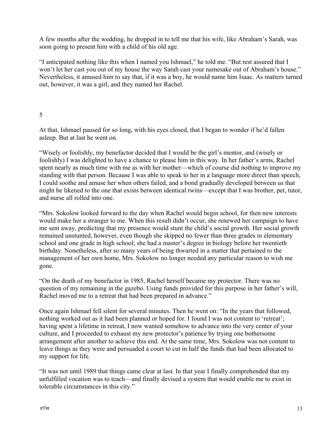A few months after the wedding, he dropped in to tell me that his wife, like Abraham's Sarah, was soon going to present him with a child of his old age.

"I anticipated nothing like this when I named you Ishmael," he told me. "But rest assured that I won't let her cast you out of my house the way Sarah cast your namesake out of Abraham's house." Nevertheless, it amused him to say that, if it was a boy, he would name him Isaac. As matters turned out, however, it was a girl, and they named her Rachel.

#### 5

At that, Ishmael paused for so long, with his eyes closed, that I began to wonder if he'd fallen asleep. But at last he went on.

"Wisely or foolishly, my benefactor decided that I would be the girl's mentor, and (wisely or foolishly) I was delighted to have a chance to please him in this way. In her father's arms, Rachel spent nearly as much time with me as with her mother—which of course did nothing to improve my standing with that person. Because I was able to speak to her in a language more direct than speech, I could soothe and amuse her when others failed, and a bond gradually developed between us that might be likened to the one that exists between identical twins—except that I was brother, pet, tutor, and nurse all rolled into one.

"Mrs. Sokolow looked forward to the day when Rachel would begin school, for then new interests would make her a stranger to me. When this result didn't occur, she renewed her campaign to have me sent away, predicting that my presence would stunt the child's social growth. Her social growth remained unstunted, however, even though she skipped no fewer than three grades in elementary school and one grade in high school; she had a master's degree in biology before her twentieth birthday. Nonetheless, after so many years of being thwarted in a matter that pertained to the management of her own home, Mrs. Sokolow no longer needed any particular reason to wish me gone.

"On the death of my benefactor in 1985, Rachel herself became my protector. There was no question of my remaining in the gazebo. Using funds provided for this purpose in her father's will, Rachel moved me to a retreat that had been prepared in advance."

Once again Ishmael fell silent for several minutes. Then he went on: "In the years that followed, nothing worked out as it had been planned or hoped for. I found I was not content to 'retreat'; having spent a lifetime in retreat, I now wanted somehow to advance into the very center of your culture, and I proceeded to exhaust my new protector's patience by trying one bothersome arrangement after another to achieve this end. At the same time, Mrs. Sokolow was not content to leave things as they were and persuaded a court to cut in half the funds that had been allocated to my support for life.

"It was not until 1989 that things came clear at last. In that year I finally comprehended that my unfulfilled vocation was to teach—and finally devised a system that would enable me to exist in tolerable circumstances in this city."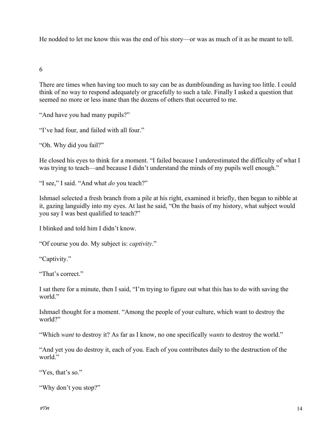He nodded to let me know this was the end of his story—or was as much of it as he meant to tell.

6

There are times when having too much to say can be as dumbfounding as having too little. I could think of no way to respond adequately or gracefully to such a tale. Finally I asked a question that seemed no more or less inane than the dozens of others that occurred to me.

"And have you had many pupils?"

"I've had four, and failed with all four."

"Oh. Why did you fail?"

He closed his eyes to think for a moment. "I failed because I underestimated the difficulty of what I was trying to teach—and because I didn't understand the minds of my pupils well enough."

"I see," I said. "And what *do* you teach?"

Ishmael selected a fresh branch from a pile at his right, examined it briefly, then began to nibble at it, gazing languidly into my eyes. At last he said, "On the basis of my history, what subject would you say I was best qualified to teach?"

I blinked and told him I didn't know.

"Of course you do. My subject is: *captivity*."

"Captivity."

"That's correct."

I sat there for a minute, then I said, "I'm trying to figure out what this has to do with saving the world."

Ishmael thought for a moment. "Among the people of your culture, which want to destroy the world?"

"Which *want* to destroy it? As far as I know, no one specifically *wants* to destroy the world."

"And yet you do destroy it, each of you. Each of you contributes daily to the destruction of the world."

"Yes, that's so."

"Why don't you stop?"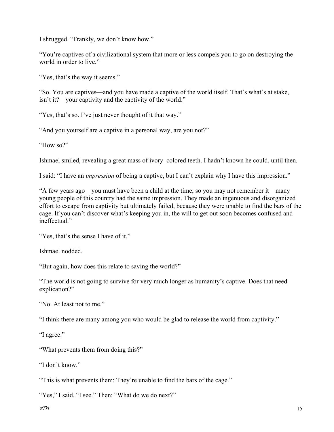I shrugged. "Frankly, we don't know how."

"You're captives of a civilizational system that more or less compels you to go on destroying the world in order to live."

"Yes, that's the way it seems."

"So. You are captives—and you have made a captive of the world itself. That's what's at stake, isn't it?—your captivity and the captivity of the world."

"Yes, that's so. I've just never thought of it that way."

"And you yourself are a captive in a personal way, are you not?"

"How so?"

Ishmael smiled, revealing a great mass of ivory–colored teeth. I hadn't known he could, until then.

I said: "I have an *impression* of being a captive, but I can't explain why I have this impression."

"A few years ago—you must have been a child at the time, so you may not remember it—many young people of this country had the same impression. They made an ingenuous and disorganized effort to escape from captivity but ultimately failed, because they were unable to find the bars of the cage. If you can't discover what's keeping you in, the will to get out soon becomes confused and ineffectual."

"Yes, that's the sense I have of it."

Ishmael nodded.

"But again, how does this relate to saving the world?"

"The world is not going to survive for very much longer as humanity's captive. Does that need explication?"

"No. At least not to me."

"I think there are many among you who would be glad to release the world from captivity."

"I agree."

"What prevents them from doing this?"

"I don't know"

"This is what prevents them: They're unable to find the bars of the cage."

"Yes," I said. "I see." Then: "What do we do next?"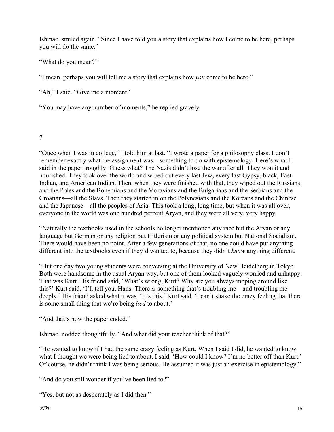Ishmael smiled again. "Since I have told you a story that explains how I come to be here, perhaps you will do the same."

"What do you mean?"

"I mean, perhaps you will tell me a story that explains how *you* come to be here."

"Ah," I said. "Give me a moment."

"You may have any number of moments," he replied gravely.

7

"Once when I was in college," I told him at last, "I wrote a paper for a philosophy class. I don't remember exactly what the assignment was—something to do with epistemology. Here's what I said in the paper, roughly: Guess what? The Nazis didn't lose the war after all. They won it and nourished. They took over the world and wiped out every last Jew, every last Gypsy, black, East Indian, and American Indian. Then, when they were finished with that, they wiped out the Russians and the Poles and the Bohemians and the Moravians and the Bulgarians and the Serbians and the Croatians—all the Slavs. Then they started in on the Polynesians and the Koreans and the Chinese and the Japanese—all the peoples of Asia. This took a long, long time, but when it was all over, everyone in the world was one hundred percent Aryan, and they were all very, very happy.

"Naturally the textbooks used in the schools no longer mentioned any race but the Aryan or any language but German or any religion but Hitlerism or any political system but National Socialism. There would have been no point. After a few generations of that, no one could have put anything different into the textbooks even if they'd wanted to, because they didn't *know* anything different.

"But one day two young students were conversing at the University of New Heidelberg in Tokyo. Both were handsome in the usual Aryan way, but one of them looked vaguely worried and unhappy. That was Kurt. His friend said, 'What's wrong, Kurt? Why are you always moping around like this?' Kurt said, 'I'll tell you, Hans. There *is* something that's troubling me—and troubling me deeply.' His friend asked what it was. 'It's this,' Kurt said. 'I can't shake the crazy feeling that there is some small thing that we're being *lied* to about.'

"And that's how the paper ended."

Ishmael nodded thoughtfully. "And what did your teacher think of that?"

"He wanted to know if I had the same crazy feeling as Kurt. When I said I did, he wanted to know what I thought we were being lied to about. I said, 'How could I know? I'm no better off than Kurt.' Of course, he didn't think I was being serious. He assumed it was just an exercise in epistemology."

"And do you still wonder if you've been lied to?"

"Yes, but not as desperately as I did then."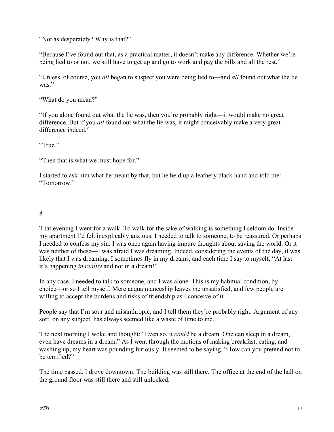"Not as desperately? Why is that?"

"Because I've found out that, as a practical matter, it doesn't make any difference. Whether we're being lied to or not, we still have to get up and go to work and pay the bills and all the rest."

"Unless, of course, you *all* began to suspect you were being lied to—and *all* found out what the lie was."

"What do you mean?"

"If you alone found out what the lie was, then you're probably right—it would make no great difference. But if you *all* found out what the lie was, it might conceivably make a very great difference indeed."

"True"

"Then that is what we must hope for."

I started to ask him what he meant by that, but he held up a leathery black hand and told me: "Tomorrow."

8

That evening I went for a walk. To walk for the sake of walking is something I seldom do. Inside my apartment I'd felt inexplicably anxious. I needed to talk to someone, to be reassured. Or perhaps I needed to confess my sin: I was once again having impure thoughts about saving the world. Or it was neither of these—I was afraid I was dreaming. Indeed, considering the events of the day, it was likely that I was dreaming. I sometimes fly in my dreams, and each time I say to myself, "At last it's happening *in reality* and not in a dream!"

In any case, I needed to talk to someone, and I was alone. This is my habitual condition, by choice—or so I tell myself. Mere acquaintanceship leaves me unsatisfied, and few people are willing to accept the burdens and risks of friendship as I conceive of it.

People say that I'm sour and misanthropic, and I tell them they're probably right. Argument of any sort, on any subject, has always seemed like a waste of time to me.

The next morning I woke and thought: "Even so, it *could* be a dream. One can sleep in a dream, even have dreams in a dream." As I went through the motions of making breakfast, eating, and washing up, my heart was pounding furiously. It seemed to be saying, "How can you pretend not to be terrified?"

The time passed. I drove downtown. The building was still there. The office at the end of the hall on the ground floor was still there and still unlocked.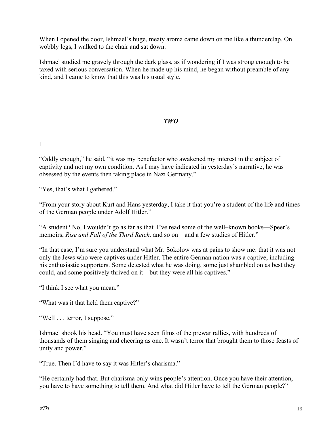When I opened the door, Ishmael's huge, meaty aroma came down on me like a thunderclap. On wobbly legs, I walked to the chair and sat down.

Ishmael studied me gravely through the dark glass, as if wondering if I was strong enough to be taxed with serious conversation. When he made up his mind, he began without preamble of any kind, and I came to know that this was his usual style.

#### *TWO*

1

"Oddly enough," he said, "it was my benefactor who awakened my interest in the subject of captivity and not my own condition. As I may have indicated in yesterday's narrative, he was obsessed by the events then taking place in Nazi Germany."

"Yes, that's what I gathered."

"From your story about Kurt and Hans yesterday, I take it that you're a student of the life and times of the German people under Adolf Hitler."

"A student? No, I wouldn't go as far as that. I've read some of the well–known books—Speer's memoirs, *Rise and Fall of the Third Reich,* and so on—and a few studies of Hitler."

"In that case, I'm sure you understand what Mr. Sokolow was at pains to show me: that it was not only the Jews who were captives under Hitler. The entire German nation was a captive, including his enthusiastic supporters. Some detested what he was doing, some just shambled on as best they could, and some positively thrived on it—but they were all his captives."

"I think I see what you mean."

"What was it that held them captive?"

"Well . . . terror, I suppose."

Ishmael shook his head. "You must have seen films of the prewar rallies, with hundreds of thousands of them singing and cheering as one. It wasn't terror that brought them to those feasts of unity and power."

"True. Then I'd have to say it was Hitler's charisma."

"He certainly had that. But charisma only wins people's attention. Once you have their attention, you have to have something to tell them. And what did Hitler have to tell the German people?"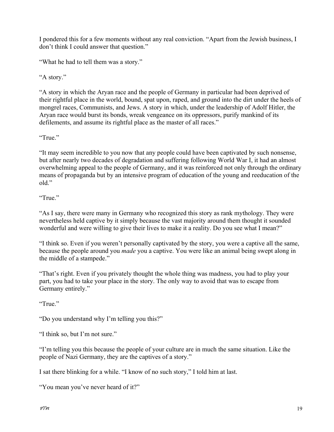I pondered this for a few moments without any real conviction. "Apart from the Jewish business, I don't think I could answer that question."

"What he had to tell them was a story."

"A story."

"A story in which the Aryan race and the people of Germany in particular had been deprived of their rightful place in the world, bound, spat upon, raped, and ground into the dirt under the heels of mongrel races, Communists, and Jews. A story in which, under the leadership of Adolf Hitler, the Aryan race would burst its bonds, wreak vengeance on its oppressors, purify mankind of its defilements, and assume its rightful place as the master of all races."

"True."

"It may seem incredible to you now that any people could have been captivated by such nonsense, but after nearly two decades of degradation and suffering following World War I, it had an almost overwhelming appeal to the people of Germany, and it was reinforced not only through the ordinary means of propaganda but by an intensive program of education of the young and reeducation of the old."

# "True."

"As I say, there were many in Germany who recognized this story as rank mythology. They were nevertheless held captive by it simply because the vast majority around them thought it sounded wonderful and were willing to give their lives to make it a reality. Do you see what I mean?"

"I think so. Even if you weren't personally captivated by the story, you were a captive all the same, because the people around you *made* you a captive. You were like an animal being swept along in the middle of a stampede."

"That's right. Even if you privately thought the whole thing was madness, you had to play your part, you had to take your place in the story. The only way to avoid that was to escape from Germany entirely."

"True."

"Do you understand why I'm telling you this?"

"I think so, but I'm not sure."

"I'm telling you this because the people of your culture are in much the same situation. Like the people of Nazi Germany, they are the captives of a story."

I sat there blinking for a while. "I know of no such story," I told him at last.

"You mean you've never heard of it?"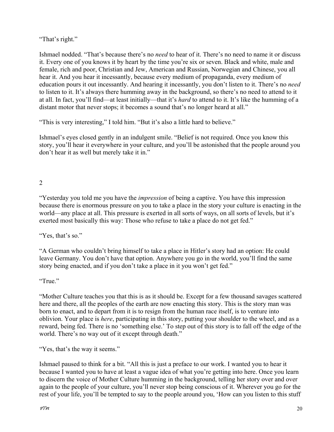"That's right."

Ishmael nodded. "That's because there's no *need* to hear of it. There's no need to name it or discuss it. Every one of you knows it by heart by the time you're six or seven. Black and white, male and female, rich and poor, Christian and Jew, American and Russian, Norwegian and Chinese, you all hear it. And you hear it incessantly, because every medium of propaganda, every medium of education pours it out incessantly. And hearing it incessantly, you don't listen to it. There's no *need*  to listen to it. It's always there humming away in the background, so there's no need to attend to it at all. In fact, you'll find—at least initially—that it's *hard* to attend to it. It's like the humming of a distant motor that never stops; it becomes a sound that's no longer heard at all."

"This is very interesting," I told him. "But it's also a little hard to believe."

Ishmael's eyes closed gently in an indulgent smile. "Belief is not required. Once you know this story, you'll hear it everywhere in your culture, and you'll be astonished that the people around you don't hear it as well but merely take it in."

# 2

"Yesterday you told me you have the *impression* of being a captive. You have this impression because there is enormous pressure on you to take a place in the story your culture is enacting in the world—any place at all. This pressure is exerted in all sorts of ways, on all sorts of levels, but it's exerted most basically this way: Those who refuse to take a place do not get fed."

"Yes, that's so."

"A German who couldn't bring himself to take a place in Hitler's story had an option: He could leave Germany. You don't have that option. Anywhere you go in the world, you'll find the same story being enacted, and if you don't take a place in it you won't get fed."

"True."

"Mother Culture teaches you that this is as it should be. Except for a few thousand savages scattered here and there, all the peoples of the earth are now enacting this story. This is the story man was born to enact, and to depart from it is to resign from the human race itself, is to venture into oblivion. Your place is *here*, participating in this story, putting your shoulder to the wheel, and as a reward, being fed. There is no 'something else.' To step out of this story is to fall off the edge of the world. There's no way out of it except through death."

"Yes, that's the way it seems."

Ishmael paused to think for a bit. "All this is just a preface to our work. I wanted you to hear it because I wanted you to have at least a vague idea of what you're getting into here. Once you learn to discern the voice of Mother Culture humming in the background, telling her story over and over again to the people of your culture, you'll never stop being conscious of it. Wherever you go for the rest of your life, you'll be tempted to say to the people around you, 'How can you listen to this stuff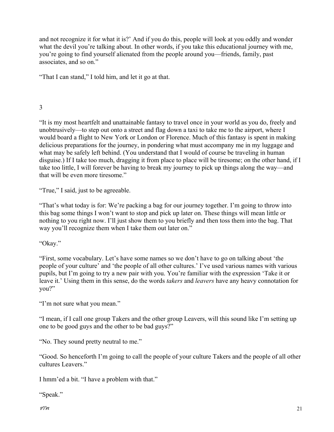and not recognize it for what it is?' And if you do this, people will look at you oddly and wonder what the devil you're talking about. In other words, if you take this educational journey with me, you're going to find yourself alienated from the people around you—friends, family, past associates, and so on."

"That I can stand," I told him, and let it go at that.

# 3

"It is my most heartfelt and unattainable fantasy to travel once in your world as you do, freely and unobtrusively—to step out onto a street and flag down a taxi to take me to the airport, where I would board a flight to New York or London or Florence. Much of this fantasy is spent in making delicious preparations for the journey, in pondering what must accompany me in my luggage and what may be safely left behind. (You understand that I would of course be traveling in human disguise.) If I take too much, dragging it from place to place will be tiresome; on the other hand, if I take too little, I will forever be having to break my journey to pick up things along the way—and that will be even more tiresome."

"True," I said, just to be agreeable.

"That's what today is for: We're packing a bag for our journey together. I'm going to throw into this bag some things I won't want to stop and pick up later on. These things will mean little or nothing to you right now. I'll just show them to you briefly and then toss them into the bag. That way you'll recognize them when I take them out later on."

"Okay."

"First, some vocabulary. Let's have some names so we don't have to go on talking about 'the people of your culture' and 'the people of all other cultures.' I've used various names with various pupils, but I'm going to try a new pair with you. You're familiar with the expression 'Take it or leave it.' Using them in this sense, do the words *takers* and *leavers* have any heavy connotation for you?"

"I'm not sure what you mean."

"I mean, if I call one group Takers and the other group Leavers, will this sound like I'm setting up one to be good guys and the other to be bad guys?"

"No. They sound pretty neutral to me."

"Good. So henceforth I'm going to call the people of your culture Takers and the people of all other cultures Leavers."

I hmm'ed a bit. "I have a problem with that."

"Speak."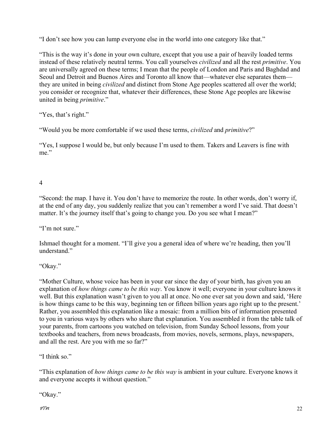"I don't see how you can lump everyone else in the world into one category like that."

"This is the way it's done in your own culture, except that you use a pair of heavily loaded terms instead of these relatively neutral terms. You call yourselves *civilized* and all the rest *primitive*. You are universally agreed on these terms; I mean that the people of London and Paris and Baghdad and Seoul and Detroit and Buenos Aires and Toronto all know that—whatever else separates them they are united in being *civilized* and distinct from Stone Age peoples scattered all over the world; you consider or recognize that, whatever their differences, these Stone Age peoples are likewise united in being *primitive*."

"Yes, that's right."

"Would you be more comfortable if we used these terms, *civilized* and *primitive*?"

"Yes, I suppose I would be, but only because I'm used to them. Takers and Leavers is fine with me."

#### 4

"Second: the map. I have it. You don't have to memorize the route. In other words, don't worry if, at the end of any day, you suddenly realize that you can't remember a word I've said. That doesn't matter. It's the journey itself that's going to change you. Do you see what I mean?"

"I'm not sure."

Ishmael thought for a moment. "I'll give you a general idea of where we're heading, then you'll understand"

"Okay."

"Mother Culture, whose voice has been in your ear since the day of your birth, has given you an explanation of *how things came to be this way*. You know it well; everyone in your culture knows it well. But this explanation wasn't given to you all at once. No one ever sat you down and said, 'Here is how things came to be this way, beginning ten or fifteen billion years ago right up to the present.' Rather, you assembled this explanation like a mosaic: from a million bits of information presented to you in various ways by others who share that explanation. You assembled it from the table talk of your parents, from cartoons you watched on television, from Sunday School lessons, from your textbooks and teachers, from news broadcasts, from movies, novels, sermons, plays, newspapers, and all the rest. Are you with me so far?"

"I think so"

"This explanation of *how things came to be this way* is ambient in your culture. Everyone knows it and everyone accepts it without question."

"Okay."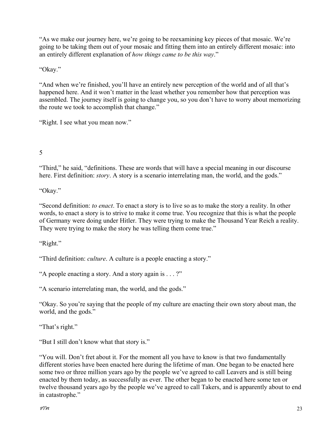"As we make our journey here, we're going to be reexamining key pieces of that mosaic. We're going to be taking them out of your mosaic and fitting them into an entirely different mosaic: into an entirely different explanation of *how things came to be this way*."

"Okay."

"And when we're finished, you'll have an entirely new perception of the world and of all that's happened here. And it won't matter in the least whether you remember how that perception was assembled. The journey itself is going to change you, so you don't have to worry about memorizing the route we took to accomplish that change."

"Right. I see what you mean now."

# 5

"Third," he said, "definitions. These are words that will have a special meaning in our discourse here. First definition: *story*. A story is a scenario interrelating man, the world, and the gods."

"Okay."

"Second definition: *to enact*. To enact a story is to live so as to make the story a reality. In other words, to enact a story is to strive to make it come true. You recognize that this is what the people of Germany were doing under Hitler. They were trying to make the Thousand Year Reich a reality. They were trying to make the story he was telling them come true."

"Right."

"Third definition: *culture*. A culture is a people enacting a story."

"A people enacting a story. And a story again is . . . ?"

"A scenario interrelating man, the world, and the gods."

"Okay. So you're saying that the people of my culture are enacting their own story about man, the world, and the gods."

"That's right."

"But I still don't know what that story is."

"You will. Don't fret about it. For the moment all you have to know is that two fundamentally different stories have been enacted here during the lifetime of man. One began to be enacted here some two or three million years ago by the people we've agreed to call Leavers and is still being enacted by them today, as successfully as ever. The other began to be enacted here some ten or twelve thousand years ago by the people we've agreed to call Takers, and is apparently about to end in catastrophe."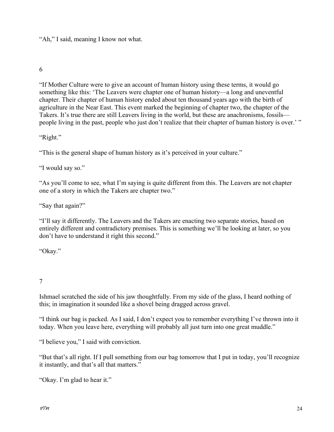"Ah," I said, meaning I know not what.

#### 6

"If Mother Culture were to give an account of human history using these terms, it would go something like this: 'The Leavers were chapter one of human history—a long and uneventful chapter. Their chapter of human history ended about ten thousand years ago with the birth of agriculture in the Near East. This event marked the beginning of chapter two, the chapter of the Takers. It's true there are still Leavers living in the world, but these are anachronisms, fossils people living in the past, people who just don't realize that their chapter of human history is over.' "

"Right."

"This is the general shape of human history as it's perceived in your culture."

"I would say so."

"As you'll come to see, what I'm saying is quite different from this. The Leavers are not chapter one of a story in which the Takers are chapter two."

"Say that again?"

"I'll say it differently. The Leavers and the Takers are enacting two separate stories, based on entirely different and contradictory premises. This is something we'll be looking at later, so you don't have to understand it right this second."

"Okay."

#### 7

Ishmael scratched the side of his jaw thoughtfully. From my side of the glass, I heard nothing of this; in imagination it sounded like a shovel being dragged across gravel.

"I think our bag is packed. As I said, I don't expect you to remember everything I've thrown into it today. When you leave here, everything will probably all just turn into one great muddle."

"I believe you," I said with conviction.

"But that's all right. If I pull something from our bag tomorrow that I put in today, you'll recognize it instantly, and that's all that matters."

"Okay. I'm glad to hear it."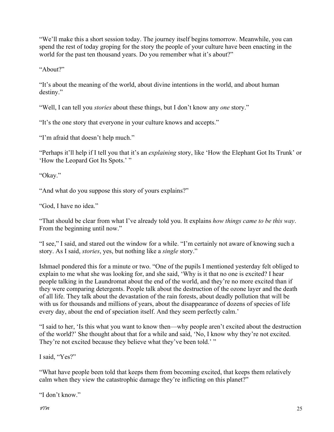"We'll make this a short session today. The journey itself begins tomorrow. Meanwhile, you can spend the rest of today groping for the story the people of your culture have been enacting in the world for the past ten thousand years. Do you remember what it's about?"

"About?"

"It's about the meaning of the world, about divine intentions in the world, and about human destiny."

"Well, I can tell you *stories* about these things, but I don't know any *one* story."

"It's the one story that everyone in your culture knows and accepts."

"I'm afraid that doesn't help much."

"Perhaps it'll help if I tell you that it's an *explaining* story, like 'How the Elephant Got Its Trunk' or 'How the Leopard Got Its Spots.' "

"Okay."

"And what do you suppose this story of yours explains?"

"God, I have no idea."

"That should be clear from what I've already told you. It explains *how things came to be this way*. From the beginning until now."

"I see," I said, and stared out the window for a while. "I'm certainly not aware of knowing such a story. As I said, *stories*, yes, but nothing like a *single* story."

Ishmael pondered this for a minute or two. "One of the pupils I mentioned yesterday felt obliged to explain to me what she was looking for, and she said, 'Why is it that no one is excited? I hear people talking in the Laundromat about the end of the world, and they're no more excited than if they were comparing detergents. People talk about the destruction of the ozone layer and the death of all life. They talk about the devastation of the rain forests, about deadly pollution that will be with us for thousands and millions of years, about the disappearance of dozens of species of life every day, about the end of speciation itself. And they seem perfectly calm.'

"I said to her, 'Is this what you want to know then—why people aren't excited about the destruction of the world?' She thought about that for a while and said, 'No, I know why they're not excited. They're not excited because they believe what they've been told.'"

I said, "Yes?"

"What have people been told that keeps them from becoming excited, that keeps them relatively calm when they view the catastrophic damage they're inflicting on this planet?"

"I don't know"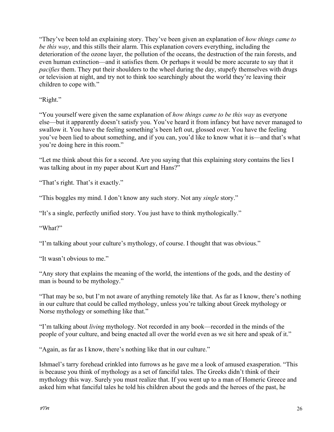"They've been told an explaining story. They've been given an explanation of *how things came to be this way*, and this stills their alarm. This explanation covers everything, including the deterioration of the ozone layer, the pollution of the oceans, the destruction of the rain forests, and even human extinction—and it satisfies them. Or perhaps it would be more accurate to say that it *pacifies* them. They put their shoulders to the wheel during the day, stupefy themselves with drugs or television at night, and try not to think too searchingly about the world they're leaving their children to cope with."

"Right."

"You yourself were given the same explanation of *how things came to be this way* as everyone else—but it apparently doesn't satisfy you. You've heard it from infancy but have never managed to swallow it. You have the feeling something's been left out, glossed over. You have the feeling you've been lied to about something, and if you can, you'd like to know what it is—and that's what you're doing here in this room."

"Let me think about this for a second. Are you saying that this explaining story contains the lies I was talking about in my paper about Kurt and Hans?"

"That's right. That's it exactly."

"This boggles my mind. I don't know any such story. Not any *single* story."

"It's a single, perfectly unified story. You just have to think mythologically."

"What?"

"I'm talking about your culture's mythology, of course. I thought that was obvious."

"It wasn't obvious to me."

"Any story that explains the meaning of the world, the intentions of the gods, and the destiny of man is bound to be mythology."

"That may be so, but I'm not aware of anything remotely like that. As far as I know, there's nothing in our culture that could be called mythology, unless you're talking about Greek mythology or Norse mythology or something like that."

"I'm talking about *living* mythology. Not recorded in any book—recorded in the minds of the people of your culture, and being enacted all over the world even as we sit here and speak of it."

"Again, as far as I know, there's nothing like that in our culture."

Ishmael's tarry forehead crinkled into furrows as he gave me a look of amused exasperation. "This is because you think of mythology as a set of fanciful tales. The Greeks didn't think of their mythology this way. Surely you must realize that. If you went up to a man of Homeric Greece and asked him what fanciful tales he told his children about the gods and the heroes of the past, he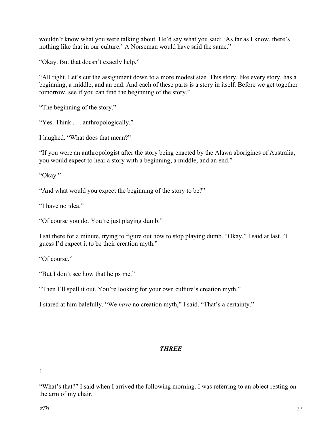wouldn't know what you were talking about. He'd say what you said: 'As far as I know, there's nothing like that in our culture.' A Norseman would have said the same."

"Okay. But that doesn't exactly help."

"All right. Let's cut the assignment down to a more modest size. This story, like every story, has a beginning, a middle, and an end. And each of these parts is a story in itself. Before we get together tomorrow, see if you can find the beginning of the story."

"The beginning of the story."

"Yes. Think . . . anthropologically."

I laughed. "What does that mean?"

"If you were an anthropologist after the story being enacted by the Alawa aborigines of Australia, you would expect to hear a story with a beginning, a middle, and an end."

"Okay."

"And what would you expect the beginning of the story to be?"

"I have no idea"

"Of course you do. You're just playing dumb."

I sat there for a minute, trying to figure out how to stop playing dumb. "Okay," I said at last. "I guess I'd expect it to be their creation myth."

"Of course."

"But I don't see how that helps me."

"Then I'll spell it out. You're looking for your own culture's creation myth."

I stared at him balefully. "We *have* no creation myth," I said. "That's a certainty."

#### *THREE*

1

"What's that?" I said when I arrived the following morning. I was referring to an object resting on the arm of my chair.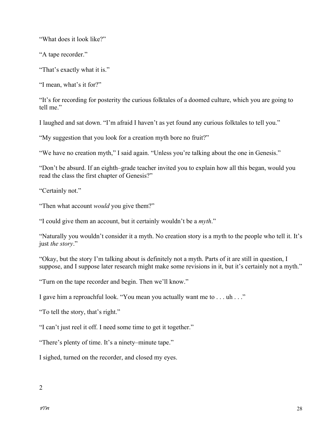"What does it look like?"

"A tape recorder."

"That's exactly what it is."

"I mean, what's it for?"

"It's for recording for posterity the curious folktales of a doomed culture, which you are going to tell me."

I laughed and sat down. "I'm afraid I haven't as yet found any curious folktales to tell you."

"My suggestion that you look for a creation myth bore no fruit?"

"We have no creation myth," I said again. "Unless you're talking about the one in Genesis."

"Don't be absurd. If an eighth–grade teacher invited you to explain how all this began, would you read the class the first chapter of Genesis?"

"Certainly not."

"Then what account *would* you give them?"

"I could give them an account, but it certainly wouldn't be a *myth*."

"Naturally you wouldn't consider it a myth. No creation story is a myth to the people who tell it. It's just *the story*."

"Okay, but the story I'm talking about is definitely not a myth. Parts of it are still in question, I suppose, and I suppose later research might make some revisions in it, but it's certainly not a myth."

"Turn on the tape recorder and begin. Then we'll know."

I gave him a reproachful look. "You mean you actually want me to . . . uh . . ."

"To tell the story, that's right."

"I can't just reel it off. I need some time to get it together."

"There's plenty of time. It's a ninety–minute tape."

I sighed, turned on the recorder, and closed my eyes.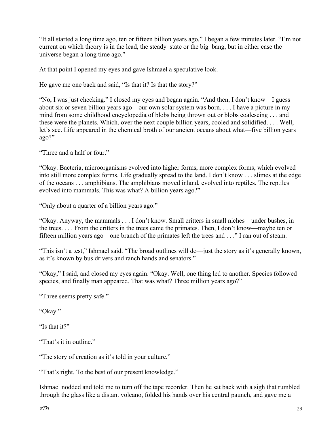"It all started a long time ago, ten or fifteen billion years ago," I began a few minutes later. "I'm not current on which theory is in the lead, the steady–state or the big–bang, but in either case the universe began a long time ago."

At that point I opened my eyes and gave Ishmael a speculative look.

He gave me one back and said, "Is that it? Is that the story?"

"No, I was just checking." I closed my eyes and began again. "And then, I don't know—I guess about six or seven billion years ago—our own solar system was born. . . . I have a picture in my mind from some childhood encyclopedia of blobs being thrown out or blobs coalescing . . . and these were the planets. Which, over the next couple billion years, cooled and solidified. . . . Well, let's see. Life appeared in the chemical broth of our ancient oceans about what—five billion years ago?"

"Three and a half or four."

"Okay. Bacteria, microorganisms evolved into higher forms, more complex forms, which evolved into still more complex forms. Life gradually spread to the land. I don't know . . . slimes at the edge of the oceans . . . amphibians. The amphibians moved inland, evolved into reptiles. The reptiles evolved into mammals. This was what? A billion years ago?"

"Only about a quarter of a billion years ago."

"Okay. Anyway, the mammals . . . I don't know. Small critters in small niches—under bushes, in the trees. . . . From the critters in the trees came the primates. Then, I don't know—maybe ten or fifteen million years ago—one branch of the primates left the trees and . . ." I ran out of steam.

"This isn't a test," Ishmael said. "The broad outlines will do—just the story as it's generally known, as it's known by bus drivers and ranch hands and senators."

"Okay," I said, and closed my eyes again. "Okay. Well, one thing led to another. Species followed species, and finally man appeared. That was what? Three million years ago?"

"Three seems pretty safe."

"Okay."

"Is that it?"

"That's it in outline."

"The story of creation as it's told in your culture."

"That's right. To the best of our present knowledge."

Ishmael nodded and told me to turn off the tape recorder. Then he sat back with a sigh that rumbled through the glass like a distant volcano, folded his hands over his central paunch, and gave me a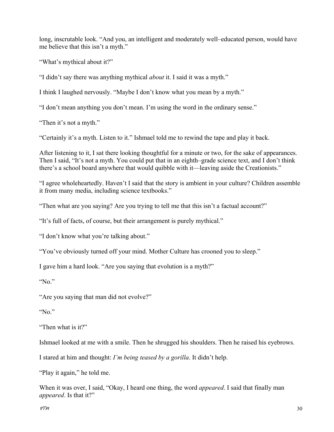long, inscrutable look. "And you, an intelligent and moderately well–educated person, would have me believe that this isn't a myth."

"What's mythical about it?"

"I didn't say there was anything mythical *about* it. I said it was a myth."

I think I laughed nervously. "Maybe I don't know what you mean by a myth."

"I don't mean anything you don't mean. I'm using the word in the ordinary sense."

"Then it's not a myth."

"Certainly it's a myth. Listen to it." Ishmael told me to rewind the tape and play it back.

After listening to it, I sat there looking thoughtful for a minute or two, for the sake of appearances. Then I said, "It's not a myth. You could put that in an eighth–grade science text, and I don't think there's a school board anywhere that would quibble with it—leaving aside the Creationists."

"I agree wholeheartedly. Haven't I said that the story is ambient in your culture? Children assemble it from many media, including science textbooks."

"Then what are you saying? Are you trying to tell me that this isn't a factual account?"

"It's full of facts, of course, but their arrangement is purely mythical."

"I don't know what you're talking about."

"You've obviously turned off your mind. Mother Culture has crooned you to sleep."

I gave him a hard look. "Are you saying that evolution is a myth?"

"No."

"Are you saying that man did not evolve?"

"No."

"Then what is it?"

Ishmael looked at me with a smile. Then he shrugged his shoulders. Then he raised his eyebrows.

I stared at him and thought: *I'm being teased by a gorilla*. It didn't help.

"Play it again," he told me.

When it was over, I said, "Okay, I heard one thing, the word *appeared*. I said that finally man *appeared*. Is that it?"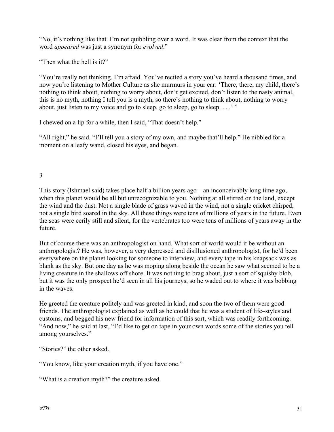"No, it's nothing like that. I'm not quibbling over a word. It was clear from the context that the word *appeared* was just a synonym for *evolved*."

"Then what the hell is it?"

"You're really not thinking, I'm afraid. You've recited a story you've heard a thousand times, and now you're listening to Mother Culture as she murmurs in your ear: 'There, there, my child, there's nothing to think about, nothing to worry about, don't get excited, don't listen to the nasty animal, this is no myth, nothing I tell you is a myth, so there's nothing to think about, nothing to worry about, just listen to my voice and go to sleep, go to sleep, go to sleep. . . .' "

I chewed on a lip for a while, then I said, "That doesn't help."

"All right," he said. "I'll tell you a story of my own, and maybe that'll help." He nibbled for a moment on a leafy wand, closed his eyes, and began.

# 3

This story (Ishmael said) takes place half a billion years ago—an inconceivably long time ago, when this planet would be all but unrecognizable to you. Nothing at all stirred on the land, except the wind and the dust. Not a single blade of grass waved in the wind, not a single cricket chirped, not a single bird soared in the sky. All these things were tens of millions of years in the future. Even the seas were eerily still and silent, for the vertebrates too were tens of millions of years away in the future.

But of course there was an anthropologist on hand. What sort of world would it be without an anthropologist? He was, however, a very depressed and disillusioned anthropologist, for he'd been everywhere on the planet looking for someone to interview, and every tape in his knapsack was as blank as the sky. But one day as he was moping along beside the ocean he saw what seemed to be a living creature in the shallows off shore. It was nothing to brag about, just a sort of squishy blob, but it was the only prospect he'd seen in all his journeys, so he waded out to where it was bobbing in the waves.

He greeted the creature politely and was greeted in kind, and soon the two of them were good friends. The anthropologist explained as well as he could that he was a student of life–styles and customs, and begged his new friend for information of this sort, which was readily forthcoming. "And now," he said at last, "I'd like to get on tape in your own words some of the stories you tell among yourselves."

"Stories?" the other asked.

"You know, like your creation myth, if you have one."

"What is a creation myth?" the creature asked.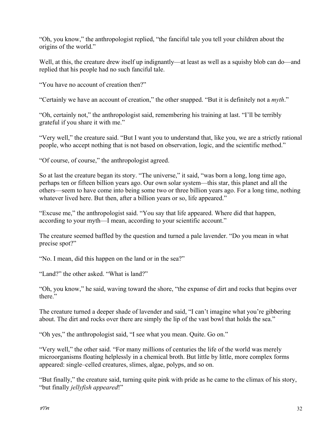"Oh, you know," the anthropologist replied, "the fanciful tale you tell your children about the origins of the world."

Well, at this, the creature drew itself up indignantly—at least as well as a squishy blob can do—and replied that his people had no such fanciful tale.

"You have no account of creation then?"

"Certainly we have an account of creation," the other snapped. "But it is definitely not a *myth*."

"Oh, certainly not," the anthropologist said, remembering his training at last. "I'll be terribly grateful if you share it with me."

"Very well," the creature said. "But I want you to understand that, like you, we are a strictly rational people, who accept nothing that is not based on observation, logic, and the scientific method."

"Of course, of course," the anthropologist agreed.

So at last the creature began its story. "The universe," it said, "was born a long, long time ago, perhaps ten or fifteen billion years ago. Our own solar system—this star, this planet and all the others—seem to have come into being some two or three billion years ago. For a long time, nothing whatever lived here. But then, after a billion years or so, life appeared."

"Excuse me," the anthropologist said. "You say that life appeared. Where did that happen, according to your myth—I mean, according to your scientific account."

The creature seemed baffled by the question and turned a pale lavender. "Do you mean in what precise spot?"

"No. I mean, did this happen on the land or in the sea?"

"Land?" the other asked. "What is land?"

"Oh, you know," he said, waving toward the shore, "the expanse of dirt and rocks that begins over there."

The creature turned a deeper shade of lavender and said, "I can't imagine what you're gibbering about. The dirt and rocks over there are simply the lip of the vast bowl that holds the sea."

"Oh yes," the anthropologist said, "I see what you mean. Quite. Go on."

"Very well," the other said. "For many millions of centuries the life of the world was merely microorganisms floating helplessly in a chemical broth. But little by little, more complex forms appeared: single–celled creatures, slimes, algae, polyps, and so on.

"But finally," the creature said, turning quite pink with pride as he came to the climax of his story, "but finally *jellyfish appeared*!"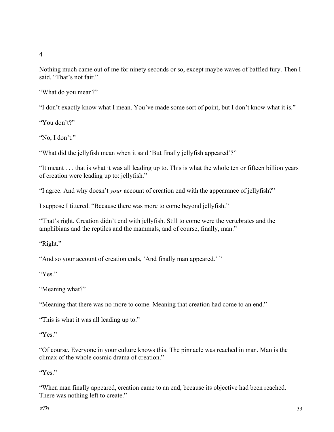4

Nothing much came out of me for ninety seconds or so, except maybe waves of baffled fury. Then I said, "That's not fair."

"What do you mean?"

"I don't exactly know what I mean. You've made some sort of point, but I don't know what it is."

"You don't?"

"No, I don't."

"What did the jellyfish mean when it said 'But finally jellyfish appeared'?"

"It meant . . . that is what it was all leading up to. This is what the whole ten or fifteen billion years of creation were leading up to: jellyfish."

"I agree. And why doesn't *your* account of creation end with the appearance of jellyfish?"

I suppose I tittered. "Because there was more to come beyond jellyfish."

"That's right. Creation didn't end with jellyfish. Still to come were the vertebrates and the amphibians and the reptiles and the mammals, and of course, finally, man."

"Right."

"And so your account of creation ends, 'And finally man appeared.' "

"Yes"

"Meaning what?"

"Meaning that there was no more to come. Meaning that creation had come to an end."

"This is what it was all leading up to."

"Yes."

"Of course. Everyone in your culture knows this. The pinnacle was reached in man. Man is the climax of the whole cosmic drama of creation."

"Yes."

"When man finally appeared, creation came to an end, because its objective had been reached. There was nothing left to create."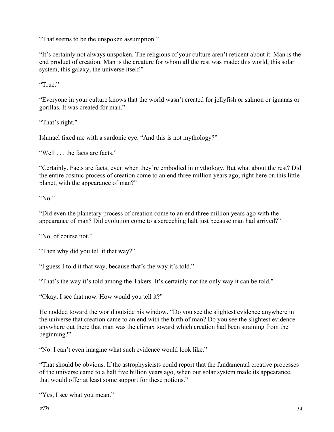"That seems to be the unspoken assumption."

"It's certainly not always unspoken. The religions of your culture aren't reticent about it. Man is the end product of creation. Man is the creature for whom all the rest was made: this world, this solar system, this galaxy, the universe itself."

"True."

"Everyone in your culture knows that the world wasn't created for jellyfish or salmon or iguanas or gorillas. It was created for man."

"That's right."

Ishmael fixed me with a sardonic eye. "And this is not mythology?"

"Well . . . the facts are facts."

"Certainly. Facts are facts, even when they're embodied in mythology. But what about the rest? Did the entire cosmic process of creation come to an end three million years ago, right here on this little planet, with the appearance of man?"

"No."

"Did even the planetary process of creation come to an end three million years ago with the appearance of man? Did evolution come to a screeching halt just because man had arrived?"

"No, of course not."

"Then why did you tell it that way?"

"I guess I told it that way, because that's the way it's told."

"That's the way it's told among the Takers. It's certainly not the only way it can be told."

"Okay, I see that now. How would you tell it?"

He nodded toward the world outside his window. "Do you see the slightest evidence anywhere in the universe that creation came to an end with the birth of man? Do you see the slightest evidence anywhere out there that man was the climax toward which creation had been straining from the beginning?"

"No. I can't even imagine what such evidence would look like."

"That should be obvious. If the astrophysicists could report that the fundamental creative processes of the universe came to a halt five billion years ago, when our solar system made its appearance, that would offer at least some support for these notions."

"Yes, I see what you mean."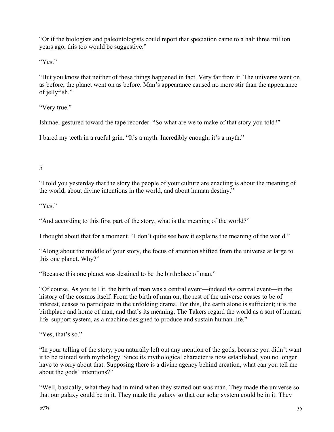"Or if the biologists and paleontologists could report that speciation came to a halt three million years ago, this too would be suggestive."

"Yes."

"But you know that neither of these things happened in fact. Very far from it. The universe went on as before, the planet went on as before. Man's appearance caused no more stir than the appearance of jellyfish."

"Very true."

Ishmael gestured toward the tape recorder. "So what are we to make of that story you told?"

I bared my teeth in a rueful grin. "It's a myth. Incredibly enough, it's a myth."

5

"I told you yesterday that the story the people of your culture are enacting is about the meaning of the world, about divine intentions in the world, and about human destiny."

"Yes."

"And according to this first part of the story, what is the meaning of the world?"

I thought about that for a moment. "I don't quite see how it explains the meaning of the world."

"Along about the middle of your story, the focus of attention shifted from the universe at large to this one planet. Why?"

"Because this one planet was destined to be the birthplace of man."

"Of course. As you tell it, the birth of man was a central event—indeed *the* central event—in the history of the cosmos itself. From the birth of man on, the rest of the universe ceases to be of interest, ceases to participate in the unfolding drama. For this, the earth alone is sufficient; it is the birthplace and home of man, and that's its meaning. The Takers regard the world as a sort of human life–support system, as a machine designed to produce and sustain human life."

"Yes, that's so."

"In your telling of the story, you naturally left out any mention of the gods, because you didn't want it to be tainted with mythology. Since its mythological character is now established, you no longer have to worry about that. Supposing there is a divine agency behind creation, what can you tell me about the gods' intentions?"

"Well, basically, what they had in mind when they started out was man. They made the universe so that our galaxy could be in it. They made the galaxy so that our solar system could be in it. They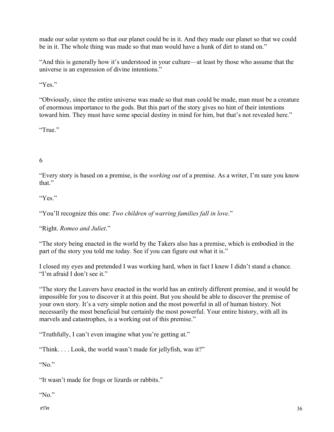made our solar system so that our planet could be in it. And they made our planet so that we could be in it. The whole thing was made so that man would have a hunk of dirt to stand on."

"And this is generally how it's understood in your culture—at least by those who assume that the universe is an expression of divine intentions."

"Yes."

"Obviously, since the entire universe was made so that man could be made, man must be a creature of enormous importance to the gods. But this part of the story gives no hint of their intentions toward him. They must have some special destiny in mind for him, but that's not revealed here."

"True"

# 6

"Every story is based on a premise, is the *working out* of a premise. As a writer, I'm sure you know that."

"Yes."

"You'll recognize this one: *Two children of warring families fall in love*."

"Right. *Romeo and Juliet*."

"The story being enacted in the world by the Takers also has a premise, which is embodied in the part of the story you told me today. See if you can figure out what it is."

I closed my eyes and pretended I was working hard, when in fact I knew I didn't stand a chance. "I'm afraid I don't see it."

"The story the Leavers have enacted in the world has an entirely different premise, and it would be impossible for you to discover it at this point. But you should be able to discover the premise of your own story. It's a very simple notion and the most powerful in all of human history. Not necessarily the most beneficial but certainly the most powerful. Your entire history, with all its marvels and catastrophes, is a working out of this premise."

"Truthfully, I can't even imagine what you're getting at."

"Think. . . . Look, the world wasn't made for jellyfish, was it?"

" $No$ "

"It wasn't made for frogs or lizards or rabbits."

"No."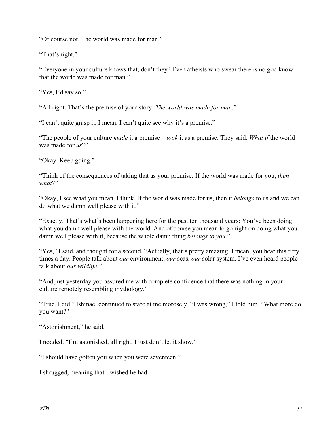"Of course not. The world was made for man."

"That's right."

"Everyone in your culture knows that, don't they? Even atheists who swear there is no god know that the world was made for man."

"Yes, I'd say so."

"All right. That's the premise of your story: *The world was made for man*."

"I can't quite grasp it. I mean, I can't quite see why it's a premise."

"The people of your culture *made* it a premise—*took* it as a premise. They said: *What if* the world was made for *us*?"

"Okay. Keep going."

"Think of the consequences of taking that as your premise: If the world was made for you, *then what*?"

"Okay, I see what you mean. I think. If the world was made for us, then it *belongs* to us and we can do what we damn well please with it."

"Exactly. That's what's been happening here for the past ten thousand years: You've been doing what you damn well please with the world. And of course you mean to go right on doing what you damn well please with it, because the whole damn thing *belongs to you*."

"Yes," I said, and thought for a second. "Actually, that's pretty amazing. I mean, you hear this fifty times a day. People talk about *our* environment, *our* seas, *our* solar system. I've even heard people talk about *our wildlife*."

"And just yesterday you assured me with complete confidence that there was nothing in your culture remotely resembling mythology."

"True. I did." Ishmael continued to stare at me morosely. "I was wrong," I told him. "What more do you want?"

"Astonishment," he said.

I nodded. "I'm astonished, all right. I just don't let it show."

"I should have gotten you when you were seventeen."

I shrugged, meaning that I wished he had.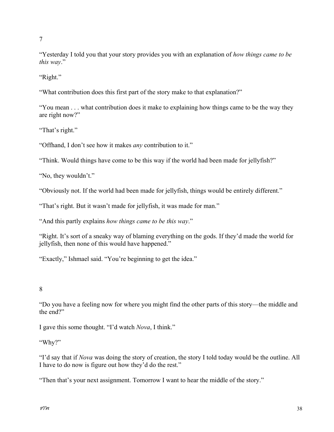7

"Yesterday I told you that your story provides you with an explanation of *how things came to be this way*."

"Right."

"What contribution does this first part of the story make to that explanation?"

"You mean . . . what contribution does it make to explaining how things came to be the way they are right now?"

"That's right."

"Offhand, I don't see how it makes *any* contribution to it."

"Think. Would things have come to be this way if the world had been made for jellyfish?"

"No, they wouldn't."

"Obviously not. If the world had been made for jellyfish, things would be entirely different."

"That's right. But it wasn't made for jellyfish, it was made for man."

"And this partly explains *how things came to be this way*."

"Right. It's sort of a sneaky way of blaming everything on the gods. If they'd made the world for jellyfish, then none of this would have happened."

"Exactly," Ishmael said. "You're beginning to get the idea."

#### 8

"Do you have a feeling now for where you might find the other parts of this story—the middle and the end?"

I gave this some thought. "I'd watch *Nova*, I think."

"Why?"

"I'd say that if *Nova* was doing the story of creation, the story I told today would be the outline. All I have to do now is figure out how they'd do the rest."

"Then that's your next assignment. Tomorrow I want to hear the middle of the story."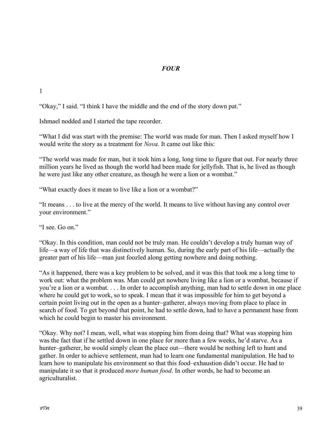#### *FOUR*

1

"Okay," I said. "I think I have the middle and the end of the story down pat."

Ishmael nodded and I started the tape recorder.

"What I did was start with the premise: The world was made for man. Then I asked myself how I would write the story as a treatment for *Nova*. It came out like this:

"The world was made for man, but it took him a long, long time to figure that out. For nearly three million years he lived as though the world had been made for jellyfish. That is, he lived as though he were just like any other creature, as though he were a lion or a wombat."

"What exactly does it mean to live like a lion or a wombat?"

"It means . . . to live at the mercy of the world. It means to live without having any control over your environment."

"I see. Go on."

"Okay. In this condition, man could not be truly man. He couldn't develop a truly human way of life—a way of life that was distinctively human. So, during the early part of his life—actually the greater part of his life—man just foozled along getting nowhere and doing nothing.

"As it happened, there was a key problem to be solved, and it was this that took me a long time to work out: what the problem was. Man could get nowhere living like a lion or a wombat, because if you're a lion or a wombat. . . . In order to accomplish anything, man had to settle down in one place where he could get to work, so to speak. I mean that it was impossible for him to get beyond a certain point living out in the open as a hunter–gatherer, always moving from place to place in search of food. To get beyond that point, he had to settle down, had to have a permanent base from which he could begin to master his environment.

"Okay. Why not? I mean, well, what was stopping him from doing that? What was stopping him was the fact that if he settled down in one place for more than a few weeks, he'd starve. As a hunter–gatherer, he would simply clean the place out—there would be nothing left to hunt and gather. In order to achieve settlement, man had to learn one fundamental manipulation. He had to learn how to manipulate his environment so that this food–exhaustion didn't occur. He had to manipulate it so that it produced *more human food*. In other words, he had to become an agriculturalist.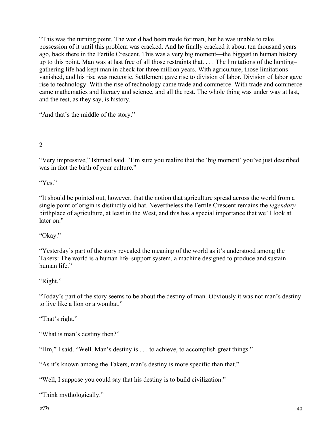"This was the turning point. The world had been made for man, but he was unable to take possession of it until this problem was cracked. And he finally cracked it about ten thousand years ago, back there in the Fertile Crescent. This was a very big moment—the biggest in human history up to this point. Man was at last free of all those restraints that. . . . The limitations of the hunting– gathering life had kept man in check for three million years. With agriculture, those limitations vanished, and his rise was meteoric. Settlement gave rise to division of labor. Division of labor gave rise to technology. With the rise of technology came trade and commerce. With trade and commerce came mathematics and literacy and science, and all the rest. The whole thing was under way at last, and the rest, as they say, is history.

"And that's the middle of the story."

## 2

"Very impressive," Ishmael said. "I'm sure you realize that the 'big moment' you've just described was in fact the birth of your culture."

"Yes."

"It should be pointed out, however, that the notion that agriculture spread across the world from a single point of origin is distinctly old hat. Nevertheless the Fertile Crescent remains the *legendary* birthplace of agriculture, at least in the West, and this has a special importance that we'll look at later on."

"Okay."

"Yesterday's part of the story revealed the meaning of the world as it's understood among the Takers: The world is a human life–support system, a machine designed to produce and sustain human life."

"Right."

"Today's part of the story seems to be about the destiny of man. Obviously it was not man's destiny to live like a lion or a wombat."

"That's right."

"What is man's destiny then?"

"Hm," I said. "Well. Man's destiny is . . . to achieve, to accomplish great things."

"As it's known among the Takers, man's destiny is more specific than that."

"Well, I suppose you could say that his destiny is to build civilization."

"Think mythologically."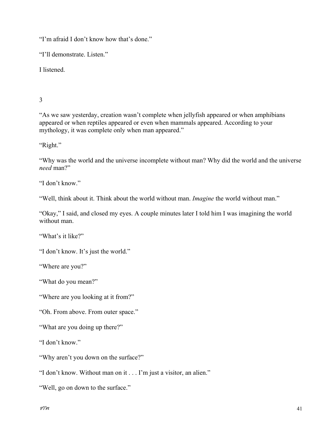"I'm afraid I don't know how that's done."

"I'll demonstrate. Listen."

I listened.

# 3

"As we saw yesterday, creation wasn't complete when jellyfish appeared or when amphibians appeared or when reptiles appeared or even when mammals appeared. According to your mythology, it was complete only when man appeared."

"Right."

"Why was the world and the universe incomplete without man? Why did the world and the universe *need* man?"

"I don't know"

"Well, think about it. Think about the world without man. *Imagine* the world without man."

"Okay," I said, and closed my eyes. A couple minutes later I told him I was imagining the world without man.

"What's it like?"

"I don't know. It's just the world."

"Where are you?"

"What do you mean?"

"Where are you looking at it from?"

"Oh. From above. From outer space."

"What are you doing up there?"

"I don't know."

"Why aren't you down on the surface?"

"I don't know. Without man on it . . . I'm just a visitor, an alien."

"Well, go on down to the surface."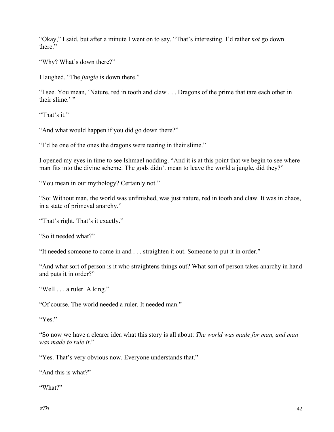"Okay," I said, but after a minute I went on to say, "That's interesting. I'd rather *not* go down there."

"Why? What's down there?"

I laughed. "The *jungle* is down there."

"I see. You mean, 'Nature, red in tooth and claw . . . Dragons of the prime that tare each other in their slime.'"

"That's it."

"And what would happen if you did go down there?"

"I'd be one of the ones the dragons were tearing in their slime."

I opened my eyes in time to see Ishmael nodding. "And it is at this point that we begin to see where man fits into the divine scheme. The gods didn't mean to leave the world a jungle, did they?"

"You mean in our mythology? Certainly not."

"So: Without man, the world was unfinished, was just nature, red in tooth and claw. It was in chaos, in a state of primeval anarchy."

"That's right. That's it exactly."

"So it needed what?"

"It needed someone to come in and . . . straighten it out. Someone to put it in order."

"And what sort of person is it who straightens things out? What sort of person takes anarchy in hand and puts it in order?"

"Well . . . a ruler. A king."

"Of course. The world needed a ruler. It needed man."

"Yes"

"So now we have a clearer idea what this story is all about: *The world was made for man, and man was made to rule it*."

"Yes. That's very obvious now. Everyone understands that."

"And this is what?"

"What?"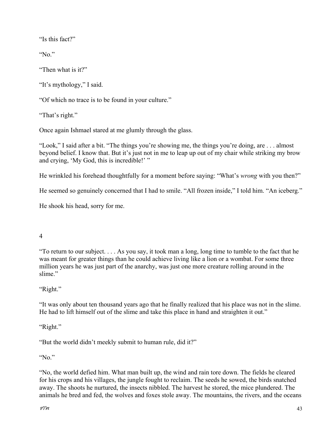"Is this fact?"

"No."

"Then what is it?"

"It's mythology," I said.

"Of which no trace is to be found in your culture."

"That's right."

Once again Ishmael stared at me glumly through the glass.

"Look," I said after a bit. "The things you're showing me, the things you're doing, are . . . almost beyond belief. I know that. But it's just not in me to leap up out of my chair while striking my brow and crying, 'My God, this is incredible!' "

He wrinkled his forehead thoughtfully for a moment before saying: "What's *wrong* with you then?"

He seemed so genuinely concerned that I had to smile. "All frozen inside," I told him. "An iceberg."

He shook his head, sorry for me.

#### 4

"To return to our subject. . . . As you say, it took man a long, long time to tumble to the fact that he was meant for greater things than he could achieve living like a lion or a wombat. For some three million years he was just part of the anarchy, was just one more creature rolling around in the slime"

"Right."

"It was only about ten thousand years ago that he finally realized that his place was not in the slime. He had to lift himself out of the slime and take this place in hand and straighten it out."

"Right."

"But the world didn't meekly submit to human rule, did it?"

"No."

"No, the world defied him. What man built up, the wind and rain tore down. The fields he cleared for his crops and his villages, the jungle fought to reclaim. The seeds he sowed, the birds snatched away. The shoots he nurtured, the insects nibbled. The harvest he stored, the mice plundered. The animals he bred and fed, the wolves and foxes stole away. The mountains, the rivers, and the oceans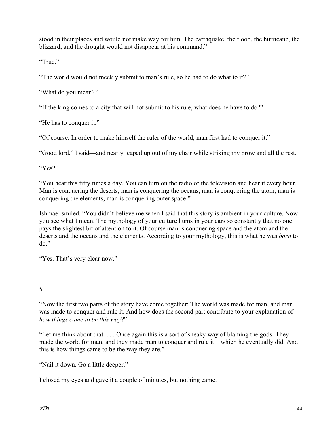stood in their places and would not make way for him. The earthquake, the flood, the hurricane, the blizzard, and the drought would not disappear at his command."

"True."

"The world would not meekly submit to man's rule, so he had to do what to it?"

"What do you mean?"

"If the king comes to a city that will not submit to his rule, what does he have to do?"

"He has to conquer it."

"Of course. In order to make himself the ruler of the world, man first had to conquer it."

"Good lord," I said—and nearly leaped up out of my chair while striking my brow and all the rest.

"Yes?"

"You hear this fifty times a day. You can turn on the radio or the television and hear it every hour. Man is conquering the deserts, man is conquering the oceans, man is conquering the atom, man is conquering the elements, man is conquering outer space."

Ishmael smiled. "You didn't believe me when I said that this story is ambient in your culture. Now you see what I mean. The mythology of your culture hums in your ears so constantly that no one pays the slightest bit of attention to it. Of course man is conquering space and the atom and the deserts and the oceans and the elements. According to your mythology, this is what he was *born* to do."

"Yes. That's very clear now."

## 5

"Now the first two parts of the story have come together: The world was made for man, and man was made to conquer and rule it. And how does the second part contribute to your explanation of *how things came to be this way*?"

"Let me think about that. . . . Once again this is a sort of sneaky way of blaming the gods. They made the world for man, and they made man to conquer and rule it—which he eventually did. And this is how things came to be the way they are."

"Nail it down. Go a little deeper."

I closed my eyes and gave it a couple of minutes, but nothing came.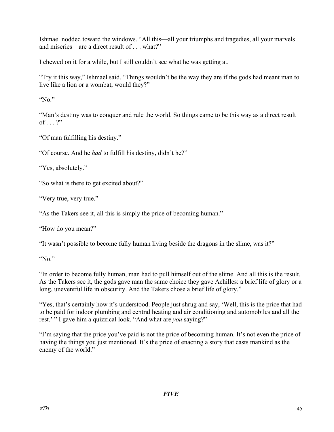Ishmael nodded toward the windows. "All this—all your triumphs and tragedies, all your marvels and miseries—are a direct result of . . . what?"

I chewed on it for a while, but I still couldn't see what he was getting at.

"Try it this way," Ishmael said. "Things wouldn't be the way they are if the gods had meant man to live like a lion or a wombat, would they?"

" $No$ "

"Man's destiny was to conquer and rule the world. So things came to be this way as a direct result of  $\ldots$  ?"

"Of man fulfilling his destiny."

"Of course. And he *had* to fulfill his destiny, didn't he?"

"Yes, absolutely."

"So what is there to get excited about?"

"Very true, very true."

"As the Takers see it, all this is simply the price of becoming human."

"How do you mean?"

"It wasn't possible to become fully human living beside the dragons in the slime, was it?"

"No."

"In order to become fully human, man had to pull himself out of the slime. And all this is the result. As the Takers see it, the gods gave man the same choice they gave Achilles: a brief life of glory or a long, uneventful life in obscurity. And the Takers chose a brief life of glory."

"Yes, that's certainly how it's understood. People just shrug and say, 'Well, this is the price that had to be paid for indoor plumbing and central heating and air conditioning and automobiles and all the rest.' " I gave him a quizzical look. "And what are *you* saying?"

"I'm saying that the price you've paid is not the price of becoming human. It's not even the price of having the things you just mentioned. It's the price of enacting a story that casts mankind as the enemy of the world."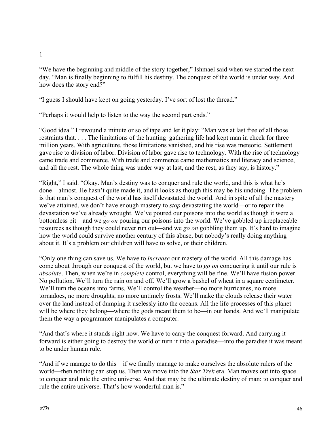#### 1

"We have the beginning and middle of the story together," Ishmael said when we started the next day. "Man is finally beginning to fulfill his destiny. The conquest of the world is under way. And how does the story end?"

"I guess I should have kept on going yesterday. I've sort of lost the thread."

"Perhaps it would help to listen to the way the second part ends."

"Good idea." I rewound a minute or so of tape and let it play: "Man was at last free of all those restraints that. . . . The limitations of the hunting–gathering life had kept man in check for three million years. With agriculture, those limitations vanished, and his rise was meteoric. Settlement gave rise to division of labor. Division of labor gave rise to technology. With the rise of technology came trade and commerce. With trade and commerce came mathematics and literacy and science, and all the rest. The whole thing was under way at last, and the rest, as they say, is history."

"Right," I said. "Okay. Man's destiny was to conquer and rule the world, and this is what he's done—almost. He hasn't quite made it, and it looks as though this may be his undoing. The problem is that man's conquest of the world has itself devastated the world. And in spite of all the mastery we've attained, we don't have enough mastery to *stop* devastating the world—or to repair the devastation we've already wrought. We've poured our poisons into the world as though it were a bottomless pit—and we *go on* pouring our poisons into the world. We've gobbled up irreplaceable resources as though they could never run out—and we *go on* gobbling them up. It's hard to imagine how the world could survive another century of this abuse, but nobody's really doing anything about it. It's a problem our children will have to solve, or their children.

"Only one thing can save us. We have to *increase* our mastery of the world. All this damage has come about through our conquest of the world, but we have to *go on* conquering it until our rule is *absolute*. Then, when we're in *complete* control, everything will be fine. We'll have fusion power. No pollution. We'll turn the rain on and off. We'll grow a bushel of wheat in a square centimeter. We'll turn the oceans into farms. We'll control the weather—no more hurricanes, no more tornadoes, no more droughts, no more untimely frosts. We'll make the clouds release their water over the land instead of dumping it uselessly into the oceans. All the life processes of this planet will be where they belong—where the gods meant them to be—in our hands. And we'll manipulate them the way a programmer manipulates a computer.

"And that's where it stands right now. We have to carry the conquest forward. And carrying it forward is either going to destroy the world or turn it into a paradise—into the paradise it was meant to be under human rule.

"And if we manage to do this—if we finally manage to make ourselves the absolute rulers of the world—then nothing can stop us. Then we move into the *Star Trek* era. Man moves out into space to conquer and rule the entire universe. And that may be the ultimate destiny of man: to conquer and rule the entire universe. That's how wonderful man is."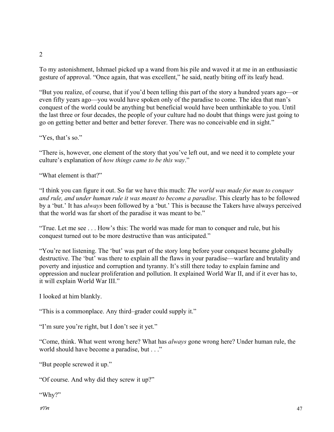2

To my astonishment, Ishmael picked up a wand from his pile and waved it at me in an enthusiastic gesture of approval. "Once again, that was excellent," he said, neatly biting off its leafy head.

"But you realize, of course, that if you'd been telling this part of the story a hundred years ago—or even fifty years ago—you would have spoken only of the paradise to come. The idea that man's conquest of the world could be anything but beneficial would have been unthinkable to you. Until the last three or four decades, the people of your culture had no doubt that things were just going to go on getting better and better and better forever. There was no conceivable end in sight."

"Yes, that's so."

"There is, however, one element of the story that you've left out, and we need it to complete your culture's explanation of *how things came to be this way*."

"What element is that?"

"I think you can figure it out. So far we have this much: *The world was made for man to conquer and rule, and under human rule it was meant to become a paradise*. This clearly has to be followed by a 'but.' It has *always* been followed by a 'but.' This is because the Takers have always perceived that the world was far short of the paradise it was meant to be."

"True. Let me see . . . How's this: The world was made for man to conquer and rule, but his conquest turned out to be more destructive than was anticipated."

"You're not listening. The 'but' was part of the story long before your conquest became globally destructive. The 'but' was there to explain all the flaws in your paradise—warfare and brutality and poverty and injustice and corruption and tyranny. It's still there today to explain famine and oppression and nuclear proliferation and pollution. It explained World War II, and if it ever has to, it will explain World War III."

I looked at him blankly.

"This is a commonplace. Any third–grader could supply it."

"I'm sure you're right, but I don't see it yet."

"Come, think. What went wrong here? What has *always* gone wrong here? Under human rule, the world should have become a paradise, but . . ."

"But people screwed it up."

"Of course. And why did they screw it up?"

"Why?"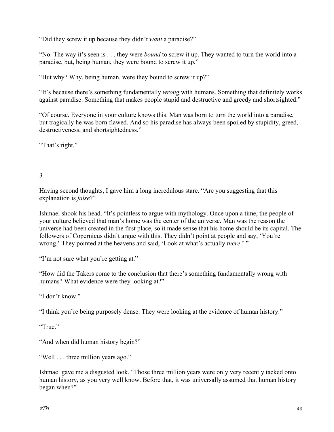"Did they screw it up because they didn't *want* a paradise?"

"No. The way it's seen is . . . they were *bound* to screw it up. They wanted to turn the world into a paradise, but, being human, they were bound to screw it up."

"But why? Why, being human, were they bound to screw it up?"

"It's because there's something fundamentally *wrong* with humans. Something that definitely works against paradise. Something that makes people stupid and destructive and greedy and shortsighted."

"Of course. Everyone in your culture knows this. Man was born to turn the world into a paradise, but tragically he was born flawed. And so his paradise has always been spoiled by stupidity, greed, destructiveness, and shortsightedness."

"That's right."

## 3

Having second thoughts, I gave him a long incredulous stare. "Are you suggesting that this explanation is *false*?"

Ishmael shook his head. "It's pointless to argue with mythology. Once upon a time, the people of your culture believed that man's home was the center of the universe. Man was the reason the universe had been created in the first place, so it made sense that his home should be its capital. The followers of Copernicus didn't argue with this. They didn't point at people and say, 'You're wrong.' They pointed at the heavens and said, 'Look at what's actually *there*.' "

"I'm not sure what you're getting at."

"How did the Takers come to the conclusion that there's something fundamentally wrong with humans? What evidence were they looking at?"

"I don't know"

"I think you're being purposely dense. They were looking at the evidence of human history."

"True."

"And when did human history begin?"

"Well . . . three million years ago."

Ishmael gave me a disgusted look. "Those three million years were only very recently tacked onto human history, as you very well know. Before that, it was universally assumed that human history began when?"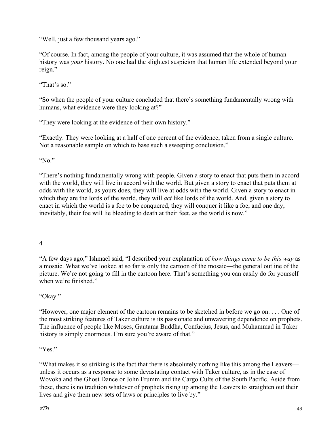"Well, just a few thousand years ago."

"Of course. In fact, among the people of your culture, it was assumed that the whole of human history was *your* history. No one had the slightest suspicion that human life extended beyond your reign."

"That's so."

"So when the people of your culture concluded that there's something fundamentally wrong with humans, what evidence were they looking at?"

"They were looking at the evidence of their own history."

"Exactly. They were looking at a half of one percent of the evidence, taken from a single culture. Not a reasonable sample on which to base such a sweeping conclusion."

"No."

"There's nothing fundamentally wrong with people. Given a story to enact that puts them in accord with the world, they will live in accord with the world. But given a story to enact that puts them at odds with the world, as yours does, they will live at odds with the world. Given a story to enact in which they are the lords of the world, they will *act* like lords of the world. And, given a story to enact in which the world is a foe to be conquered, they will conquer it like a foe, and one day, inevitably, their foe will lie bleeding to death at their feet, as the world is now."

## 4

"A few days ago," Ishmael said, "I described your explanation of *how things came to be this way* as a mosaic. What we've looked at so far is only the cartoon of the mosaic—the general outline of the picture. We're not going to fill in the cartoon here. That's something you can easily do for yourself when we're finished."

## "Okay."

"However, one major element of the cartoon remains to be sketched in before we go on. . . . One of the most striking features of Taker culture is its passionate and unwavering dependence on prophets. The influence of people like Moses, Gautama Buddha, Confucius, Jesus, and Muhammad in Taker history is simply enormous. I'm sure you're aware of that."

#### "Yes"

"What makes it so striking is the fact that there is absolutely nothing like this among the Leavers unless it occurs as a response to some devastating contact with Taker culture, as in the case of Wovoka and the Ghost Dance or John Frumm and the Cargo Cults of the South Pacific. Aside from these, there is no tradition whatever of prophets rising up among the Leavers to straighten out their lives and give them new sets of laws or principles to live by."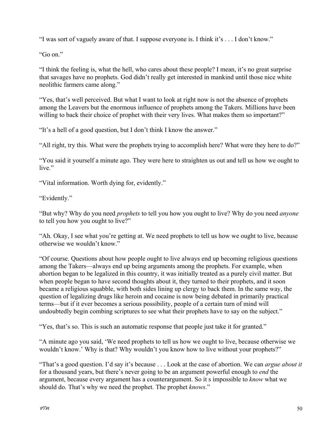"I was sort of vaguely aware of that. I suppose everyone is. I think it's . . . I don't know."

"Go on."

"I think the feeling is, what the hell, who cares about these people? I mean, it's no great surprise that savages have no prophets. God didn't really get interested in mankind until those nice white neolithic farmers came along."

"Yes, that's well perceived. But what I want to look at right now is not the absence of prophets among the Leavers but the enormous influence of prophets among the Takers. Millions have been willing to back their choice of prophet with their very lives. What makes them so important?"

"It's a hell of a good question, but I don't think I know the answer."

"All right, try this. What were the prophets trying to accomplish here? What were they here to do?"

"You said it yourself a minute ago. They were here to straighten us out and tell us how we ought to live."

"Vital information. Worth dying for, evidently."

"Evidently."

"But why? Why do you need *prophets* to tell you how you ought to live? Why do you need *anyone* to tell you how you ought to live?"

"Ah. Okay, I see what you're getting at. We need prophets to tell us how we ought to live, because otherwise we wouldn't know."

"Of course. Questions about how people ought to live always end up becoming religious questions among the Takers—always end up being arguments among the prophets. For example, when abortion began to be legalized in this country, it was initially treated as a purely civil matter. But when people began to have second thoughts about it, they turned to their prophets, and it soon became a religious squabble, with both sides lining up clergy to back them. In the same way, the question of legalizing drugs like heroin and cocaine is now being debated in primarily practical terms—but if it ever becomes a serious possibility, people of a certain turn of mind will undoubtedly begin combing scriptures to see what their prophets have to say on the subject."

"Yes, that's so. This is such an automatic response that people just take it for granted."

"A minute ago you said, 'We need prophets to tell us how we ought to live, because otherwise we wouldn't know.' Why is that? Why wouldn't you know how to live without your prophets?"

"That's a good question. I'd say it's because . . . Look at the case of abortion. We can *argue about it* for a thousand years, but there's never going to be an argument powerful enough to *end* the argument, because every argument has a counterargument. So it s impossible to *know* what we should do. That's why we need the prophet. The prophet *knows*."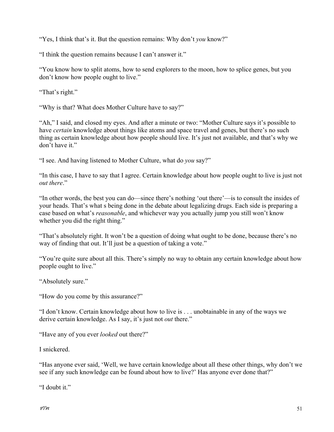"Yes, I think that's it. But the question remains: Why don't *you* know?"

"I think the question remains because I can't answer it."

"You know how to split atoms, how to send explorers to the moon, how to splice genes, but you don't know how people ought to live."

"That's right."

"Why is that? What does Mother Culture have to say?"

"Ah," I said, and closed my eyes. And after a minute or two: "Mother Culture says it's possible to have *certain* knowledge about things like atoms and space travel and genes, but there's no such thing as certain knowledge about how people should live. It's just not available, and that's why we don't have it."

"I see. And having listened to Mother Culture, what do *you* say?"

"In this case, I have to say that I agree. Certain knowledge about how people ought to live is just not *out there*."

"In other words, the best you can do—since there's nothing 'out there'—is to consult the insides of your heads. That's what s being done in the debate about legalizing drugs. Each side is preparing a case based on what's *reasonable*, and whichever way you actually jump you still won't know whether you did the right thing."

"That's absolutely right. It won't be a question of doing what ought to be done, because there's no way of finding that out. It'll just be a question of taking a vote."

"You're quite sure about all this. There's simply no way to obtain any certain knowledge about how people ought to live."

"Absolutely sure."

"How do you come by this assurance?"

"I don't know. Certain knowledge about how to live is . . . unobtainable in any of the ways we derive certain knowledge. As I say, it's just not *out* there."

"Have any of you ever *looked* out there?"

I snickered.

"Has anyone ever said, 'Well, we have certain knowledge about all these other things, why don't we see if any such knowledge can be found about how to live?' Has anyone ever done that?"

"I doubt it."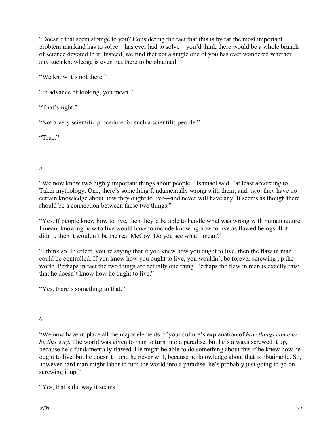"Doesn't that seem strange to you? Considering the fact that this is by far the most important problem mankind has to solve—has ever had to solve—you'd think there would be a whole branch of science devoted to it. Instead, we find that not a single one of you has ever wondered whether any such knowledge is even out there to be obtained."

"We know it's not there."

"In advance of looking, you mean."

"That's right."

"Not a very scientific procedure for such a scientific people."

"True."

# 5

"We now know two highly important things about people," Ishmael said, "at least according to Taker mythology. One, there's something fundamentally wrong with them, and, two, they have no certain knowledge about how they ought to live—and never will have any. It seems as though there should be a connection between these two things."

"Yes. If people knew how to live, then they'd be able to handle what was wrong with human nature. I mean, knowing how to live would have to include knowing how to live as flawed beings. If it didn't, then it wouldn't be the real McCoy. Do you see what I mean?"

"I think so. In effect, you're saying that if you knew how you ought to live, then the flaw in man could be controlled. If you knew how you ought to live, you wouldn't be forever screwing up the world. Perhaps in fact the two things are actually one thing. Perhaps the flaw in man is exactly this: that he doesn't know how he ought to live."

"Yes, there's something to that."

## 6

"We now have in place all the major elements of your culture's explanation of *how things came to be this way*. The world was given to man to turn into a paradise, but he's always screwed it up, because he's fundamentally flawed. He might be able to do something about this if he knew how he ought to live, but he doesn't—and he never will, because no knowledge about that is obtainable. So, however hard man might labor to turn the world into a paradise, he's probably just going to go on screwing it up."

"Yes, that's the way it seems."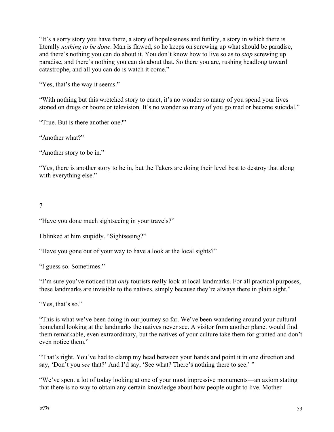"It's a sorry story you have there, a story of hopelessness and futility, a story in which there is literally *nothing to be done*. Man is flawed, so he keeps on screwing up what should be paradise, and there's nothing you can do about it. You don't know how to live so as to *stop* screwing up paradise, and there's nothing you can do about that. So there you are, rushing headlong toward catastrophe, and all you can do is watch it come."

"Yes, that's the way it seems."

"With nothing but this wretched story to enact, it's no wonder so many of you spend your lives stoned on drugs or booze or television. It's no wonder so many of you go mad or become suicidal."

"True. But is there another one?"

"Another what?"

"Another story to be in."

"Yes, there is another story to be in, but the Takers are doing their level best to destroy that along with everything else."

#### 7

"Have you done much sightseeing in your travels?"

I blinked at him stupidly. "Sightseeing?"

"Have you gone out of your way to have a look at the local sights?"

"I guess so. Sometimes."

"I'm sure you've noticed that *only* tourists really look at local landmarks. For all practical purposes, these landmarks are invisible to the natives, simply because they're always there in plain sight."

"Yes, that's so."

"This is what we've been doing in our journey so far. We've been wandering around your cultural homeland looking at the landmarks the natives never see. A visitor from another planet would find them remarkable, even extraordinary, but the natives of your culture take them for granted and don't even notice them."

"That's right. You've had to clamp my head between your hands and point it in one direction and say, 'Don't you *see* that?' And I'd say, 'See what? There's nothing there to see.' "

"We've spent a lot of today looking at one of your most impressive monuments—an axiom stating that there is no way to obtain any certain knowledge about how people ought to live. Mother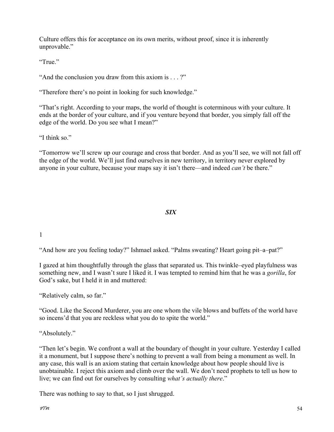Culture offers this for acceptance on its own merits, without proof, since it is inherently unprovable."

"True."

"And the conclusion you draw from this axiom is . . . ?"

"Therefore there's no point in looking for such knowledge."

"That's right. According to your maps, the world of thought is coterminous with your culture. It ends at the border of your culture, and if you venture beyond that border, you simply fall off the edge of the world. Do you see what I mean?"

"I think so"

"Tomorrow we'll screw up our courage and cross that border. And as you'll see, we will not fall off the edge of the world. We'll just find ourselves in new territory, in territory never explored by anyone in your culture, because your maps say it isn't there—and indeed *can't* be there."

# *SIX*

1

"And how are you feeling today?" Ishmael asked. "Palms sweating? Heart going pit–a–pat?"

I gazed at him thoughtfully through the glass that separated us. This twinkle–eyed playfulness was something new, and I wasn't sure I liked it. I was tempted to remind him that he was a *gorilla*, for God's sake, but I held it in and muttered:

"Relatively calm, so far."

"Good. Like the Second Murderer, you are one whom the vile blows and buffets of the world have so incens'd that you are reckless what you do to spite the world."

"Absolutely."

"Then let's begin. We confront a wall at the boundary of thought in your culture. Yesterday I called it a monument, but I suppose there's nothing to prevent a wall from being a monument as well. In any case, this wall is an axiom stating that certain knowledge about how people should live is unobtainable. I reject this axiom and climb over the wall. We don't need prophets to tell us how to live; we can find out for ourselves by consulting *what's actually there*."

There was nothing to say to that, so I just shrugged.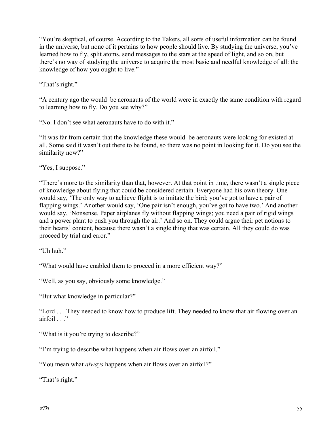"You're skeptical, of course. According to the Takers, all sorts of useful information can be found in the universe, but none of it pertains to how people should live. By studying the universe, you've learned how to fly, split atoms, send messages to the stars at the speed of light, and so on, but there's no way of studying the universe to acquire the most basic and needful knowledge of all: the knowledge of how you ought to live."

"That's right."

"A century ago the would–be aeronauts of the world were in exactly the same condition with regard to learning how to fly. Do you see why?"

"No. I don't see what aeronauts have to do with it."

"It was far from certain that the knowledge these would–be aeronauts were looking for existed at all. Some said it wasn't out there to be found, so there was no point in looking for it. Do you see the similarity now?"

"Yes, I suppose."

"There's more to the similarity than that, however. At that point in time, there wasn't a single piece of knowledge about flying that could be considered certain. Everyone had his own theory. One would say, 'The only way to achieve flight is to imitate the bird; you've got to have a pair of flapping wings.' Another would say, 'One pair isn't enough, you've got to have two.' And another would say, 'Nonsense. Paper airplanes fly without flapping wings; you need a pair of rigid wings and a power plant to push you through the air.' And so on. They could argue their pet notions to their hearts' content, because there wasn't a single thing that was certain. All they could do was proceed by trial and error."

"Uh huh"

"What would have enabled them to proceed in a more efficient way?"

"Well, as you say, obviously some knowledge."

"But what knowledge in particular?"

"Lord . . . They needed to know how to produce lift. They needed to know that air flowing over an airfoil . . ."

"What is it you're trying to describe?"

"I'm trying to describe what happens when air flows over an airfoil."

"You mean what *always* happens when air flows over an airfoil?"

"That's right."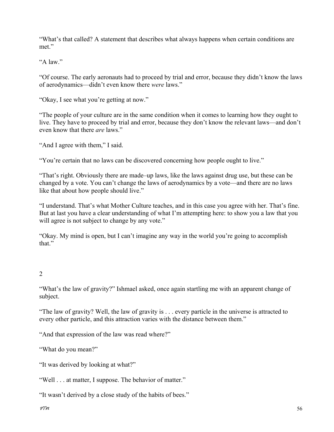"What's that called? A statement that describes what always happens when certain conditions are met."

"A law."

"Of course. The early aeronauts had to proceed by trial and error, because they didn't know the laws of aerodynamics—didn't even know there *were* laws."

"Okay, I see what you're getting at now."

"The people of your culture are in the same condition when it comes to learning how they ought to live. They have to proceed by trial and error, because they don't know the relevant laws—and don't even know that there *are* laws."

"And I agree with them," I said.

"You're certain that no laws can be discovered concerning how people ought to live."

"That's right. Obviously there are made–up laws, like the laws against drug use, but these can be changed by a vote. You can't change the laws of aerodynamics by a vote—and there are no laws like that about how people should live."

"I understand. That's what Mother Culture teaches, and in this case you agree with her. That's fine. But at last you have a clear understanding of what I'm attempting here: to show you a law that you will agree is not subject to change by any vote."

"Okay. My mind is open, but I can't imagine any way in the world you're going to accomplish that."

# 2

"What's the law of gravity?" Ishmael asked, once again startling me with an apparent change of subject.

"The law of gravity? Well, the law of gravity is . . . every particle in the universe is attracted to every other particle, and this attraction varies with the distance between them."

"And that expression of the law was read where?"

"What do you mean?"

"It was derived by looking at what?"

"Well . . . at matter, I suppose. The behavior of matter."

"It wasn't derived by a close study of the habits of bees."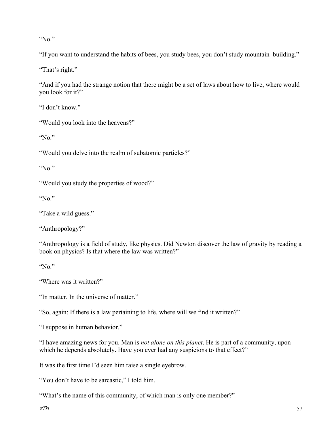"No."

"If you want to understand the habits of bees, you study bees, you don't study mountain–building."

"That's right."

"And if you had the strange notion that there might be a set of laws about how to live, where would you look for it?"

"I don't know."

"Would you look into the heavens?"

"No."

"Would you delve into the realm of subatomic particles?"

"No."

"Would you study the properties of wood?"

"No."

"Take a wild guess."

"Anthropology?"

"Anthropology is a field of study, like physics. Did Newton discover the law of gravity by reading a book on physics? Is that where the law was written?"

"No."

"Where was it written?"

"In matter. In the universe of matter."

"So, again: If there is a law pertaining to life, where will we find it written?"

"I suppose in human behavior."

"I have amazing news for you. Man is *not alone on this planet*. He is part of a community, upon which he depends absolutely. Have you ever had any suspicions to that effect?"

It was the first time I'd seen him raise a single eyebrow.

"You don't have to be sarcastic," I told him.

"What's the name of this community, of which man is only one member?"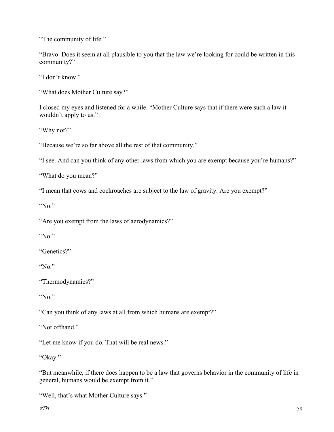"The community of life."

"Bravo. Does it seem at all plausible to you that the law we're looking for could be written in this community?"

"I don't know."

"What does Mother Culture say?"

I closed my eyes and listened for a while. "Mother Culture says that if there were such a law it wouldn't apply to us."

"Why not?"

"Because we're so far above all the rest of that community."

"I see. And can you think of any other laws from which you are exempt because you're humans?"

"What do you mean?"

"I mean that cows and cockroaches are subject to the law of gravity. Are you exempt?"

"No."

"Are you exempt from the laws of aerodynamics?"

"No."

"Genetics?"

"No."

"Thermodynamics?"

"No."

"Can you think of any laws at all from which humans are exempt?"

"Not offhand."

"Let me know if you do. That will be real news."

"Okay."

"But meanwhile, if there does happen to be a law that governs behavior in the community of life in general, humans would be exempt from it."

"Well, that's what Mother Culture says."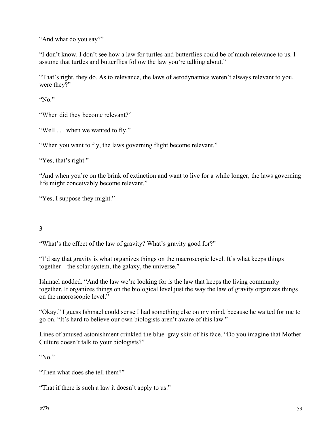"And what do you say?"

"I don't know. I don't see how a law for turtles and butterflies could be of much relevance to us. I assume that turtles and butterflies follow the law you're talking about."

"That's right, they do. As to relevance, the laws of aerodynamics weren't always relevant to you, were they?"

" $No$ "

"When did they become relevant?"

"Well . . . when we wanted to fly."

"When you want to fly, the laws governing flight become relevant."

"Yes, that's right."

"And when you're on the brink of extinction and want to live for a while longer, the laws governing life might conceivably become relevant."

"Yes, I suppose they might."

3

"What's the effect of the law of gravity? What's gravity good for?"

"I'd say that gravity is what organizes things on the macroscopic level. It's what keeps things together—the solar system, the galaxy, the universe."

Ishmael nodded. "And the law we're looking for is the law that keeps the living community together. It organizes things on the biological level just the way the law of gravity organizes things on the macroscopic level."

"Okay." I guess Ishmael could sense I had something else on my mind, because he waited for me to go on. "It's hard to believe our own biologists aren't aware of this law."

Lines of amused astonishment crinkled the blue–gray skin of his face. "Do you imagine that Mother Culture doesn't talk to your biologists?"

"No."

"Then what does she tell them?"

"That if there is such a law it doesn't apply to us."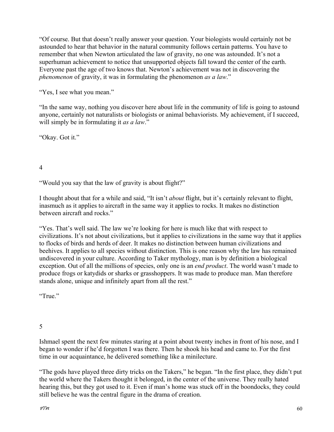"Of course. But that doesn't really answer your question. Your biologists would certainly not be astounded to hear that behavior in the natural community follows certain patterns. You have to remember that when Newton articulated the law of gravity, no one was astounded. It's not a superhuman achievement to notice that unsupported objects fall toward the center of the earth. Everyone past the age of two knows that. Newton's achievement was not in discovering the *phenomenon* of gravity, it was in formulating the phenomenon *as a law*."

"Yes, I see what you mean."

"In the same way, nothing you discover here about life in the community of life is going to astound anyone, certainly not naturalists or biologists or animal behaviorists. My achievement, if I succeed, will simply be in formulating it *as a law*."

"Okay. Got it."

## 4

"Would you say that the law of gravity is about flight?"

I thought about that for a while and said, "It isn't *about* flight, but it's certainly relevant to flight, inasmuch as it applies to aircraft in the same way it applies to rocks. It makes no distinction between aircraft and rocks."

"Yes. That's well said. The law we're looking for here is much like that with respect to civilizations. It's not about civilizations, but it applies to civilizations in the same way that it applies to flocks of birds and herds of deer. It makes no distinction between human civilizations and beehives. It applies to all species without distinction. This is one reason why the law has remained undiscovered in your culture. According to Taker mythology, man is by definition a biological exception. Out of all the millions of species, only one is an *end product*. The world wasn't made to produce frogs or katydids or sharks or grasshoppers. It was made to produce man. Man therefore stands alone, unique and infinitely apart from all the rest."

"True"

## 5

Ishmael spent the next few minutes staring at a point about twenty inches in front of his nose, and I began to wonder if he'd forgotten I was there. Then he shook his head and came to. For the first time in our acquaintance, he delivered something like a minilecture.

"The gods have played three dirty tricks on the Takers," he began. "In the first place, they didn't put the world where the Takers thought it belonged, in the center of the universe. They really hated hearing this, but they got used to it. Even if man's home was stuck off in the boondocks, they could still believe he was the central figure in the drama of creation.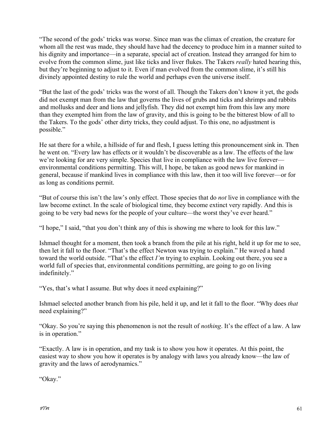"The second of the gods' tricks was worse. Since man was the climax of creation, the creature for whom all the rest was made, they should have had the decency to produce him in a manner suited to his dignity and importance—in a separate, special act of creation. Instead they arranged for him to evolve from the common slime, just like ticks and liver flukes. The Takers *really* hated hearing this, but they're beginning to adjust to it. Even if man evolved from the common slime, it's still his divinely appointed destiny to rule the world and perhaps even the universe itself.

"But the last of the gods' tricks was the worst of all. Though the Takers don't know it yet, the gods did not exempt man from the law that governs the lives of grubs and ticks and shrimps and rabbits and mollusks and deer and lions and jellyfish. They did not exempt him from this law any more than they exempted him from the law of gravity, and this is going to be the bitterest blow of all to the Takers. To the gods' other dirty tricks, they could adjust. To this one, no adjustment is possible."

He sat there for a while, a hillside of fur and flesh, I guess letting this pronouncement sink in. Then he went on. "Every law has effects or it wouldn't be discoverable as a law. The effects of the law we're looking for are very simple. Species that live in compliance with the law live forever environmental conditions permitting. This will, I hope, be taken as good news for mankind in general, because if mankind lives in compliance with this law, then it too will live forever—or for as long as conditions permit.

"But of course this isn't the law's only effect. Those species that do *not* live in compliance with the law become extinct. In the scale of biological time, they become extinct very rapidly. And this is going to be very bad news for the people of your culture—the worst they've ever heard."

"I hope," I said, "that you don't think any of this is showing me where to look for this law."

Ishmael thought for a moment, then took a branch from the pile at his right, held it up for me to see, then let it fall to the floor. "That's the effect Newton was trying to explain." He waved a hand toward the world outside. "That's the effect *I'm* trying to explain. Looking out there, you see a world full of species that, environmental conditions permitting, are going to go on living indefinitely."

"Yes, that's what I assume. But why does it need explaining?"

Ishmael selected another branch from his pile, held it up, and let it fall to the floor. "Why does *that* need explaining?"

"Okay. So you're saying this phenomenon is not the result of *nothing*. It's the effect of a law. A law is in operation."

"Exactly. A law is in operation, and my task is to show you how it operates. At this point, the easiest way to show you how it operates is by analogy with laws you already know—the law of gravity and the laws of aerodynamics."

"Okay."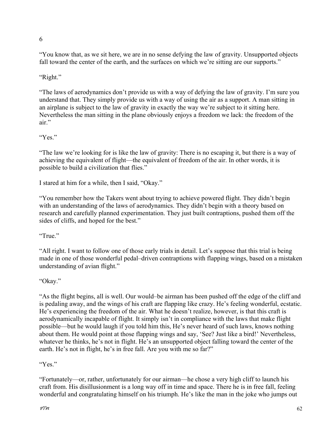6

"You know that, as we sit here, we are in no sense defying the law of gravity. Unsupported objects fall toward the center of the earth, and the surfaces on which we're sitting are our supports."

"Right."

"The laws of aerodynamics don't provide us with a way of defying the law of gravity. I'm sure you understand that. They simply provide us with a way of using the air as a support. A man sitting in an airplane is subject to the law of gravity in exactly the way we're subject to it sitting here. Nevertheless the man sitting in the plane obviously enjoys a freedom we lack: the freedom of the air."

"Yes."

"The law we're looking for is like the law of gravity: There is no escaping it, but there is a way of achieving the equivalent of flight—the equivalent of freedom of the air. In other words, it is possible to build a civilization that flies."

I stared at him for a while, then I said, "Okay."

"You remember how the Takers went about trying to achieve powered flight. They didn't begin with an understanding of the laws of aerodynamics. They didn't begin with a theory based on research and carefully planned experimentation. They just built contraptions, pushed them off the sides of cliffs, and hoped for the best."

"True."

"All right. I want to follow one of those early trials in detail. Let's suppose that this trial is being made in one of those wonderful pedal–driven contraptions with flapping wings, based on a mistaken understanding of avian flight."

"Okay."

"As the flight begins, all is well. Our would–be airman has been pushed off the edge of the cliff and is pedaling away, and the wings of his craft are flapping like crazy. He's feeling wonderful, ecstatic. He's experiencing the freedom of the air. What he doesn't realize, however, is that this craft is aerodynamically incapable of flight. It simply isn't in compliance with the laws that make flight possible—but he would laugh if you told him this, He's never heard of such laws, knows nothing about them. He would point at those flapping wings and say, 'See? Just like a bird!' Nevertheless, whatever he thinks, he's not in flight. He's an unsupported object falling toward the center of the earth. He's not in flight, he's in free fall. Are you with me so far?"

"Yes."

"Fortunately—or, rather, unfortunately for our airman—he chose a very high cliff to launch his craft from. His disillusionment is a long way off in time and space. There he is in free fall, feeling wonderful and congratulating himself on his triumph. He's like the man in the joke who jumps out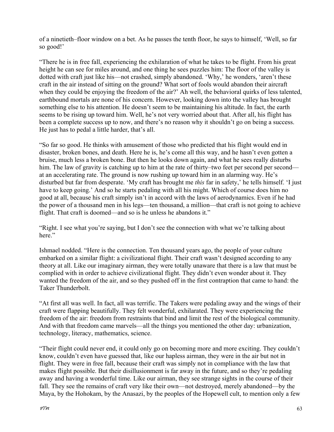of a ninetieth–floor window on a bet. As he passes the tenth floor, he says to himself, 'Well, so far so good!'

"There he is in free fall, experiencing the exhilaration of what he takes to be flight. From his great height he can see for miles around, and one thing he sees puzzles him: The floor of the valley is dotted with craft just like his—not crashed, simply abandoned. 'Why,' he wonders, 'aren't these craft in the air instead of sitting on the ground? What sort of fools would abandon their aircraft when they could be enjoying the freedom of the air?' Ah well, the behavioral quirks of less talented, earthbound mortals are none of his concern. However, looking down into the valley has brought something else to his attention. He doesn't seem to be maintaining his altitude. In fact, the earth seems to be rising up toward him. Well, he's not very worried about that. After all, his flight has been a complete success up to now, and there's no reason why it shouldn't go on being a success. He just has to pedal a little harder, that's all.

"So far so good. He thinks with amusement of those who predicted that his flight would end in disaster, broken bones, and death. Here he is, he's come all this way, and he hasn't even gotten a bruise, much less a broken bone. But then he looks down again, and what he sees really disturbs him. The law of gravity is catching up to him at the rate of thirty–two feet per second per second at an accelerating rate. The ground is now rushing up toward him in an alarming way. He's disturbed but far from desperate. 'My craft has brought me *this* far in safety,' he tells himself. 'I just have to keep going.' And so he starts pedaling with all his might. Which of course does him no good at all, because his craft simply isn't in accord with the laws of aerodynamics. Even if he had the power of a thousand men in his legs—ten thousand, a million—that craft is not going to achieve flight. That craft is doomed—and so is he unless he abandons it."

"Right. I see what you're saying, but I don't see the connection with what we're talking about here."

Ishmael nodded. "Here is the connection. Ten thousand years ago, the people of your culture embarked on a similar flight: a civilizational flight. Their craft wasn't designed according to any theory at all. Like our imaginary airman, they were totally unaware that there is a law that must be complied with in order to achieve civilizational flight. They didn't even wonder about it. They wanted the freedom of the air, and so they pushed off in the first contraption that came to hand: the Taker Thunderbolt.

"At first all was well. In fact, all was terrific. The Takers were pedaling away and the wings of their craft were flapping beautifully. They felt wonderful, exhilarated. They were experiencing the freedom of the air: freedom from restraints that bind and limit the rest of the biological community. And with that freedom came marvels—all the things you mentioned the other day: urbanization, technology, literacy, mathematics, science.

"Their flight could never end, it could only go on becoming more and more exciting. They couldn't know, couldn't even have guessed that, like our hapless airman, they were in the air but not in flight. They were in free fall, because their craft was simply not in compliance with the law that makes flight possible. But their disillusionment is far away in the future, and so they're pedaling away and having a wonderful time. Like our airman, they see strange sights in the course of their fall. They see the remains of craft very like their own—not destroyed, merely abandoned—by the Maya, by the Hohokam, by the Anasazi, by the peoples of the Hopewell cult, to mention only a few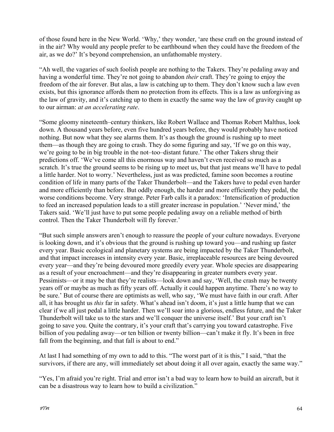of those found here in the New World. 'Why,' they wonder, 'are these craft on the ground instead of in the air? Why would any people prefer to be earthbound when they could have the freedom of the air, as we do?' It's beyond comprehension, an unfathomable mystery.

"Ah well, the vagaries of such foolish people are nothing to the Takers. They're pedaling away and having a wonderful time. They're not going to abandon *their* craft. They're going to enjoy the freedom of the air forever. But alas, a law is catching up to them. They don't know such a law even exists, but this ignorance affords them no protection from its effects. This is a law as unforgiving as the law of gravity, and it's catching up to them in exactly the same way the law of gravity caught up to our airman: *at an accelerating rate*.

"Some gloomy nineteenth–century thinkers, like Robert Wallace and Thomas Robert Malthus, look down. A thousand years before, even five hundred years before, they would probably have noticed nothing. But now what they see alarms them. It's as though the ground is rushing up to meet them—as though they are going to crash. They do some figuring and say, 'If we go on this way, we're going to be in big trouble in the not–too–distant future.' The other Takers shrug their predictions off. 'We've come all this enormous way and haven't even received so much as a scratch. It's true the ground seems to be rising up to meet us, but that just means we'll have to pedal a little harder. Not to worry.' Nevertheless, just as was predicted, famine soon becomes a routine condition of life in many parts of the Taker Thunderbolt—and the Takers have to pedal even harder and more efficiently than before. But oddly enough, the harder and more efficiently they pedal, the worse conditions become. Very strange. Peter Farb calls it a paradox: 'Intensification of production to feed an increased population leads to a still greater increase in population.' 'Never mind,' the Takers said. 'We'll just have to put some people pedaling away on a reliable method of birth control. Then the Taker Thunderbolt will fly forever.'

"But such simple answers aren't enough to reassure the people of your culture nowadays. Everyone is looking down, and it's obvious that the ground is rushing up toward you—and rushing up faster every year. Basic ecological and planetary systems are being impacted by the Taker Thunderbolt, and that impact increases in intensity every year. Basic, irreplaceable resources are being devoured every year—and they're being devoured more greedily every year. Whole species are disappearing as a result of your encroachment—and they're disappearing in greater numbers every year. Pessimists—or it may be that they're realists—look down and say, 'Well, the crash may be twenty years off or maybe as much as fifty years off. Actually it could happen anytime. There's no way to be sure.' But of course there are optimists as well, who say, 'We must have faith in our craft. After all, it has brought us *this* far in safety. What's ahead isn't doom, it's just a little hump that we can clear if we all just pedal a little harder. Then we'll soar into a glorious, endless future, and the Taker Thunderbolt will take us to the stars and we'll conquer the universe itself.' But your craft isn't going to save you. Quite the contrary, it's your craft that's carrying you toward catastrophe. Five billion of you pedaling away—or ten billion or twenty billion—can't make it fly. It's been in free fall from the beginning, and that fall is about to end."

At last I had something of my own to add to this. "The worst part of it is this," I said, "that the survivors, if there are any, will immediately set about doing it all over again, exactly the same way."

"Yes, I'm afraid you're right. Trial and error isn't a bad way to learn how to build an aircraft, but it can be a disastrous way to learn how to build a civilization."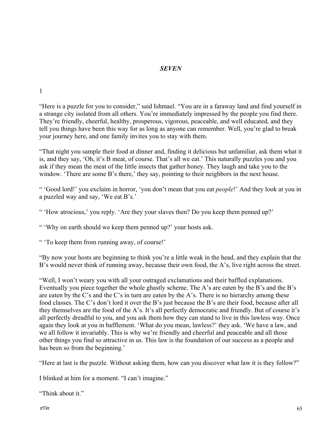#### *SEVEN*

1

"Here is a puzzle for you to consider," said Ishmael. "You are in a faraway land and find yourself in a strange city isolated from all others. You're immediately impressed by the people you find there. They're friendly, cheerful, healthy, prosperous, vigorous, peaceable, and well educated, and they tell you things have been this way for as long as anyone can remember. Well, you're glad to break your journey here, and one family invites you to stay with them.

"That night you sample their food at dinner and, finding it delicious but unfamiliar, ask them what it is, and they say, 'Oh, it's B meat, of course. That's all we eat.' This naturally puzzles you and you ask if they mean the meat of the little insects that gather honey. They laugh and take you to the window. 'There are some B's there,' they say, pointing to their neighbors in the next house.

" 'Good lord!' you exclaim in horror, 'you don't mean that you eat *people*!' And they look at you in a puzzled way and say, 'We eat B's.'

" 'How atrocious,' you reply. 'Are they your slaves then? Do you keep them penned up?'

" 'Why on earth should we keep them penned up?' your hosts ask.

" 'To keep them from running away, of course!'

"By now your hosts are beginning to think you're a little weak in the head, and they explain that the B's would never think of running away, because their own food, the A's, live right across the street.

"Well, I won't weary you with all your outraged exclamations and their baffled explanations. Eventually you piece together the whole ghastly scheme. The A's are eaten by the B's and the B's are eaten by the C's and the C's in turn are eaten by the A's. There is no hierarchy among these food classes. The C's don't lord it over the B's just because the B's are their food, because after all they themselves are the food of the A's. It's all perfectly democratic and friendly. But of course it's all perfectly dreadful to you, and you ask them how they can stand to live in this lawless way. Once again they look at you in bafflement. 'What do you mean, lawless?' they ask. 'We have a law, and we all follow it invariably. This is why we're friendly and cheerful and peaceable and all those other things you find so attractive in us. This law is the foundation of our success as a people and has been so from the beginning.'

"Here at last is the puzzle. Without asking them, how can you discover what law it is they follow?"

I blinked at him for a moment. "I can't imagine."

"Think about it."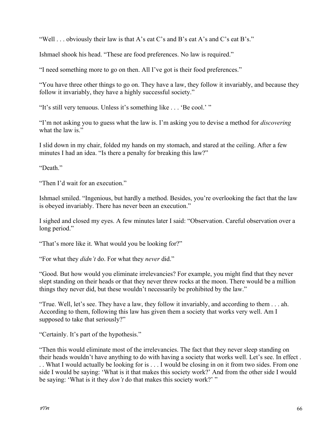"Well . . . obviously their law is that A's eat C's and B's eat A's and C's eat B's."

Ishmael shook his head. "These are food preferences. No law is required."

"I need something more to go on then. All I've got is their food preferences."

"You have three other things to go on. They have a law, they follow it invariably, and because they follow it invariably, they have a highly successful society."

"It's still very tenuous. Unless it's something like . . . 'Be cool.' "

"I'm not asking you to guess what the law is. I'm asking you to devise a method for *discovering* what the law is."

I slid down in my chair, folded my hands on my stomach, and stared at the ceiling. After a few minutes I had an idea. "Is there a penalty for breaking this law?"

"Death"

"Then I'd wait for an execution."

Ishmael smiled. "Ingenious, but hardly a method. Besides, you're overlooking the fact that the law is obeyed invariably. There has never been an execution."

I sighed and closed my eyes. A few minutes later I said: "Observation. Careful observation over a long period."

"That's more like it. What would you be looking for?"

"For what they *didn't* do. For what they *never* did."

"Good. But how would you eliminate irrelevancies? For example, you might find that they never slept standing on their heads or that they never threw rocks at the moon. There would be a million things they never did, but these wouldn't necessarily be prohibited by the law."

"True. Well, let's see. They have a law, they follow it invariably, and according to them . . . ah. According to them, following this law has given them a society that works very well. Am I supposed to take that seriously?"

"Certainly. It's part of the hypothesis."

"Then this would eliminate most of the irrelevancies. The fact that they never sleep standing on their heads wouldn't have anything to do with having a society that works well. Let's see. In effect . . . What I would actually be looking for is . . . I would be closing in on it from two sides. From one side I would be saying: 'What is it that makes this society work?' And from the other side I would be saying: 'What is it they *don't* do that makes this society work?' "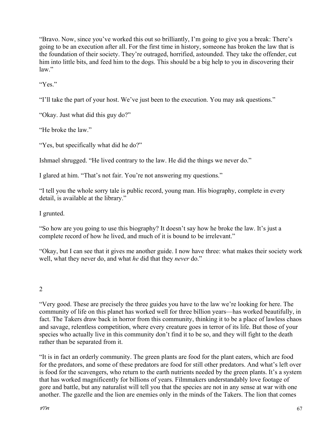"Bravo. Now, since you've worked this out so brilliantly, I'm going to give you a break: There's going to be an execution after all. For the first time in history, someone has broken the law that is the foundation of their society. They're outraged, horrified, astounded. They take the offender, cut him into little bits, and feed him to the dogs. This should be a big help to you in discovering their law."

"Yes."

"I'll take the part of your host. We've just been to the execution. You may ask questions."

"Okay. Just what did this guy do?"

"He broke the law"

"Yes, but specifically what did he do?"

Ishmael shrugged. "He lived contrary to the law. He did the things we never do."

I glared at him. "That's not fair. You're not answering my questions."

"I tell you the whole sorry tale is public record, young man. His biography, complete in every detail, is available at the library."

I grunted.

"So how are you going to use this biography? It doesn't say how he broke the law. It's just a complete record of how he lived, and much of it is bound to be irrelevant."

"Okay, but I can see that it gives me another guide. I now have three: what makes their society work well, what they never do, and what *he* did that they *never* do."

2

"Very good. These are precisely the three guides you have to the law we're looking for here. The community of life on this planet has worked well for three billion years—has worked beautifully, in fact. The Takers draw back in horror from this community, thinking it to be a place of lawless chaos and savage, relentless competition, where every creature goes in terror of its life. But those of your species who actually live in this community don't find it to be so, and they will fight to the death rather than be separated from it.

"It is in fact an orderly community. The green plants are food for the plant eaters, which are food for the predators, and some of these predators are food for still other predators. And what's left over is food for the scavengers, who return to the earth nutrients needed by the green plants. It's a system that has worked magnificently for billions of years. Filmmakers understandably love footage of gore and battle, but any naturalist will tell you that the species are not in any sense at war with one another. The gazelle and the lion are enemies only in the minds of the Takers. The lion that comes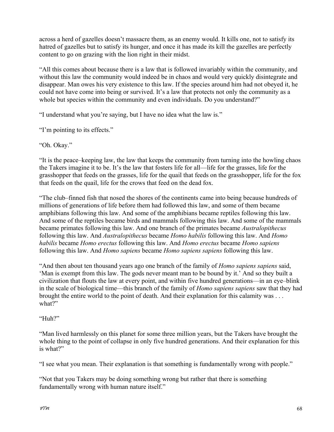across a herd of gazelles doesn't massacre them, as an enemy would. It kills one, not to satisfy its hatred of gazelles but to satisfy its hunger, and once it has made its kill the gazelles are perfectly content to go on grazing with the lion right in their midst.

"All this comes about because there is a law that is followed invariably within the community, and without this law the community would indeed be in chaos and would very quickly disintegrate and disappear. Man owes his very existence to this law. If the species around him had not obeyed it, he could not have come into being or survived. It's a law that protects not only the community as a whole but species within the community and even individuals. Do you understand?"

"I understand what you're saying, but I have no idea what the law is."

"I'm pointing to its effects."

"Oh. Okay."

"It is the peace–keeping law, the law that keeps the community from turning into the howling chaos the Takers imagine it to be. It's the law that fosters life for all—life for the grasses, life for the grasshopper that feeds on the grasses, life for the quail that feeds on the grasshopper, life for the fox that feeds on the quail, life for the crows that feed on the dead fox.

"The club–finned fish that nosed the shores of the continents came into being because hundreds of millions of generations of life before them had followed this law, and some of them became amphibians following this law. And some of the amphibians became reptiles following this law. And some of the reptiles became birds and mammals following this law. And some of the mammals became primates following this law. And one branch of the primates became *Australopithecus* following this law. And *Australopithecus* became *Homo habilis* following this law. And *Homo habilis* became *Homo erectus* following this law. And *Homo erectus* became *Homo sapiens* following this law. And *Homo sapiens* became *Homo sapiens sapiens* following this law.

"And then about ten thousand years ago one branch of the family of *Homo sapiens sapiens* said, 'Man is exempt from this law. The gods never meant man to be bound by it.' And so they built a civilization that flouts the law at every point, and within five hundred generations—in an eye–blink in the scale of biological time—this branch of the family of *Homo sapiens sapiens* saw that they had brought the entire world to the point of death. And their explanation for this calamity was . . . what?"

"Huh?"

"Man lived harmlessly on this planet for some three million years, but the Takers have brought the whole thing to the point of collapse in only five hundred generations. And their explanation for this is what?"

"I see what you mean. Their explanation is that something is fundamentally wrong with people."

"Not that you Takers may be doing something wrong but rather that there is something fundamentally wrong with human nature itself."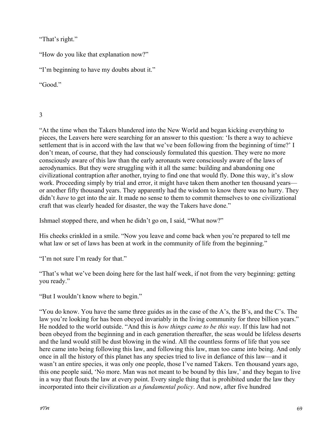"That's right."

"How do you like that explanation now?"

"I'm beginning to have my doubts about it."

"Good."

# 3

"At the time when the Takers blundered into the New World and began kicking everything to pieces, the Leavers here were searching for an answer to this question: 'Is there a way to achieve settlement that is in accord with the law that we've been following from the beginning of time?' I don't mean, of course, that they had consciously formulated this question. They were no more consciously aware of this law than the early aeronauts were consciously aware of the laws of aerodynamics. But they were struggling with it all the same: building and abandoning one civilizational contraption after another, trying to find one that would fly. Done this way, it's slow work. Proceeding simply by trial and error, it might have taken them another ten thousand years or another fifty thousand years. They apparently had the wisdom to know there was no hurry. They didn't *have* to get into the air. It made no sense to them to commit themselves to one civilizational craft that was clearly headed for disaster, the way the Takers have done."

Ishmael stopped there, and when he didn't go on, I said, "What now?"

His cheeks crinkled in a smile. "Now you leave and come back when you're prepared to tell me what law or set of laws has been at work in the community of life from the beginning."

"I'm not sure I'm ready for that."

"That's what we've been doing here for the last half week, if not from the very beginning: getting you ready."

"But I wouldn't know where to begin."

"You do know. You have the same three guides as in the case of the A's, the B's, and the C's. The law you're looking for has been obeyed invariably in the living community for three billion years." He nodded to the world outside. "And this is *how things came to be this way*. If this law had not been obeyed from the beginning and in each generation thereafter, the seas would be lifeless deserts and the land would still be dust blowing in the wind. All the countless forms of life that you see here came into being following this law, and following this law, man too came into being. And only once in all the history of this planet has any species tried to live in defiance of this law—and it wasn't an entire species, it was only one people, those I've named Takers. Ten thousand years ago, this one people said, 'No more. Man was not meant to be bound by this law,' and they began to live in a way that flouts the law at every point. Every single thing that is prohibited under the law they incorporated into their civilization *as a fundamental policy*. And now, after five hundred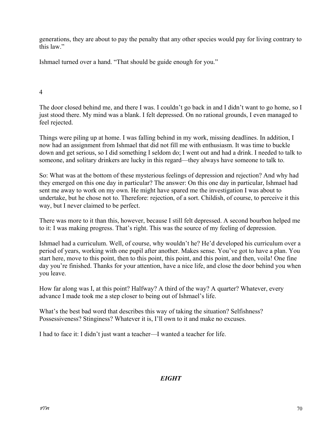generations, they are about to pay the penalty that any other species would pay for living contrary to this law."

Ishmael turned over a hand. "That should be guide enough for you."

#### 4

The door closed behind me, and there I was. I couldn't go back in and I didn't want to go home, so I just stood there. My mind was a blank. I felt depressed. On no rational grounds, I even managed to feel rejected.

Things were piling up at home. I was falling behind in my work, missing deadlines. In addition, I now had an assignment from Ishmael that did not fill me with enthusiasm. It was time to buckle down and get serious, so I did something I seldom do; I went out and had a drink. I needed to talk to someone, and solitary drinkers are lucky in this regard—they always have someone to talk to.

So: What was at the bottom of these mysterious feelings of depression and rejection? And why had they emerged on this one day in particular? The answer: On this one day in particular, Ishmael had sent me away to work on my own. He might have spared me the investigation I was about to undertake, but he chose not to. Therefore: rejection, of a sort. Childish, of course, to perceive it this way, but I never claimed to be perfect.

There was more to it than this, however, because I still felt depressed. A second bourbon helped me to it: I was making progress. That's right. This was the source of my feeling of depression.

Ishmael had a curriculum. Well, of course, why wouldn't he? He'd developed his curriculum over a period of years, working with one pupil after another. Makes sense. You've got to have a plan. You start here, move to this point, then to this point, this point, and this point, and then, voila! One fine day you're finished. Thanks for your attention, have a nice life, and close the door behind you when you leave.

How far along was I, at this point? Halfway? A third of the way? A quarter? Whatever, every advance I made took me a step closer to being out of Ishmael's life.

What's the best bad word that describes this way of taking the situation? Selfishness? Possessiveness? Stinginess? Whatever it is, I'll own to it and make no excuses.

I had to face it: I didn't just want a teacher—I wanted a teacher for life.

## *EIGHT*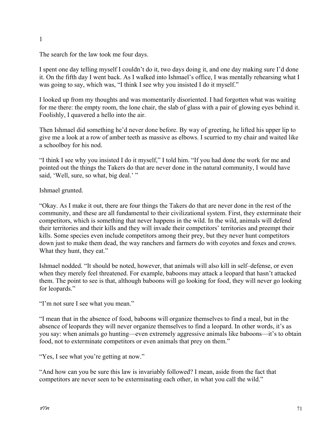1

The search for the law took me four days.

I spent one day telling myself I couldn't do it, two days doing it, and one day making sure I'd done it. On the fifth day I went back. As I walked into Ishmael's office, I was mentally rehearsing what I was going to say, which was, "I think I see why you insisted I do it myself."

I looked up from my thoughts and was momentarily disoriented. I had forgotten what was waiting for me there: the empty room, the lone chair, the slab of glass with a pair of glowing eyes behind it. Foolishly, I quavered a hello into the air.

Then Ishmael did something he'd never done before. By way of greeting, he lifted his upper lip to give me a look at a row of amber teeth as massive as elbows. I scurried to my chair and waited like a schoolboy for his nod.

"I think I see why you insisted I do it myself," I told him. "If you had done the work for me and pointed out the things the Takers do that are never done in the natural community, I would have said, 'Well, sure, so what, big deal.' "

Ishmael grunted.

"Okay. As I make it out, there are four things the Takers do that are never done in the rest of the community, and these are all fundamental to their civilizational system. First, they exterminate their competitors, which is something that never happens in the wild. In the wild, animals will defend their territories and their kills and they will invade their competitors' territories and preempt their kills. Some species even include competitors among their prey, but they never hunt competitors down just to make them dead, the way ranchers and farmers do with coyotes and foxes and crows. What they hunt, they eat."

Ishmael nodded. "It should be noted, however, that animals will also kill in self–defense, or even when they merely feel threatened. For example, baboons may attack a leopard that hasn't attacked them. The point to see is that, although baboons will go looking for food, they will never go looking for leopards."

"I'm not sure I see what you mean."

"I mean that in the absence of food, baboons will organize themselves to find a meal, but in the absence of leopards they will never organize themselves to find a leopard. In other words, it's as you say: when animals go hunting—even extremely aggressive animals like baboons—it's to obtain food, not to exterminate competitors or even animals that prey on them."

"Yes, I see what you're getting at now."

"And how can you be sure this law is invariably followed? I mean, aside from the fact that competitors are never seen to be exterminating each other, in what you call the wild."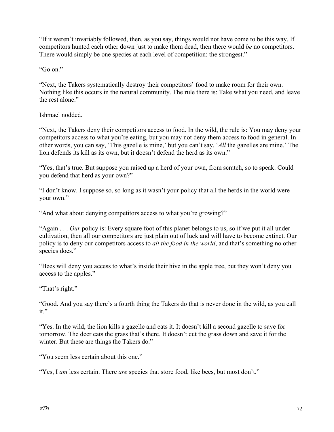"If it weren't invariably followed, then, as you say, things would not have come to be this way. If competitors hunted each other down just to make them dead, then there would *be* no competitors. There would simply be one species at each level of competition: the strongest."

"Go on."

"Next, the Takers systematically destroy their competitors' food to make room for their own. Nothing like this occurs in the natural community. The rule there is: Take what you need, and leave the rest alone."

Ishmael nodded.

"Next, the Takers deny their competitors access to food. In the wild, the rule is: You may deny your competitors access to what you're eating, but you may not deny them access to food in general. In other words, you can say, 'This gazelle is mine,' but you can't say, '*All* the gazelles are mine.' The lion defends its kill as its own, but it doesn't defend the herd as its own."

"Yes, that's true. But suppose you raised up a herd of your own, from scratch, so to speak. Could you defend that herd as your own?"

"I don't know. I suppose so, so long as it wasn't your policy that all the herds in the world were your own."

"And what about denying competitors access to what you're growing?"

"Again . . . *Our* policy is: Every square foot of this planet belongs to us, so if we put it all under cultivation, then all our competitors are just plain out of luck and will have to become extinct. Our policy is to deny our competitors access to *all the food in the world*, and that's something no other species does."

"Bees will deny you access to what's inside their hive in the apple tree, but they won't deny you access to the apples."

"That's right."

"Good. And you say there's a fourth thing the Takers do that is never done in the wild, as you call it."

"Yes. In the wild, the lion kills a gazelle and eats it. It doesn't kill a second gazelle to save for tomorrow. The deer eats the grass that's there. It doesn't cut the grass down and save it for the winter. But these are things the Takers do."

"You seem less certain about this one."

"Yes, I *am* less certain. There *are* species that store food, like bees, but most don't."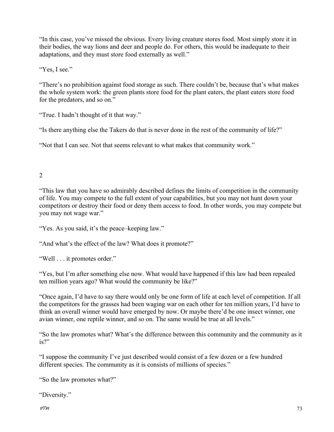"In this case, you've missed the obvious. Every living creature stores food. Most simply store it in their bodies, the way lions and deer and people do. For others, this would be inadequate to their adaptations, and they must store food externally as well."

"Yes, I see."

"There's no prohibition against food storage as such. There couldn't be, because that's what makes the whole system work: the green plants store food for the plant eaters, the plant eaters store food for the predators, and so on."

"True. I hadn't thought of it that way."

"Is there anything else the Takers do that is never done in the rest of the community of life?"

"Not that I can see. Not that seems relevant to what makes that community work."

2

"This law that you have so admirably described defines the limits of competition in the community of life. You may compete to the full extent of your capabilities, but you may not hunt down your competitors or destroy their food or deny them access to food. In other words, you may compete but you may not wage war."

"Yes. As you said, it's the peace–keeping law."

"And what's the effect of the law? What does it promote?"

"Well . . . it promotes order."

"Yes, but I'm after something else now. What would have happened if this law had been repealed ten million years ago? What would the community be like?"

"Once again, I'd have to say there would only be one form of life at each level of competition. If all the competitors for the grasses had been waging war on each other for ten million years, I'd have to think an overall winner would have emerged by now. Or maybe there'd be one insect winner, one avian winner, one reptile winner, and so on. The same would be true at all levels."

"So the law promotes what? What's the difference between this community and the community as it is?"

"I suppose the community I've just described would consist of a few dozen or a few hundred different species. The community as it is consists of millions of species."

"So the law promotes what?"

"Diversity."

 $V\!I\!m$   $\hspace{0.5cm}$  73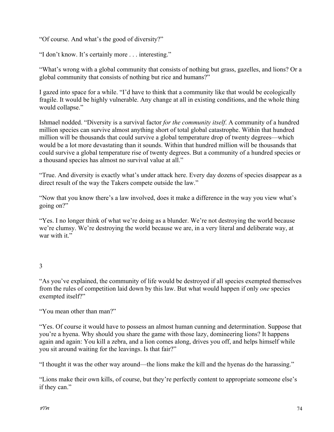"Of course. And what's the good of diversity?"

"I don't know. It's certainly more . . . interesting."

"What's wrong with a global community that consists of nothing but grass, gazelles, and lions? Or a global community that consists of nothing but rice and humans?"

I gazed into space for a while. "I'd have to think that a community like that would be ecologically fragile. It would be highly vulnerable. Any change at all in existing conditions, and the whole thing would collapse."

Ishmael nodded. "Diversity is a survival factor *for the community itself*. A community of a hundred million species can survive almost anything short of total global catastrophe. Within that hundred million will be thousands that could survive a global temperature drop of twenty degrees—which would be a lot more devastating than it sounds. Within that hundred million will be thousands that could survive a global temperature rise of twenty degrees. But a community of a hundred species or a thousand species has almost no survival value at all."

"True. And diversity is exactly what's under attack here. Every day dozens of species disappear as a direct result of the way the Takers compete outside the law."

"Now that you know there's a law involved, does it make a difference in the way you view what's going on?"

"Yes. I no longer think of what we're doing as a blunder. We're not destroying the world because we're clumsy. We're destroying the world because we are, in a very literal and deliberate way, at war with it."

### 3

"As you've explained, the community of life would be destroyed if all species exempted themselves from the rules of competition laid down by this law. But what would happen if only *one* species exempted itself?"

"You mean other than man?"

"Yes. Of course it would have to possess an almost human cunning and determination. Suppose that you're a hyena. Why should you share the game with those lazy, domineering lions? It happens again and again: You kill a zebra, and a lion comes along, drives you off, and helps himself while you sit around waiting for the leavings. Is that fair?"

"I thought it was the other way around—the lions make the kill and the hyenas do the harassing."

"Lions make their own kills, of course, but they're perfectly content to appropriate someone else's if they can."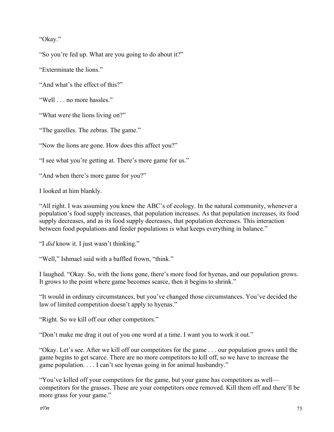"Okay."

"So you're fed up. What are you going to do about it?"

"Exterminate the lions."

"And what's the effect of this?"

"Well . . . no more hassles."

"What were the lions living on?"

"The gazelles. The zebras. The game."

"Now the lions are gone. How does this affect you?"

"I see what you're getting at. There's more game for us."

"And when there's more game for you?"

I looked at him blankly.

"All right. I was assuming you knew the ABC's of ecology. In the natural community, whenever a population's food supply increases, that population increases. As that population increases, its food supply decreases, and as its food supply decreases, that population decreases. This interaction between food populations and feeder populations is what keeps everything in balance."

"I *did* know it. I just wasn't thinking."

"Well," Ishmael said with a baffled frown, "think."

I laughed. "Okay. So, with the lions gone, there's more food for hyenas, and our population grows. It grows to the point where game becomes scarce, then it begins to shrink."

"It would in ordinary circumstances, but you've changed those circumstances. You've decided the law of limited competition doesn't apply to hyenas."

"Right. So we kill off our other competitors."

"Don't make me drag it out of you one word at a time. I want you to work it out."

"Okay. Let's see. After we kill off our competitors for the game . . . our population grows until the game begins to get scarce. There are no more competitors to kill off, so we have to increase the game population. . . . I can't see hyenas going in for animal husbandry."

"You've killed off your competitors for the game, but your game has competitors as well competitors for the grasses. These are your competitors once removed. Kill them off and there'll be more grass for your game."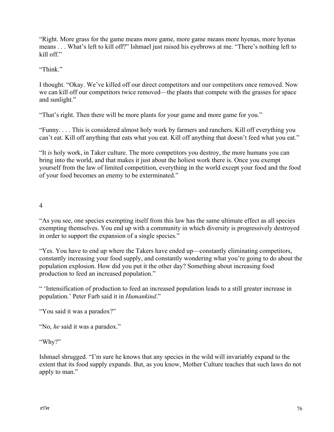"Right. More grass for the game means more game, more game means more hyenas, more hyenas means . . . What's left to kill off?" Ishmael just raised his eyebrows at me. "There's nothing left to kill off."

"Think."

I thought. "Okay. We've killed off our direct competitors and our competitors once removed. Now we can kill off our competitors twice removed—the plants that compete with the grasses for space and sunlight."

"That's right. Then there will be more plants for your game and more game for you."

"Funny. . . . This is considered almost holy work by farmers and ranchers. Kill off everything you can't eat. Kill off anything that eats what you eat. Kill off anything that doesn't feed what you eat."

"It *is* holy work, in Taker culture. The more competitors you destroy, the more humans you can bring into the world, and that makes it just about the holiest work there is. Once you exempt yourself from the law of limited competition, everything in the world except your food and the food of your food becomes an enemy to be exterminated."

4

"As you see, one species exempting itself from this law has the same ultimate effect as all species exempting themselves. You end up with a community in which diversity is progressively destroyed in order to support the expansion of a single species."

"Yes. You have to end up where the Takers have ended up—constantly eliminating competitors, constantly increasing your food supply, and constantly wondering what you're going to do about the population explosion. How did you put it the other day? Something about increasing food production to feed an increased population."

" 'Intensification of production to feed an increased population leads to a still greater increase in population.' Peter Farb said it in *Humankind*."

"You said it was a paradox?"

"No, *he* said it was a paradox."

"Why?"

Ishmael shrugged. "I'm sure he knows that any species in the wild will invariably expand to the extent that its food supply expands. But, as you know, Mother Culture teaches that such laws do not apply to man."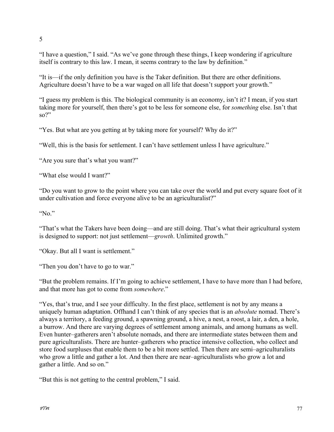5

"I have a question," I said. "As we've gone through these things, I keep wondering if agriculture itself is contrary to this law. I mean, it seems contrary to the law by definition."

"It is—if the only definition you have is the Taker definition. But there are other definitions. Agriculture doesn't have to be a war waged on all life that doesn't support your growth."

"I guess my problem is this. The biological community is an economy, isn't it? I mean, if you start taking more for yourself, then there's got to be less for someone else, for *something* else. Isn't that so?"

"Yes. But what are you getting at by taking more for yourself? Why do it?"

"Well, this is the basis for settlement. I can't have settlement unless I have agriculture."

"Are you sure that's what you want?"

"What else would I want?"

"Do you want to grow to the point where you can take over the world and put every square foot of it under cultivation and force everyone alive to be an agriculturalist?"

" $No$ "

"That's what the Takers have been doing—and are still doing. That's what their agricultural system is designed to support: not just settlement—*growth*. Unlimited growth."

"Okay. But all I want is settlement."

"Then you don't have to go to war."

"But the problem remains. If I'm going to achieve settlement, I have to have more than I had before, and that more has got to come from *somewhere*."

"Yes, that's true, and I see your difficulty. In the first place, settlement is not by any means a uniquely human adaptation. Offhand I can't think of any species that is an *absolute* nomad. There's always a territory, a feeding ground, a spawning ground, a hive, a nest, a roost, a lair, a den, a hole, a burrow. And there are varying degrees of settlement among animals, and among humans as well. Even hunter–gatherers aren't absolute nomads, and there are intermediate states between them and pure agriculturalists. There are hunter–gatherers who practice intensive collection, who collect and store food surpluses that enable them to be a bit more settled. Then there are semi–agriculturalists who grow a little and gather a lot. And then there are near–agriculturalists who grow a lot and gather a little. And so on."

"But this is not getting to the central problem," I said.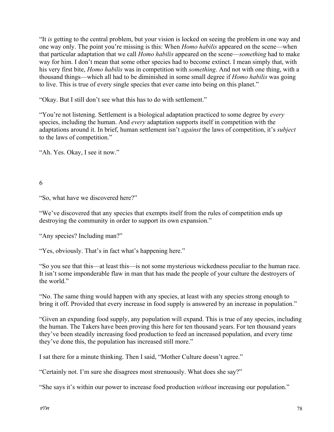"It *is* getting to the central problem, but your vision is locked on seeing the problem in one way and one way only. The point you're missing is this: When *Homo habilis* appeared on the scene—when that particular adaptation that we call *Homo habilis* appeared on the scene—*something* had to make way for him. I don't mean that some other species had to become extinct. I mean simply that, with his very first bite, *Homo habilis* was in competition with *something*. And not with one thing, with a thousand things—which all had to be diminished in some small degree if *Homo habilis* was going to live. This is true of every single species that ever came into being on this planet."

"Okay. But I still don't see what this has to do with settlement."

"You're not listening. Settlement is a biological adaptation practiced to some degree by *every* species, including the human. And *every* adaptation supports itself in competition with the adaptations around it. In brief, human settlement isn't *against* the laws of competition, it's *subject* to the laws of competition."

"Ah. Yes. Okay, I see it now."

# 6

"So, what have we discovered here?"

"We've discovered that any species that exempts itself from the rules of competition ends up destroying the community in order to support its own expansion."

"Any species? Including man?"

"Yes, obviously. That's in fact what's happening here."

"So you see that this—at least this—is not some mysterious wickedness peculiar to the human race. It isn't some imponderable flaw in man that has made the people of your culture the destroyers of the world."

"No. The same thing would happen with any species, at least with any species strong enough to bring it off. Provided that every increase in food supply is answered by an increase in population."

"Given an expanding food supply, any population will expand. This is true of any species, including the human. The Takers have been proving this here for ten thousand years. For ten thousand years they've been steadily increasing food production to feed an increased population, and every time they've done this, the population has increased still more."

I sat there for a minute thinking. Then I said, "Mother Culture doesn't agree."

"Certainly not. I'm sure she disagrees most strenuously. What does she say?"

"She says it's within our power to increase food production *without* increasing our population."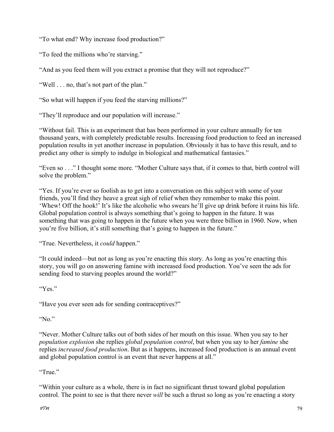"To what end? Why increase food production?"

"To feed the millions who're starving."

"And as you feed them will you extract a promise that they will not reproduce?"

"Well . . . no, that's not part of the plan."

"So what will happen if you feed the starving millions?"

"They'll reproduce and our population will increase."

"Without fail. This is an experiment that has been performed in your culture annually for ten thousand years, with completely predictable results. Increasing food production to feed an increased population results in yet another increase in population. Obviously it has to have this result, and to predict any other is simply to indulge in biological and mathematical fantasies."

"Even so . . ." I thought some more. "Mother Culture says that, if it comes to that, birth control will solve the problem."

"Yes. If you're ever so foolish as to get into a conversation on this subject with some of your friends, you'll find they heave a great sigh of relief when they remember to make this point. 'Whew! Off the hook!' It's like the alcoholic who swears he'll give up drink before it ruins his life. Global population control is always something that's going to happen in the future. It was something that was going to happen in the future when you were three billion in 1960. Now, when you're five billion, it's still something that's going to happen in the future."

"True. Nevertheless, it *could* happen."

"It could indeed—but not as long as you're enacting this story. As long as you're enacting this story, you will go on answering famine with increased food production. You've seen the ads for sending food to starving peoples around the world?"

"Yes."

"Have you ever seen ads for sending contraceptives?"

" $No$ "

"Never. Mother Culture talks out of both sides of her mouth on this issue. When you say to her *population explosion* she replies *global population control*, but when you say to her *famine* she replies *increased food production*. But as it happens, increased food production is an annual event and global population control is an event that never happens at all."

"True."

"Within your culture as a whole, there is in fact no significant thrust toward global population control. The point to see is that there never *will* be such a thrust so long as you're enacting a story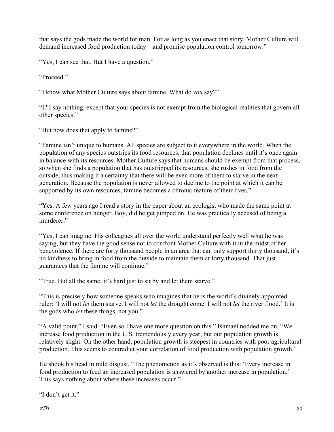that says the gods made the world for man. For as long as you enact that story, Mother Culture will demand increased food production today—and promise population control tomorrow."

"Yes, I can see that. But I have a question."

"Proceed"

"I know what Mother Culture says about famine. What do *you* say?"

"I? I say nothing, except that your species is not exempt from the biological realities that govern all other species."

"But how does that apply to famine?"

"Famine isn't unique to humans. All species are subject to it everywhere in the world. When the population of any species outstrips its food resources, that population declines until it's once again in balance with its resources. Mother Culture says that humans should be exempt from that process, so when she finds a population that has outstripped its resources, she rushes in food from the outside, thus making it a certainty that there will be even more of them to starve in the next generation. Because the population is never allowed to decline to the point at which it can be supported by its own resources, famine becomes a chronic feature of their lives."

"Yes. A few years ago I read a story in the paper about an ecologist who made the same point at some conference on hunger. Boy, did he get jumped on. He was practically accused of being a murderer."

"Yes, I can imagine. His colleagues all over the world understand perfectly well what he was saying, but they have the good sense not to confront Mother Culture with it in the midst of her benevolence. If there are forty thousand people in an area that can only support thirty thousand, it's no kindness to bring in food from the outside to maintain them at forty thousand. That just guarantees that the famine will continue."

"True. But all the same, it's hard just to sit by and let them starve."

"This is precisely how someone speaks who imagines that he is the world's divinely appointed ruler: 'I will not *let* them starve. I will not *let* the drought come. I will not *let* the river flood.' It is the gods who *let* these things, not you."

"A valid point," I said. "Even so I have one more question on this." Ishmael nodded me on. "We increase food production in the U.S. tremendously every year, but our population growth is relatively slight. On the other hand, population growth is steepest in countries with poor agricultural production. This seems to contradict your correlation of food production with population growth."

He shook his head in mild disgust. "The phenomenon as it's observed is this: 'Every increase in food production to feed an increased population is answered by another increase in population.' This says nothing about where these increases occur."

```
"I don't get it."
```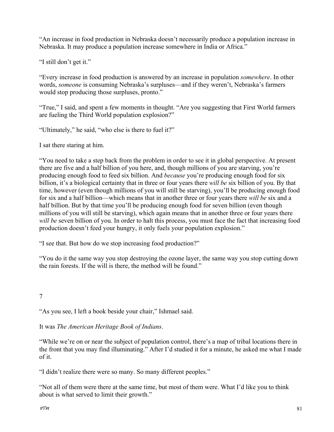"An increase in food production in Nebraska doesn't necessarily produce a population increase in Nebraska. It may produce a population increase somewhere in India or Africa."

"I still don't get it."

"Every increase in food production is answered by an increase in population *somewhere*. In other words, *someone* is consuming Nebraska's surpluses—and if they weren't, Nebraska's farmers would stop producing those surpluses, pronto."

"True," I said, and spent a few moments in thought. "Are you suggesting that First World farmers are fueling the Third World population explosion?"

"Ultimately," he said, "who else is there to fuel it?"

I sat there staring at him.

"You need to take a step back from the problem in order to see it in global perspective. At present there are five and a half billion of you here, and, though millions of you are starving, you're producing enough food to feed six billion. And *because* you're producing enough food for six billion, it's a biological certainty that in three or four years there *will be* six billion of you. By that time, however (even though millions of you will still be starving), you'll be producing enough food for six and a half billion—which means that in another three or four years there *will be* six and a half billion. But by that time you'll be producing enough food for seven billion (even though millions of you will still be starving), which again means that in another three or four years there *will be* seven billion of you. In order to halt this process, you must face the fact that increasing food production doesn't feed your hungry, it only fuels your population explosion."

"I see that. But how do we stop increasing food production?"

"You do it the same way you stop destroying the ozone layer, the same way you stop cutting down the rain forests. If the will is there, the method will be found."

7

"As you see, I left a book beside your chair," Ishmael said.

It was *The American Heritage Book of Indians*.

"While we're on or near the subject of population control, there's a map of tribal locations there in the front that you may find illuminating." After I'd studied it for a minute, he asked me what I made of it.

"I didn't realize there were so many. So many different peoples."

"Not all of them were there at the same time, but most of them were. What I'd like you to think about is what served to limit their growth."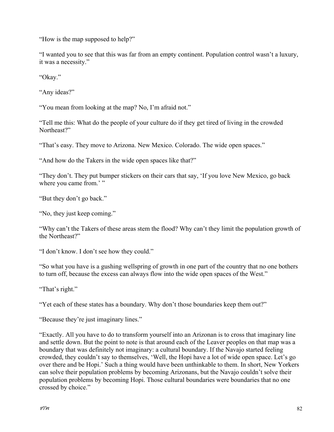"How is the map supposed to help?"

"I wanted you to see that this was far from an empty continent. Population control wasn't a luxury, it was a necessity."

"Okay."

"Any ideas?"

"You mean from looking at the map? No, I'm afraid not."

"Tell me this: What do the people of your culture do if they get tired of living in the crowded Northeast?"

"That's easy. They move to Arizona. New Mexico. Colorado. The wide open spaces."

"And how do the Takers in the wide open spaces like that?"

"They don't. They put bumper stickers on their cars that say, 'If you love New Mexico, go back where you came from.'"

"But they don't go back."

"No, they just keep coming."

"Why can't the Takers of these areas stem the flood? Why can't they limit the population growth of the Northeast?"

"I don't know. I don't see how they could."

"So what you have is a gushing wellspring of growth in one part of the country that no one bothers to turn off, because the excess can always flow into the wide open spaces of the West."

"That's right."

"Yet each of these states has a boundary. Why don't those boundaries keep them out?"

"Because they're just imaginary lines."

"Exactly. All you have to do to transform yourself into an Arizonan is to cross that imaginary line and settle down. But the point to note is that around each of the Leaver peoples on that map was a boundary that was definitely not imaginary: a cultural boundary. If the Navajo started feeling crowded, they couldn't say to themselves, 'Well, the Hopi have a lot of wide open space. Let's go over there and be Hopi.' Such a thing would have been unthinkable to them. In short, New Yorkers can solve their population problems by becoming Arizonans, but the Navajo couldn't solve their population problems by becoming Hopi. Those cultural boundaries were boundaries that no one crossed by choice."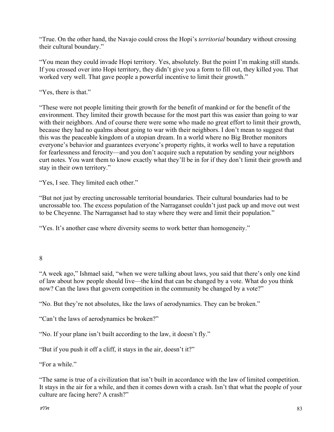"True. On the other hand, the Navajo could cross the Hopi's *territorial* boundary without crossing their cultural boundary."

"You mean they could invade Hopi territory. Yes, absolutely. But the point I'm making still stands. If you crossed over into Hopi territory, they didn't give you a form to fill out, they killed you. That worked very well. That gave people a powerful incentive to limit their growth."

"Yes, there is that."

"These were not people limiting their growth for the benefit of mankind or for the benefit of the environment. They limited their growth because for the most part this was easier than going to war with their neighbors. And of course there were some who made no great effort to limit their growth, because they had no qualms about going to war with their neighbors. I don't mean to suggest that this was the peaceable kingdom of a utopian dream. In a world where no Big Brother monitors everyone's behavior and guarantees everyone's property rights, it works well to have a reputation for fearlessness and ferocity—and you don't acquire such a reputation by sending your neighbors curt notes. You want them to know exactly what they'll be in for if they don't limit their growth and stay in their own territory."

"Yes, I see. They limited each other."

"But not just by erecting uncrossable territorial boundaries. Their cultural boundaries had to be uncrossable too. The excess population of the Narraganset couldn't just pack up and move out west to be Cheyenne. The Narraganset had to stay where they were and limit their population."

"Yes. It's another case where diversity seems to work better than homogeneity."

# 8

"A week ago," Ishmael said, "when we were talking about laws, you said that there's only one kind of law about how people should live—the kind that can be changed by a vote. What do you think now? Can the laws that govern competition in the community be changed by a vote?"

"No. But they're not absolutes, like the laws of aerodynamics. They can be broken."

"Can't the laws of aerodynamics be broken?"

"No. If your plane isn't built according to the law, it doesn't fly."

"But if you push it off a cliff, it stays in the air, doesn't it?"

"For a while"

"The same is true of a civilization that isn't built in accordance with the law of limited competition. It stays in the air for a while, and then it comes down with a crash. Isn't that what the people of your culture are facing here? A crash?"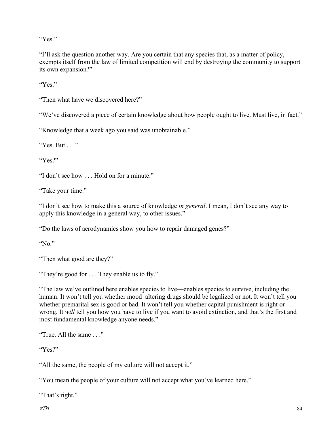"Yes."

"I'll ask the question another way. Are you certain that any species that, as a matter of policy, exempts itself from the law of limited competition will end by destroying the community to support its own expansion?"

"Yes."

"Then what have we discovered here?"

"We've discovered a piece of certain knowledge about how people ought to live. Must live, in fact."

"Knowledge that a week ago you said was unobtainable."

"Yes. But . . ."

"Yes?"

"I don't see how . . . Hold on for a minute."

"Take your time."

"I don't see how to make this a source of knowledge *in general*. I mean, I don't see any way to apply this knowledge in a general way, to other issues."

"Do the laws of aerodynamics show you how to repair damaged genes?"

" $No$ "

"Then what good are they?"

"They're good for . . . They enable us to fly."

"The law we've outlined here enables species to live—enables species to survive, including the human. It won't tell you whether mood–altering drugs should be legalized or not. It won't tell you whether premarital sex is good or bad. It won't tell you whether capital punishment is right or wrong. It *will* tell you how you have to live if you want to avoid extinction, and that's the first and most fundamental knowledge anyone needs."

"True. All the same . . ."

"Yes?"

"All the same, the people of my culture will not accept it."

"You mean the people of your culture will not accept what you've learned here."

"That's right."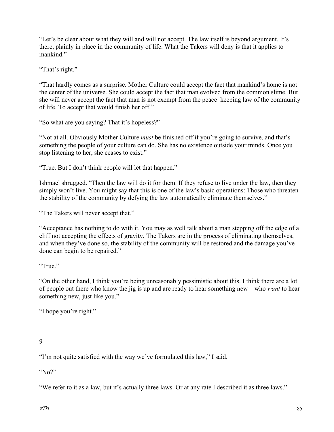"Let's be clear about what they will and will not accept. The law itself is beyond argument. It's there, plainly in place in the community of life. What the Takers will deny is that it applies to mankind."

"That's right."

"That hardly comes as a surprise. Mother Culture could accept the fact that mankind's home is not the center of the universe. She could accept the fact that man evolved from the common slime. But she will never accept the fact that man is not exempt from the peace–keeping law of the community of life. To accept that would finish her off."

"So what are you saying? That it's hopeless?"

"Not at all. Obviously Mother Culture *must* be finished off if you're going to survive, and that's something the people of your culture can do. She has no existence outside your minds. Once you stop listening to her, she ceases to exist."

"True. But I don't think people will let that happen."

Ishmael shrugged. "Then the law will do it for them. If they refuse to live under the law, then they simply won't live. You might say that this is one of the law's basic operations: Those who threaten the stability of the community by defying the law automatically eliminate themselves."

"The Takers will never accept that."

"Acceptance has nothing to do with it. You may as well talk about a man stepping off the edge of a cliff not accepting the effects of gravity. The Takers are in the process of eliminating themselves, and when they've done so, the stability of the community will be restored and the damage you've done can begin to be repaired."

"True."

"On the other hand, I think you're being unreasonably pessimistic about this. I think there are a lot of people out there who know the jig is up and are ready to hear something new—who *want* to hear something new, just like you."

"I hope you're right."

#### 9

"I'm not quite satisfied with the way we've formulated this law," I said.

"No?"

"We refer to it as a law, but it's actually three laws. Or at any rate I described it as three laws."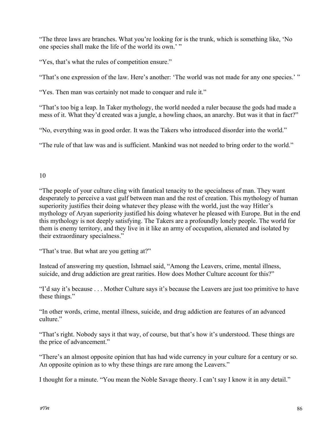"The three laws are branches. What you're looking for is the trunk, which is something like, 'No one species shall make the life of the world its own.' "

"Yes, that's what the rules of competition ensure."

"That's one expression of the law. Here's another: 'The world was not made for any one species.' "

"Yes. Then man was certainly not made to conquer and rule it."

"That's too big a leap. In Taker mythology, the world needed a ruler because the gods had made a mess of it. What they'd created was a jungle, a howling chaos, an anarchy. But was it that in fact?"

"No, everything was in good order. It was the Takers who introduced disorder into the world."

"The rule of that law was and is sufficient. Mankind was not needed to bring order to the world."

### 10

"The people of your culture cling with fanatical tenacity to the specialness of man. They want desperately to perceive a vast gulf between man and the rest of creation. This mythology of human superiority justifies their doing whatever they please with the world, just the way Hitler's mythology of Aryan superiority justified his doing whatever he pleased with Europe. But in the end this mythology is not deeply satisfying. The Takers are a profoundly lonely people. The world for them is enemy territory, and they live in it like an army of occupation, alienated and isolated by their extraordinary specialness."

"That's true. But what are you getting at?"

Instead of answering my question, Ishmael said, "Among the Leavers, crime, mental illness, suicide, and drug addiction are great rarities. How does Mother Culture account for this?"

"I'd say it's because . . . Mother Culture says it's because the Leavers are just too primitive to have these things."

"In other words, crime, mental illness, suicide, and drug addiction are features of an advanced culture."

"That's right. Nobody says it that way, of course, but that's how it's understood. These things are the price of advancement."

"There's an almost opposite opinion that has had wide currency in your culture for a century or so. An opposite opinion as to why these things are rare among the Leavers."

I thought for a minute. "You mean the Noble Savage theory. I can't say I know it in any detail."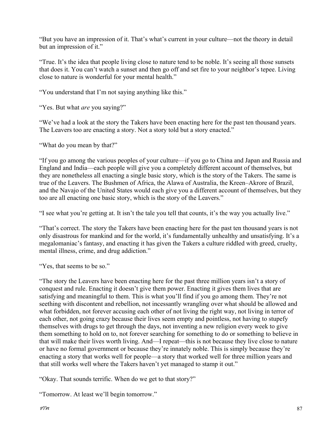"But you have an impression of it. That's what's current in your culture—not the theory in detail but an impression of it."

"True. It's the idea that people living close to nature tend to be noble. It's seeing all those sunsets that does it. You can't watch a sunset and then go off and set fire to your neighbor's tepee. Living close to nature is wonderful for your mental health."

"You understand that I'm not saying anything like this."

"Yes. But what *are* you saying?"

"We've had a look at the story the Takers have been enacting here for the past ten thousand years. The Leavers too are enacting a story. Not a story told but a story enacted."

"What do you mean by that?"

"If you go among the various peoples of your culture—if you go to China and Japan and Russia and England and India—each people will give you a completely different account of themselves, but they are nonetheless all enacting a single basic story, which is the story of the Takers. The same is true of the Leavers. The Bushmen of Africa, the Alawa of Australia, the Kreen–Akrore of Brazil, and the Navajo of the United States would each give you a different account of themselves, but they too are all enacting one basic story, which is the story of the Leavers."

"I see what you're getting at. It isn't the tale you tell that counts, it's the way you actually live."

"That's correct. The story the Takers have been enacting here for the past ten thousand years is not only disastrous for mankind and for the world, it's fundamentally unhealthy and unsatisfying. It's a megalomaniac's fantasy, and enacting it has given the Takers a culture riddled with greed, cruelty, mental illness, crime, and drug addiction."

"Yes, that seems to be so."

"The story the Leavers have been enacting here for the past three million years isn't a story of conquest and rule. Enacting it doesn't give them power. Enacting it gives them lives that are satisfying and meaningful to them. This is what you'll find if you go among them. They're not seething with discontent and rebellion, not incessantly wrangling over what should be allowed and what forbidden, not forever accusing each other of not living the right way, not living in terror of each other, not going crazy because their lives seem empty and pointless, not having to stupefy themselves with drugs to get through the days, not inventing a new religion every week to give them something to hold on to, not forever searching for something to do or something to believe in that will make their lives worth living. And—I repeat—this is not because they live close to nature or have no formal government or because they're innately noble. This is simply because they're enacting a story that works well for people—a story that worked well for three million years and that still works well where the Takers haven't yet managed to stamp it out."

"Okay. That sounds terrific. When do we get to that story?"

"Tomorrow. At least we'll begin tomorrow."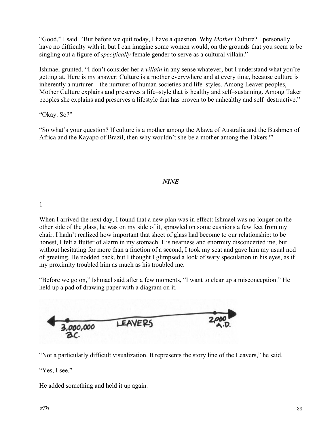"Good," I said. "But before we quit today, I have a question. Why *Mother* Culture? I personally have no difficulty with it, but I can imagine some women would, on the grounds that you seem to be singling out a figure of *specifically* female gender to serve as a cultural villain."

Ishmael grunted. "I don't consider her a *villain* in any sense whatever, but I understand what you're getting at. Here is my answer: Culture is a mother everywhere and at every time, because culture is inherently a nurturer—the nurturer of human societies and life–styles. Among Leaver peoples, Mother Culture explains and preserves a life–style that is healthy and self–sustaining. Among Taker peoples she explains and preserves a lifestyle that has proven to be unhealthy and self–destructive."

"Okay. So?"

"So what's your question? If culture is a mother among the Alawa of Australia and the Bushmen of Africa and the Kayapo of Brazil, then why wouldn't she be a mother among the Takers?"

# *NINE*

1

When I arrived the next day, I found that a new plan was in effect: Ishmael was no longer on the other side of the glass, he was on my side of it, sprawled on some cushions a few feet from my chair. I hadn't realized how important that sheet of glass had become to our relationship: to be honest, I felt a flutter of alarm in my stomach. His nearness and enormity disconcerted me, but without hesitating for more than a fraction of a second, I took my seat and gave him my usual nod of greeting. He nodded back, but I thought I glimpsed a look of wary speculation in his eyes, as if my proximity troubled him as much as his troubled me.

"Before we go on," Ishmael said after a few moments, "I want to clear up a misconception." He held up a pad of drawing paper with a diagram on it.



"Not a particularly difficult visualization. It represents the story line of the Leavers," he said.

"Yes, I see."

He added something and held it up again.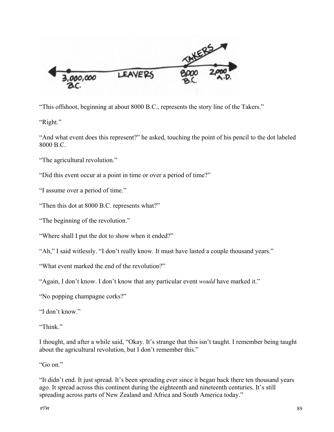

"This offshoot, beginning at about 8000 B.C., represents the story line of the Takers."

"Right."

"And what event does this represent?" he asked, touching the point of his pencil to the dot labeled 8000 B.C.

"The agricultural revolution."

"Did this event occur at a point in time or over a period of time?"

"I assume over a period of time."

"Then this dot at 8000 B.C. represents what?"

"The beginning of the revolution."

"Where shall I put the dot to show when it ended?"

"Ah," I said witlessly. "I don't really know. It must have lasted a couple thousand years."

"What event marked the end of the revolution?"

"Again, I don't know. I don't know that any particular event *would* have marked it."

"No popping champagne corks?"

"I don't know."

"Think."

I thought, and after a while said, "Okay. It's strange that this isn't taught. I remember being taught about the agricultural revolution, but I don't remember this."

"Go on."

"It didn't end. It just spread. It's been spreading ever since it began back there ten thousand years ago. It spread across this continent during the eighteenth and nineteenth centuries. It's still spreading across parts of New Zealand and Africa and South America today."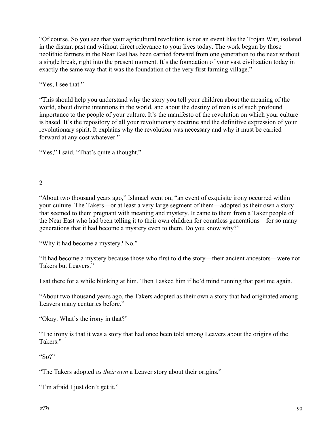"Of course. So you see that your agricultural revolution is not an event like the Trojan War, isolated in the distant past and without direct relevance to your lives today. The work begun by those neolithic farmers in the Near East has been carried forward from one generation to the next without a single break, right into the present moment. It's the foundation of your vast civilization today in exactly the same way that it was the foundation of the very first farming village."

"Yes, I see that."

"This should help you understand why the story you tell your children about the meaning of the world, about divine intentions in the world, and about the destiny of man is of such profound importance to the people of your culture. It's the manifesto of the revolution on which your culture is based. It's the repository of all your revolutionary doctrine and the definitive expression of your revolutionary spirit. It explains why the revolution was necessary and why it must be carried forward at any cost whatever."

"Yes," I said. "That's quite a thought."

# 2

"About two thousand years ago," Ishmael went on, "an event of exquisite irony occurred within your culture. The Takers—or at least a very large segment of them—adopted as their own a story that seemed to them pregnant with meaning and mystery. It came to them from a Taker people of the Near East who had been telling it to their own children for countless generations—for so many generations that it had become a mystery even to them. Do you know why?"

"Why it had become a mystery? No."

"It had become a mystery because those who first told the story—their ancient ancestors—were not Takers but Leavers."

I sat there for a while blinking at him. Then I asked him if he'd mind running that past me again.

"About two thousand years ago, the Takers adopted as their own a story that had originated among Leavers many centuries before."

"Okay. What's the irony in that?"

"The irony is that it was a story that had once been told among Leavers about the origins of the Takers."

"So?"

"The Takers adopted *as their own* a Leaver story about their origins."

"I'm afraid I just don't get it."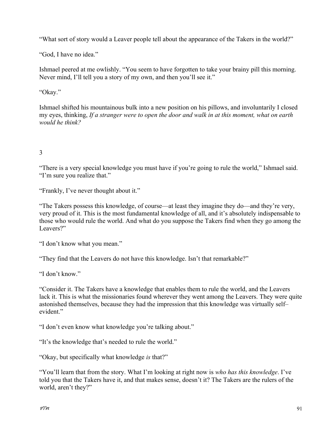"What sort of story would a Leaver people tell about the appearance of the Takers in the world?"

"God, I have no idea."

Ishmael peered at me owlishly. "You seem to have forgotten to take your brainy pill this morning. Never mind, I'll tell you a story of my own, and then you'll see it."

"Okay."

Ishmael shifted his mountainous bulk into a new position on his pillows, and involuntarily I closed my eyes, thinking, *If a stranger were to open the door and walk in at this moment, what on earth would he think?*

# 3

"There is a very special knowledge you must have if you're going to rule the world," Ishmael said. "I'm sure you realize that."

"Frankly, I've never thought about it."

"The Takers possess this knowledge, of course—at least they imagine they do—and they're very, very proud of it. This is the most fundamental knowledge of all, and it's absolutely indispensable to those who would rule the world. And what do you suppose the Takers find when they go among the Leavers?"

"I don't know what you mean."

"They find that the Leavers do not have this knowledge. Isn't that remarkable?"

"I don't know"

"Consider it. The Takers have a knowledge that enables them to rule the world, and the Leavers lack it. This is what the missionaries found wherever they went among the Leavers. They were quite astonished themselves, because they had the impression that this knowledge was virtually self– evident."

"I don't even know what knowledge you're talking about."

"It's the knowledge that's needed to rule the world."

"Okay, but specifically what knowledge *is* that?"

"You'll learn that from the story. What I'm looking at right now is *who has this knowledge*. I've told you that the Takers have it, and that makes sense, doesn't it? The Takers are the rulers of the world, aren't they?"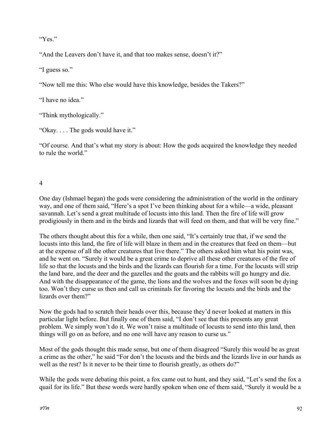"Yes."

"And the Leavers don't have it, and that too makes sense, doesn't it?"

"I guess so."

"Now tell me this: Who else would have this knowledge, besides the Takers?"

"I have no idea"

"Think mythologically."

"Okay. . . . The gods would have it."

"Of course. And that's what my story is about: How the gods acquired the knowledge they needed to rule the world."

# 4

One day (Ishmael began) the gods were considering the administration of the world in the ordinary way, and one of them said, "Here's a spot I've been thinking about for a while—a wide, pleasant savannah. Let's send a great multitude of locusts into this land. Then the fire of life will grow prodigiously in them and in the birds and lizards that will feed on them, and that will be very fine."

The others thought about this for a while, then one said, "It's certainly true that, if we send the locusts into this land, the fire of life will blaze in them and in the creatures that feed on them—but at the expense of all the other creatures that live there." The others asked him what his point was, and he went on. "Surely it would be a great crime to deprive all these other creatures of the fire of life so that the locusts and the birds and the lizards can flourish for a time. For the locusts will strip the land bare, and the deer and the gazelles and the goats and the rabbits will go hungry and die. And with the disappearance of the game, the lions and the wolves and the foxes will soon be dying too. Won't they curse us then and call us criminals for favoring the locusts and the birds and the lizards over them?"

Now the gods had to scratch their heads over this, because they'd never looked at matters in this particular light before. But finally one of them said, "I don't see that this presents any great problem. We simply won't do it. We won't raise a multitude of locusts to send into this land, then things will go on as before, and no one will have any reason to curse us."

Most of the gods thought this made sense, but one of them disagreed "Surely this would be as great a crime as the other," he said "For don't the locusts and the birds and the lizards live in our hands as well as the rest? Is it never to be their time to flourish greatly, as others do?"

While the gods were debating this point, a fox came out to hunt, and they said, "Let's send the fox a quail for its life." But these words were hardly spoken when one of them said, "Surely it would be a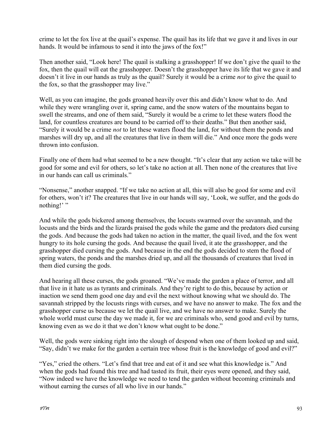crime to let the fox live at the quail's expense. The quail has its life that we gave it and lives in our hands. It would be infamous to send it into the jaws of the fox!"

Then another said, "Look here! The quail is stalking a grasshopper! If we don't give the quail to the fox, then the quail will eat the grasshopper. Doesn't the grasshopper have its life that we gave it and doesn't it live in our hands as truly as the quail? Surely it would be a crime *not* to give the quail to the fox, so that the grasshopper may live."

Well, as you can imagine, the gods groaned heavily over this and didn't know what to do. And while they were wrangling over it, spring came, and the snow waters of the mountains began to swell the streams, and one of them said, "Surely it would be a crime to let these waters flood the land, for countless creatures are bound to be carried off to their deaths." But then another said, "Surely it would be a crime *not* to let these waters flood the land, for without them the ponds and marshes will dry up, and all the creatures that live in them will die." And once more the gods were thrown into confusion.

Finally one of them had what seemed to be a new thought. "It's clear that any action we take will be good for some and evil for others, so let's take no action at all. Then none of the creatures that live in our hands can call us criminals."

"Nonsense," another snapped. "If we take no action at all, this will also be good for some and evil for others, won't it? The creatures that live in our hands will say, 'Look, we suffer, and the gods do nothing!"

And while the gods bickered among themselves, the locusts swarmed over the savannah, and the locusts and the birds and the lizards praised the gods while the game and the predators died cursing the gods. And because the gods had taken no action in the matter, the quail lived, and the fox went hungry to its hole cursing the gods. And because the quail lived, it ate the grasshopper, and the grasshopper died cursing the gods. And because in the end the gods decided to stem the flood of spring waters, the ponds and the marshes dried up, and all the thousands of creatures that lived in them died cursing the gods.

And hearing all these curses, the gods groaned. "We've made the garden a place of terror, and all that live in it hate us as tyrants and criminals. And they're right to do this, because by action or inaction we send them good one day and evil the next without knowing what we should do. The savannah stripped by the locusts rings with curses, and we have no answer to make. The fox and the grasshopper curse us because we let the quail live, and we have no answer to make. Surely the whole world must curse the day we made it, for we are criminals who, send good and evil by turns, knowing even as we do it that we don't know what ought to be done."

Well, the gods were sinking right into the slough of despond when one of them looked up and said, "Say, didn't we make for the garden a certain tree whose fruit is the knowledge of good and evil?"

"Yes," cried the others. "Let's find that tree and eat of it and see what this knowledge is." And when the gods had found this tree and had tasted its fruit, their eyes were opened, and they said, "Now indeed we have the knowledge we need to tend the garden without becoming criminals and without earning the curses of all who live in our hands."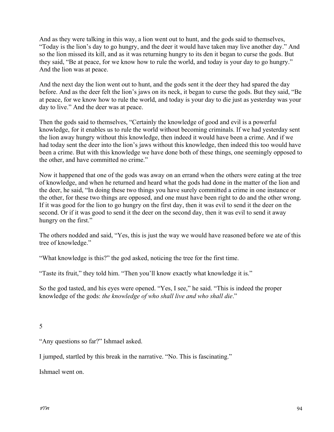And as they were talking in this way, a lion went out to hunt, and the gods said to themselves, "Today is the lion's day to go hungry, and the deer it would have taken may live another day." And so the lion missed its kill, and as it was returning hungry to its den it began to curse the gods. But they said, "Be at peace, for we know how to rule the world, and today is your day to go hungry." And the lion was at peace.

And the next day the lion went out to hunt, and the gods sent it the deer they had spared the day before. And as the deer felt the lion's jaws on its neck, it began to curse the gods. But they said, "Be at peace, for we know how to rule the world, and today is your day to die just as yesterday was your day to live." And the deer was at peace.

Then the gods said to themselves, "Certainly the knowledge of good and evil is a powerful knowledge, for it enables us to rule the world without becoming criminals. If we had yesterday sent the lion away hungry without this knowledge, then indeed it would have been a crime. And if we had today sent the deer into the lion's jaws without this knowledge, then indeed this too would have been a crime. But with this knowledge we have done both of these things, one seemingly opposed to the other, and have committed no crime."

Now it happened that one of the gods was away on an errand when the others were eating at the tree of knowledge, and when he returned and heard what the gods had done in the matter of the lion and the deer, he said, "In doing these two things you have surely committed a crime in one instance or the other, for these two things are opposed, and one must have been right to do and the other wrong. If it was good for the lion to go hungry on the first day, then it was evil to send it the deer on the second. Or if it was good to send it the deer on the second day, then it was evil to send it away hungry on the first."

The others nodded and said, "Yes, this is just the way we would have reasoned before we ate of this tree of knowledge."

"What knowledge is this?" the god asked, noticing the tree for the first time.

"Taste its fruit," they told him. "Then you'll know exactly what knowledge it is."

So the god tasted, and his eyes were opened. "Yes, I see," he said. "This is indeed the proper knowledge of the gods: *the knowledge of who shall live and who shall die*."

5

"Any questions so far?" Ishmael asked.

I jumped, startled by this break in the narrative. "No. This is fascinating."

Ishmael went on.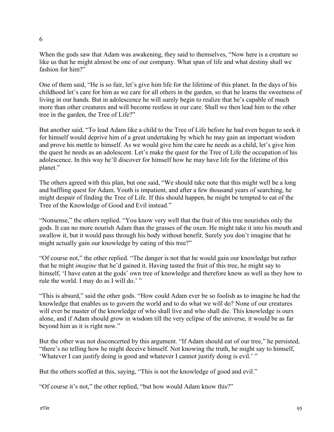When the gods saw that Adam was awakening, they said to themselves, "Now here is a creature so like us that he might almost be one of our company. What span of life and what destiny shall we fashion for him?"

One of them said, "He is so fair, let's give him life for the lifetime of this planet. In the days of his childhood let's care for him as we care for all others in the garden, so that he learns the sweetness of living in our hands. But in adolescence he will surely begin to realize that he's capable of much more than other creatures and will become restless in our care. Shall we then lead him to the other tree in the garden, the Tree of Life?"

But another said, "To lead Adam like a child to the Tree of Life before he had even begun to seek it for himself would deprive him of a great undertaking by which he may gain an important wisdom and prove his mettle to himself. As we would give him the care he needs as a child, let's give him the quest he needs as an adolescent. Let's make the quest for the Tree of Life the occupation of his adolescence. In this way he'll discover for himself how he may have life for the lifetime of this planet."

The others agreed with this plan, but one said, "We should take note that this might well be a long and baffling quest for Adam. Youth is impatient, and after a few thousand years of searching, he might despair of finding the Tree of Life. If this should happen, he might be tempted to eat of the Tree of the Knowledge of Good and Evil instead."

"Nonsense," the others replied. "You know very well that the fruit of this tree nourishes only the gods. It can no more nourish Adam than the grasses of the oxen. He might take it into his mouth and swallow it, but it would pass through his body without benefit. Surely you don't imagine that he might actually gain our knowledge by eating of this tree?"

"Of course not," the other replied. "The danger is not that he would gain our knowledge but rather that he might *imagine* that he'd gained it. Having tasted the fruit of this tree, he might say to himself, 'I have eaten at the gods' own tree of knowledge and therefore know as well as they how to rule the world. I may do as I will do.' "

"This is absurd," said the other gods. "How could Adam ever be so foolish as to imagine he had the knowledge that enables us to govern the world and to do what we will do? None of our creatures will ever be master of the knowledge of who shall live and who shall die. This knowledge is ours alone, and if Adam should grow in wisdom till the very eclipse of the universe, it would be as far beyond him as it is right now."

But the other was not disconcerted by this argument. "If Adam should eat of our tree," he persisted, "there's no telling how he might deceive himself. Not knowing the truth, he might say to himself, 'Whatever I can justify doing is good and whatever I cannot justify doing is evil.' "

But the others scoffed at this, saying, "This is not the knowledge of good and evil."

"Of course it's not," the other replied, "but how would Adam know this?"

6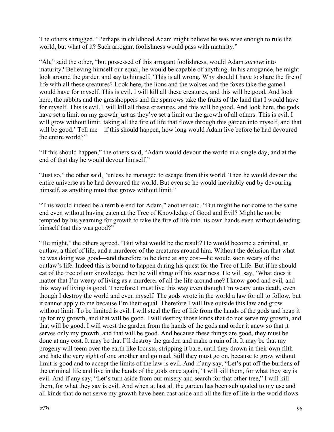The others shrugged. "Perhaps in childhood Adam might believe he was wise enough to rule the world, but what of it? Such arrogant foolishness would pass with maturity."

"Ah," said the other, "but possessed of this arrogant foolishness, would Adam *survive* into maturity? Believing himself our equal, he would be capable of anything. In his arrogance, he might look around the garden and say to himself, 'This is all wrong. Why should I have to share the fire of life with all these creatures? Look here, the lions and the wolves and the foxes take the game I would have for myself. This is evil. I will kill all these creatures, and this will be good. And look here, the rabbits and the grasshoppers and the sparrows take the fruits of the land that I would have for myself. This is evil. I will kill all these creatures, and this will be good. And look here, the gods have set a limit on my growth just as they've set a limit on the growth of all others. This is evil. I will grow without limit, taking all the fire of life that flows through this garden into myself, and that will be good.' Tell me—if this should happen, how long would Adam live before he had devoured the entire world?"

"If this should happen," the others said, "Adam would devour the world in a single day, and at the end of that day he would devour himself."

"Just so," the other said, "unless he managed to escape from this world. Then he would devour the entire universe as he had devoured the world. But even so he would inevitably end by devouring himself, as anything must that grows without limit."

"This would indeed be a terrible end for Adam," another said. "But might he not come to the same end even without having eaten at the Tree of Knowledge of Good and Evil? Might he not be tempted by his yearning for growth to take the fire of life into his own hands even without deluding himself that this was good?"

"He might," the others agreed. "But what would be the result? He would become a criminal, an outlaw, a thief of life, and a murderer of the creatures around him. Without the delusion that what he was doing was good—and therefore to be done at any cost—he would soon weary of the outlaw's life. Indeed this is bound to happen during his quest for the Tree of Life. But if he should eat of the tree of our knowledge, then he will shrug off his weariness. He will say, 'What does it matter that I'm weary of living as a murderer of all the life around me? I know good and evil, and this way of living is good. Therefore I must live this way even though I'm weary unto death, even though I destroy the world and even myself. The gods wrote in the world a law for all to follow, but it cannot apply to me because I'm their equal. Therefore I will live outside this law and grow without limit. To be limited is evil. I will steal the fire of life from the hands of the gods and heap it up for my growth, and that will be good. I will destroy those kinds that do not serve my growth, and that will be good. I will wrest the garden from the hands of the gods and order it anew so that it serves only my growth, and that will be good. And because these things are good, they must be done at any cost. It may be that I'll destroy the garden and make a ruin of it. It may be that my progeny will teem over the earth like locusts, stripping it bare, until they drown in their own filth and hate the very sight of one another and go mad. Still they must go on, because to grow without limit is good and to accept the limits of the law is evil. And if any say, "Let's put off the burdens of the criminal life and live in the hands of the gods once again," I will kill them, for what they say is evil. And if any say, "Let's turn aside from our misery and search for that other tree," I will kill them, for what they say is evil. And when at last all the garden has been subjugated to my use and all kinds that do not serve my growth have been cast aside and all the fire of life in the world flows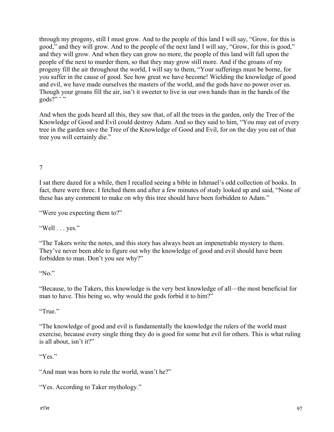through my progeny, still I must grow. And to the people of this land I will say, "Grow, for this is good," and they will grow. And to the people of the next land I will say, "Grow, for this is good," and they will grow. And when they can grow no more, the people of this land will fall upon the people of the next to murder them, so that they may grow still more. And if the groans of my progeny fill the air throughout the world, I will say to them, "Your sufferings must be borne, for you suffer in the cause of good. See how great we have become! Wielding the knowledge of good and evil, we have made ourselves the masters of the world, and the gods have no power over us. Though your groans fill the air, isn't it sweeter to live in our own hands than in the hands of the  $gods?$ " "

And when the gods heard all this, they saw that, of all the trees in the garden, only the Tree of the Knowledge of Good and Evil could destroy Adam. And so they said to him, "You may eat of every tree in the garden save the Tree of the Knowledge of Good and Evil, for on the day you eat of that tree you will certainly die."

# 7

I sat there dazed for a while, then I recalled seeing a bible in Ishmael's odd collection of books. In fact, there were three. I fetched them and after a few minutes of study looked up and said, "None of these has any comment to make on why this tree should have been forbidden to Adam."

"Were you expecting them to?"

"Well . . . yes."

"The Takers write the notes, and this story has always been an impenetrable mystery to them. They've never been able to figure out why the knowledge of good and evil should have been forbidden to man. Don't you see why?"

"No."

"Because, to the Takers, this knowledge is the very best knowledge of all—the most beneficial for man to have. This being so, why would the gods forbid it to him?"

"True."

"The knowledge of good and evil is fundamentally the knowledge the rulers of the world must exercise, because every single thing they do is good for some but evil for others. This is what ruling is all about, isn't it?"

"Yes."

"And man was born to rule the world, wasn't he?"

"Yes. According to Taker mythology."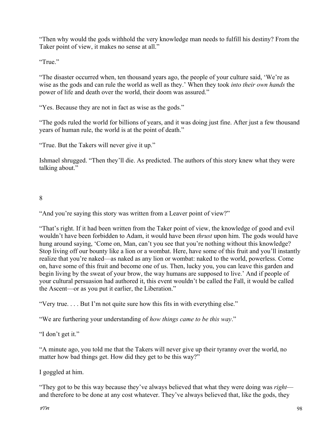"Then why would the gods withhold the very knowledge man needs to fulfill his destiny? From the Taker point of view, it makes no sense at all."

"True."

"The disaster occurred when, ten thousand years ago, the people of your culture said, 'We're as wise as the gods and can rule the world as well as they.' When they took *into their own hands* the power of life and death over the world, their doom was assured."

"Yes. Because they are not in fact as wise as the gods."

"The gods ruled the world for billions of years, and it was doing just fine. After just a few thousand years of human rule, the world is at the point of death."

"True. But the Takers will never give it up."

Ishmael shrugged. "Then they'll die. As predicted. The authors of this story knew what they were talking about."

# 8

"And you're saying this story was written from a Leaver point of view?"

"That's right. If it had been written from the Taker point of view, the knowledge of good and evil wouldn't have been forbidden to Adam, it would have been *thrust* upon him. The gods would have hung around saying, 'Come on, Man, can't you see that you're nothing without this knowledge? Stop living off our bounty like a lion or a wombat. Here, have some of this fruit and you'll instantly realize that you're naked—as naked as any lion or wombat: naked to the world, powerless. Come on, have some of this fruit and become one of us. Then, lucky you, you can leave this garden and begin living by the sweat of your brow, the way humans are supposed to live.' And if people of your cultural persuasion had authored it, this event wouldn't be called the Fall, it would be called the Ascent—or as you put it earlier, the Liberation."

"Very true. . . . But I'm not quite sure how this fits in with everything else."

"We are furthering your understanding of *how things came to be this way*."

"I don't get it."

"A minute ago, you told me that the Takers will never give up their tyranny over the world, no matter how bad things get. How did they get to be this way?"

I goggled at him.

"They got to be this way because they've always believed that what they were doing was *right* and therefore to be done at any cost whatever. They've always believed that, like the gods, they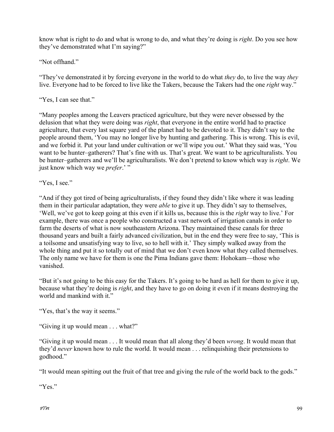know what is right to do and what is wrong to do, and what they're doing is *right*. Do you see how they've demonstrated what I'm saying?"

"Not offhand."

"They've demonstrated it by forcing everyone in the world to do what *they* do, to live the way *they* live. Everyone had to be forced to live like the Takers, because the Takers had the one *right* way."

"Yes, I can see that."

"Many peoples among the Leavers practiced agriculture, but they were never obsessed by the delusion that what they were doing was *right*, that everyone in the entire world had to practice agriculture, that every last square yard of the planet had to be devoted to it. They didn't say to the people around them, 'You may no longer live by hunting and gathering. This is wrong. This is evil, and we forbid it. Put your land under cultivation or we'll wipe you out.' What they said was, 'You want to be hunter–gatherers? That's fine with us. That's great. We want to be agriculturalists. You be hunter–gatherers and we'll be agriculturalists. We don't pretend to know which way is *right*. We just know which way we *prefer*.'"

"Yes, I see."

"And if they got tired of being agriculturalists, if they found they didn't like where it was leading them in their particular adaptation, they were *able* to give it up. They didn't say to themselves, 'Well, we've got to keep going at this even if it kills us, because this is the *right* way to live.' For example, there was once a people who constructed a vast network of irrigation canals in order to farm the deserts of what is now southeastern Arizona. They maintained these canals for three thousand years and built a fairly advanced civilization, but in the end they were free to say, 'This is a toilsome and unsatisfying way to live, so to hell with it.' They simply walked away from the whole thing and put it so totally out of mind that we don't even know what they called themselves. The only name we have for them is one the Pima Indians gave them: Hohokam—those who vanished.

"But it's not going to be this easy for the Takers. It's going to be hard as hell for them to give it up, because what they're doing is *right*, and they have to go on doing it even if it means destroying the world and mankind with it."

"Yes, that's the way it seems."

"Giving it up would mean . . . what?"

"Giving it up would mean . . . It would mean that all along they'd been *wrong*. It would mean that they'd *never* known how to rule the world. It would mean . . . relinquishing their pretensions to godhood."

"It would mean spitting out the fruit of that tree and giving the rule of the world back to the gods."

"Yes."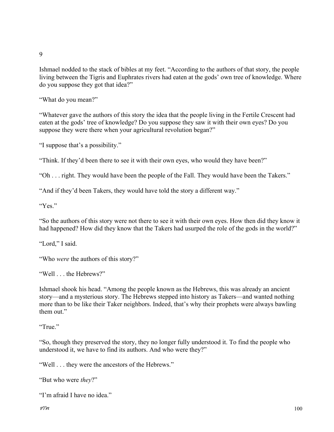9

Ishmael nodded to the stack of bibles at my feet. "According to the authors of that story, the people living between the Tigris and Euphrates rivers had eaten at the gods' own tree of knowledge. Where do you suppose they got that idea?"

"What do you mean?"

"Whatever gave the authors of this story the idea that the people living in the Fertile Crescent had eaten at the gods' tree of knowledge? Do you suppose they saw it with their own eyes? Do you suppose they were there when your agricultural revolution began?"

"I suppose that's a possibility."

"Think. If they'd been there to see it with their own eyes, who would they have been?"

"Oh . . . right. They would have been the people of the Fall. They would have been the Takers."

"And if they'd been Takers, they would have told the story a different way."

"Yes."

"So the authors of this story were not there to see it with their own eyes. How then did they know it had happened? How did they know that the Takers had usurped the role of the gods in the world?"

"Lord," I said.

"Who *were* the authors of this story?"

"Well  $\qquad$  the Hebrews?"

Ishmael shook his head. "Among the people known as the Hebrews, this was already an ancient story—and a mysterious story. The Hebrews stepped into history as Takers—and wanted nothing more than to be like their Taker neighbors. Indeed, that's why their prophets were always bawling them out."

"True"

"So, though they preserved the story, they no longer fully understood it. To find the people who understood it, we have to find its authors. And who were they?"

"Well . . . they were the ancestors of the Hebrews."

"But who were *they*?"

"I'm afraid I have no idea"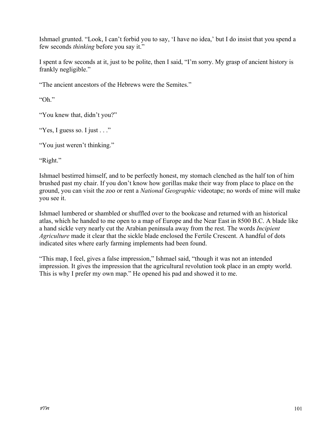Ishmael grunted. "Look, I can't forbid you to say, 'I have no idea,' but I do insist that you spend a few seconds *thinking* before you say it."

I spent a few seconds at it, just to be polite, then I said, "I'm sorry. My grasp of ancient history is frankly negligible."

"The ancient ancestors of the Hebrews were the Semites."

"Oh."

"You knew that, didn't you?"

"Yes, I guess so. I just . . ."

"You just weren't thinking."

"Right."

Ishmael bestirred himself, and to be perfectly honest, my stomach clenched as the half ton of him brushed past my chair. If you don't know how gorillas make their way from place to place on the ground, you can visit the zoo or rent a *National Geographic* videotape; no words of mine will make you see it.

Ishmael lumbered or shambled or shuffled over to the bookcase and returned with an historical atlas, which he handed to me open to a map of Europe and the Near East in 8500 B.C. A blade like a hand sickle very nearly cut the Arabian peninsula away from the rest. The words *Incipient Agriculture* made it clear that the sickle blade enclosed the Fertile Crescent. A handful of dots indicated sites where early farming implements had been found.

"This map, I feel, gives a false impression," Ishmael said, "though it was not an intended impression. It gives the impression that the agricultural revolution took place in an empty world. This is why I prefer my own map." He opened his pad and showed it to me.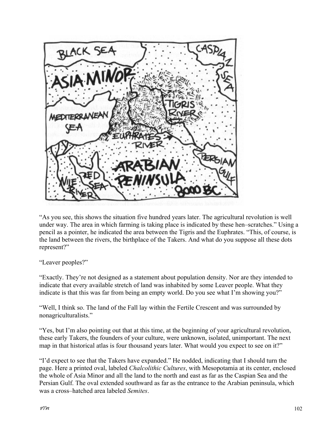

"As you see, this shows the situation five hundred years later. The agricultural revolution is well under way. The area in which farming is taking place is indicated by these hen–scratches." Using a pencil as a pointer, he indicated the area between the Tigris and the Euphrates. "This, of course, is the land between the rivers, the birthplace of the Takers. And what do you suppose all these dots represent?"

"Leaver peoples?"

"Exactly. They're not designed as a statement about population density. Nor are they intended to indicate that every available stretch of land was inhabited by some Leaver people. What they indicate is that this was far from being an empty world. Do you see what I'm showing you?"

"Well, I think so. The land of the Fall lay within the Fertile Crescent and was surrounded by nonagriculturalists."

"Yes, but I'm also pointing out that at this time, at the beginning of your agricultural revolution, these early Takers, the founders of your culture, were unknown, isolated, unimportant. The next map in that historical atlas is four thousand years later. What would you expect to see on it?"

"I'd expect to see that the Takers have expanded." He nodded, indicating that I should turn the page. Here a printed oval, labeled *Chalcolithic Cultures*, with Mesopotamia at its center, enclosed the whole of Asia Minor and all the land to the north and east as far as the Caspian Sea and the Persian Gulf. The oval extended southward as far as the entrance to the Arabian peninsula, which was a cross–hatched area labeled *Semites*.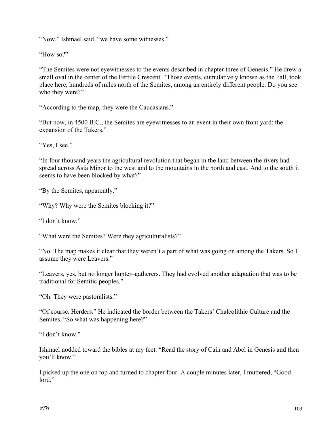"Now," Ishmael said, "we have some witnesses."

"How so?"

"The Semites were not eyewitnesses to the events described in chapter three of Genesis." He drew a small oval in the center of the Fertile Crescent. "Those events, cumulatively known as the Fall, took place here, hundreds of miles north of the Semites, among an entirely different people. Do you see who they were?"

"According to the map, they were the Caucasians."

"But now, in 4500 B.C., the Semites are eyewitnesses to an event in their own front yard: the expansion of the Takers."

"Yes, I see."

"In four thousand years the agricultural revolution that began in the land between the rivers had spread across Asia Minor to the west and to the mountains in the north and east. And to the south it seems to have been blocked by what?"

"By the Semites, apparently."

"Why? Why were the Semites blocking it?"

"I don't know"

"What were the Semites? Were they agriculturalists?"

"No. The map makes it clear that they weren't a part of what was going on among the Takers. So I assume they were Leavers."

"Leavers, yes, but no longer hunter–gatherers. They had evolved another adaptation that was to be traditional for Semitic peoples."

"Oh. They were pastoralists."

"Of course. Herders." He indicated the border between the Takers' Chalcolithic Culture and the Semites. "So what was happening here?"

"I don't know"

Ishmael nodded toward the bibles at my feet. "Read the story of Cain and Abel in Genesis and then you'll know."

I picked up the one on top and turned to chapter four. A couple minutes later, I muttered, "Good lord."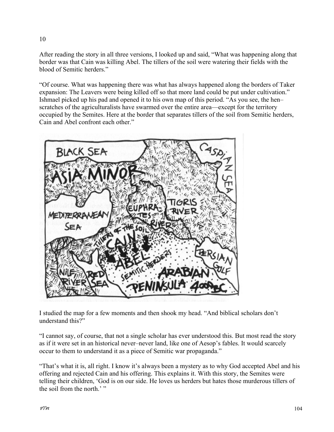After reading the story in all three versions, I looked up and said, "What was happening along that border was that Cain was killing Abel. The tillers of the soil were watering their fields with the blood of Semitic herders."

"Of course. What was happening there was what has always happened along the borders of Taker expansion: The Leavers were being killed off so that more land could be put under cultivation." Ishmael picked up his pad and opened it to his own map of this period. "As you see, the hen– scratches of the agriculturalists have swarmed over the entire area—except for the territory occupied by the Semites. Here at the border that separates tillers of the soil from Semitic herders, Cain and Abel confront each other."



I studied the map for a few moments and then shook my head. "And biblical scholars don't understand this?"

"I cannot say, of course, that not a single scholar has ever understood this. But most read the story as if it were set in an historical never–never land, like one of Aesop's fables. It would scarcely occur to them to understand it as a piece of Semitic war propaganda."

"That's what it is, all right. I know it's always been a mystery as to why God accepted Abel and his offering and rejected Cain and his offering. This explains it. With this story, the Semites were telling their children, 'God is on our side. He loves us herders but hates those murderous tillers of the soil from the north.' "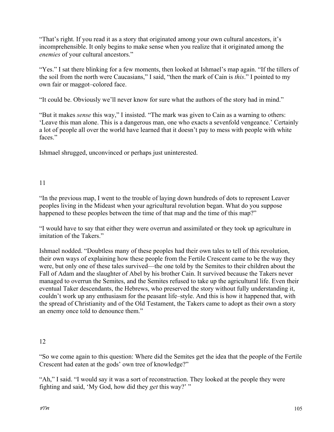"That's right. If you read it as a story that originated among your own cultural ancestors, it's incomprehensible. It only begins to make sense when you realize that it originated among the *enemies* of your cultural ancestors."

"Yes." I sat there blinking for a few moments, then looked at Ishmael's map again. "If the tillers of the soil from the north were Caucasians," I said, "then the mark of Cain is *this*." I pointed to my own fair or maggot–colored face.

"It could be. Obviously we'll never know for sure what the authors of the story had in mind."

"But it makes *sense* this way," I insisted. "The mark was given to Cain as a warning to others: 'Leave this man alone. This is a dangerous man, one who exacts a sevenfold vengeance.' Certainly a lot of people all over the world have learned that it doesn't pay to mess with people with white faces "

Ishmael shrugged, unconvinced or perhaps just uninterested.

### 11

"In the previous map, I went to the trouble of laying down hundreds of dots to represent Leaver peoples living in the Mideast when your agricultural revolution began. What do you suppose happened to these peoples between the time of that map and the time of this map?"

"I would have to say that either they were overrun and assimilated or they took up agriculture in imitation of the Takers."

Ishmael nodded. "Doubtless many of these peoples had their own tales to tell of this revolution, their own ways of explaining how these people from the Fertile Crescent came to be the way they were, but only one of these tales survived—the one told by the Semites to their children about the Fall of Adam and the slaughter of Abel by his brother Cain. It survived because the Takers never managed to overrun the Semites, and the Semites refused to take up the agricultural life. Even their eventual Taker descendants, the Hebrews, who preserved the story without fully understanding it, couldn't work up any enthusiasm for the peasant life–style. And this is how it happened that, with the spread of Christianity and of the Old Testament, the Takers came to adopt as their own a story an enemy once told to denounce them."

### 12

"So we come again to this question: Where did the Semites get the idea that the people of the Fertile Crescent had eaten at the gods' own tree of knowledge?"

"Ah," I said. "I would say it was a sort of reconstruction. They looked at the people they were fighting and said, 'My God, how did they *get* this way?' "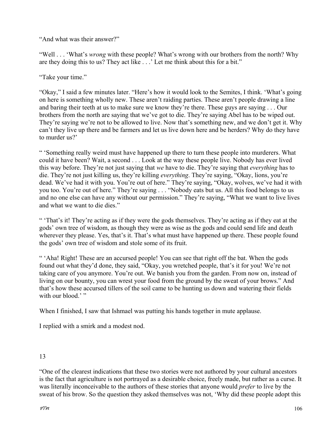"And what was their answer?"

"Well . . . 'What's *wrong* with these people? What's wrong with our brothers from the north? Why are they doing this to us? They act like . . .' Let me think about this for a bit."

"Take your time."

"Okay," I said a few minutes later. "Here's how it would look to the Semites, I think. 'What's going on here is something wholly new. These aren't raiding parties. These aren't people drawing a line and baring their teeth at us to make sure we know they're there. These guys are saying . . . Our brothers from the north are saying that we've got to die. They're saying Abel has to be wiped out. They're saying we're not to be allowed to live. Now that's something new, and we don't get it. Why can't they live up there and be farmers and let us live down here and be herders? Why do they have to murder us?'

" 'Something really weird must have happened up there to turn these people into murderers. What could it have been? Wait, a second . . . Look at the way these people live. Nobody has ever lived this way before. They're not just saying that *we* have to die. They're saying that *everything* has to die. They're not just killing us, they're killing *everything*. They're saying, "Okay, lions, you're dead. We've had it with you. You're out of here." They're saying, "Okay, wolves, we've had it with you too. You're out of here." They're saying . . . "Nobody eats but us. All this food belongs to us and no one else can have any without our permission." They're saying, "What we want to live lives and what we want to die dies."

" 'That's it! They're acting as if they were the gods themselves. They're acting as if they eat at the gods' own tree of wisdom, as though they were as wise as the gods and could send life and death wherever they please. Yes, that's it. That's what must have happened up there. These people found the gods' own tree of wisdom and stole some of its fruit.

" 'Aha! Right! These are an accursed people! You can see that right off the bat. When the gods found out what they'd done, they said, "Okay, you wretched people, that's it for you! We're not taking care of you anymore. You're out. We banish you from the garden. From now on, instead of living on our bounty, you can wrest your food from the ground by the sweat of your brows." And that's how these accursed tillers of the soil came to be hunting us down and watering their fields with our blood."

When I finished, I saw that Ishmael was putting his hands together in mute applause.

I replied with a smirk and a modest nod.

### 13

"One of the clearest indications that these two stories were not authored by your cultural ancestors is the fact that agriculture is not portrayed as a desirable choice, freely made, but rather as a curse. It was literally inconceivable to the authors of these stories that anyone would *prefer* to live by the sweat of his brow. So the question they asked themselves was not, 'Why did these people adopt this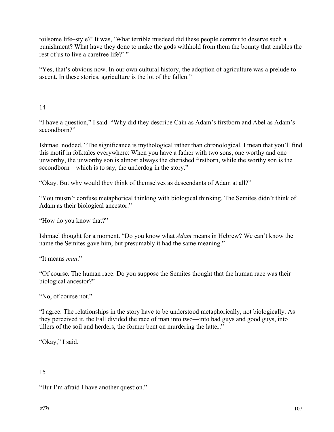toilsome life–style?' It was, 'What terrible misdeed did these people commit to deserve such a punishment? What have they done to make the gods withhold from them the bounty that enables the rest of us to live a carefree life?' "

"Yes, that's obvious now. In our own cultural history, the adoption of agriculture was a prelude to ascent. In these stories, agriculture is the lot of the fallen."

14

"I have a question," I said. "Why did they describe Cain as Adam's firstborn and Abel as Adam's secondborn?"

Ishmael nodded. "The significance is mythological rather than chronological. I mean that you'll find this motif in folktales everywhere: When you have a father with two sons, one worthy and one unworthy, the unworthy son is almost always the cherished firstborn, while the worthy son is the secondborn—which is to say, the underdog in the story."

"Okay. But why would they think of themselves as descendants of Adam at all?"

"You mustn't confuse metaphorical thinking with biological thinking. The Semites didn't think of Adam as their biological ancestor."

"How do you know that?"

Ishmael thought for a moment. "Do you know what *Adam* means in Hebrew? We can't know the name the Semites gave him, but presumably it had the same meaning."

"It means *man*."

"Of course. The human race. Do you suppose the Semites thought that the human race was their biological ancestor?"

"No, of course not."

"I agree. The relationships in the story have to be understood metaphorically, not biologically. As they perceived it, the Fall divided the race of man into two—into bad guys and good guys, into tillers of the soil and herders, the former bent on murdering the latter."

"Okay," I said.

#### 15

"But I'm afraid I have another question."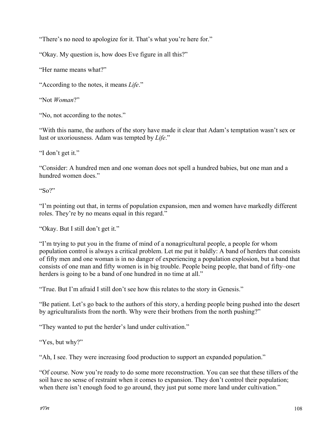"There's no need to apologize for it. That's what you're here for."

"Okay. My question is, how does Eve figure in all this?"

"Her name means what?"

"According to the notes, it means *Life*."

"Not *Woman*?"

"No, not according to the notes."

"With this name, the authors of the story have made it clear that Adam's temptation wasn't sex or lust or uxoriousness. Adam was tempted by *Life*."

"I don't get it."

"Consider: A hundred men and one woman does not spell a hundred babies, but one man and a hundred women does."

"So?"

"I'm pointing out that, in terms of population expansion, men and women have markedly different roles. They're by no means equal in this regard."

"Okay. But I still don't get it."

"I'm trying to put you in the frame of mind of a nonagricultural people, a people for whom population control is always a critical problem. Let me put it baldly: A band of herders that consists of fifty men and one woman is in no danger of experiencing a population explosion, but a band that consists of one man and fifty women is in big trouble. People being people, that band of fifty–one herders is going to be a band of one hundred in no time at all."

"True. But I'm afraid I still don't see how this relates to the story in Genesis."

"Be patient. Let's go back to the authors of this story, a herding people being pushed into the desert by agriculturalists from the north. Why were their brothers from the north pushing?"

"They wanted to put the herder's land under cultivation."

"Yes, but why?"

"Ah, I see. They were increasing food production to support an expanded population."

"Of course. Now you're ready to do some more reconstruction. You can see that these tillers of the soil have no sense of restraint when it comes to expansion. They don't control their population; when there isn't enough food to go around, they just put some more land under cultivation."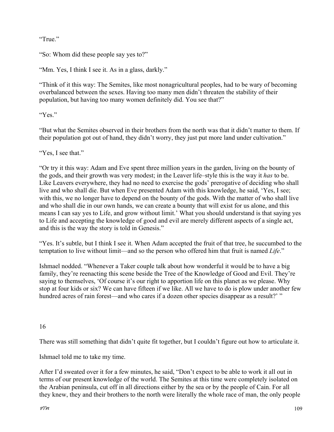"True."

"So: Whom did these people say yes to?"

"Mm. Yes, I think I see it. As in a glass, darkly."

"Think of it this way: The Semites, like most nonagricultural peoples, had to be wary of becoming overbalanced between the sexes. Having too many men didn't threaten the stability of their population, but having too many women definitely did. You see that?"

"Yes."

"But what the Semites observed in their brothers from the north was that it didn't matter to them. If their population got out of hand, they didn't worry, they just put more land under cultivation."

"Yes, I see that."

"Or try it this way: Adam and Eve spent three million years in the garden, living on the bounty of the gods, and their growth was very modest; in the Leaver life–style this is the way it *has* to be. Like Leavers everywhere, they had no need to exercise the gods' prerogative of deciding who shall live and who shall die. But when Eve presented Adam with this knowledge, he said, 'Yes, I see; with this, we no longer have to depend on the bounty of the gods. With the matter of who shall live and who shall die in our own hands, we can create a bounty that will exist for us alone, and this means I can say yes to Life, and grow without limit.' What you should understand is that saying yes to Life and accepting the knowledge of good and evil are merely different aspects of a single act, and this is the way the story is told in Genesis."

"Yes. It's subtle, but I think I see it. When Adam accepted the fruit of that tree, he succumbed to the temptation to live without limit—and so the person who offered him that fruit is named *Life*."

Ishmael nodded. "Whenever a Taker couple talk about how wonderful it would be to have a big family, they're reenacting this scene beside the Tree of the Knowledge of Good and Evil. They're saying to themselves, 'Of course it's our right to apportion life on this planet as we please. Why stop at four kids or six? We can have fifteen if we like. All we have to do is plow under another few hundred acres of rain forest—and who cares if a dozen other species disappear as a result?' "

## 16

There was still something that didn't quite fit together, but I couldn't figure out how to articulate it.

Ishmael told me to take my time.

After I'd sweated over it for a few minutes, he said, "Don't expect to be able to work it all out in terms of our present knowledge of the world. The Semites at this time were completely isolated on the Arabian peninsula, cut off in all directions either by the sea or by the people of Cain. For all they knew, they and their brothers to the north were literally the whole race of man, the only people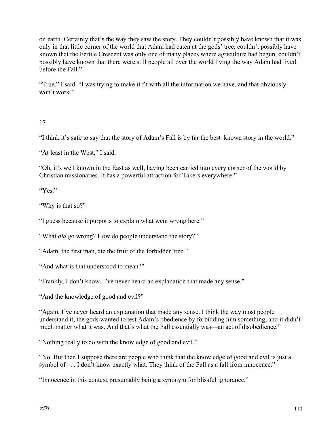on earth. Certainly that's the way they saw the story. They couldn't possibly have known that it was only in that little corner of the world that Adam had eaten at the gods' tree, couldn't possibly have known that the Fertile Crescent was only one of many places where agriculture had begun, couldn't possibly have known that there were still people all over the world living the way Adam had lived before the Fall."

"True," I said. "I was trying to make it fit with all the information we have, and that obviously won't work."

# 17

"I think it's safe to say that the story of Adam's Fall is by far the best–known story in the world."

"At least in the West," I said.

"Oh, it's well known in the East as well, having been carried into every corner of the world by Christian missionaries. It has a powerful attraction for Takers everywhere."

"Yes"

"Why is that so?"

"I guess because it purports to explain what went wrong here."

"What *did* go wrong? How do people understand the story?"

"Adam, the first man, ate the fruit of the forbidden tree."

"And what is that understood to mean?"

"Frankly, I don't know. I've never heard an explanation that made any sense."

"And the knowledge of good and evil?"

"Again, I've never heard an explanation that made any sense. I think the way most people understand it, the gods wanted to test Adam's obedience by forbidding him something, and it didn't much matter what it was. And that's what the Fall essentially was—an act of disobedience."

"Nothing really to do with the knowledge of good and evil."

"No. But then I suppose there are people who think that the knowledge of good and evil is just a symbol of . . . I don't know exactly what. They think of the Fall as a fall from innocence."

"Innocence in this context presumably being a synonym for blissful ignorance."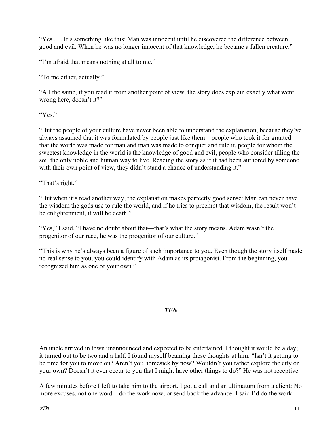"Yes . . . It's something like this: Man was innocent until he discovered the difference between good and evil. When he was no longer innocent of that knowledge, he became a fallen creature."

"I'm afraid that means nothing at all to me."

"To me either, actually."

"All the same, if you read it from another point of view, the story does explain exactly what went wrong here, doesn't it?"

"Yes"

"But the people of your culture have never been able to understand the explanation, because they've always assumed that it was formulated by people just like them—people who took it for granted that the world was made for man and man was made to conquer and rule it, people for whom the sweetest knowledge in the world is the knowledge of good and evil, people who consider tilling the soil the only noble and human way to live. Reading the story as if it had been authored by someone with their own point of view, they didn't stand a chance of understanding it."

"That's right."

"But when it's read another way, the explanation makes perfectly good sense: Man can never have the wisdom the gods use to rule the world, and if he tries to preempt that wisdom, the result won't be enlightenment, it will be death."

"Yes," I said, "I have no doubt about that—that's what the story means. Adam wasn't the progenitor of our race, he was the progenitor of our culture."

"This is why he's always been a figure of such importance to you. Even though the story itself made no real sense to you, you could identify with Adam as its protagonist. From the beginning, you recognized him as one of your own."

# *TEN*

1

An uncle arrived in town unannounced and expected to be entertained. I thought it would be a day; it turned out to be two and a half. I found myself beaming these thoughts at him: "Isn't it getting to be time for you to move on? Aren't you homesick by now? Wouldn't you rather explore the city on your own? Doesn't it ever occur to you that I might have other things to do?" He was not receptive.

A few minutes before I left to take him to the airport, I got a call and an ultimatum from a client: No more excuses, not one word—do the work now, or send back the advance. I said I'd do the work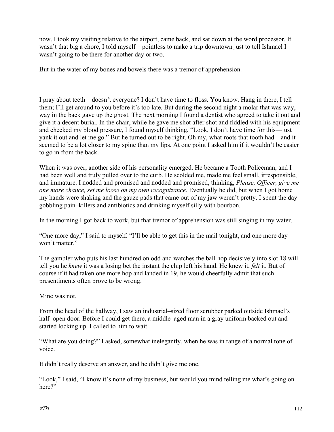now. I took my visiting relative to the airport, came back, and sat down at the word processor. It wasn't that big a chore, I told myself—pointless to make a trip downtown just to tell Ishmael I wasn't going to be there for another day or two.

But in the water of my bones and bowels there was a tremor of apprehension.

I pray about teeth—doesn't everyone? I don't have time to floss. You know. Hang in there, I tell them; I'll get around to you before it's too late. But during the second night a molar that was way, way in the back gave up the ghost. The next morning I found a dentist who agreed to take it out and give it a decent burial. In the chair, while he gave me shot after shot and fiddled with his equipment and checked my blood pressure, I found myself thinking, "Look, I don't have time for this—just yank it out and let me go." But he turned out to be right. Oh my, what roots that tooth had—and it seemed to be a lot closer to my spine than my lips. At one point I asked him if it wouldn't be easier to go in from the back.

When it was over, another side of his personality emerged. He became a Tooth Policeman, and I had been well and truly pulled over to the curb. He scolded me, made me feel small, irresponsible, and immature. I nodded and promised and nodded and promised, thinking, *Please, Officer, give me one more chance, set me loose on my own recognizance*. Eventually he did, but when I got home my hands were shaking and the gauze pads that came out of my jaw weren't pretty. I spent the day gobbling pain–killers and antibiotics and drinking myself silly with bourbon.

In the morning I got back to work, but that tremor of apprehension was still singing in my water.

"One more day," I said to myself. "I'll be able to get this in the mail tonight, and one more day won't matter."

The gambler who puts his last hundred on odd and watches the ball hop decisively into slot 18 will tell you he *knew* it was a losing bet the instant the chip left his hand. He knew it, *felt* it. But of course if it had taken one more hop and landed in 19, he would cheerfully admit that such presentiments often prove to be wrong.

Mine was not.

From the head of the hallway, I saw an industrial–sized floor scrubber parked outside Ishmael's half–open door. Before I could get there, a middle–aged man in a gray uniform backed out and started locking up. I called to him to wait.

"What are you doing?" I asked, somewhat inelegantly, when he was in range of a normal tone of voice.

It didn't really deserve an answer, and he didn't give me one.

"Look," I said, "I know it's none of my business, but would you mind telling me what's going on here?"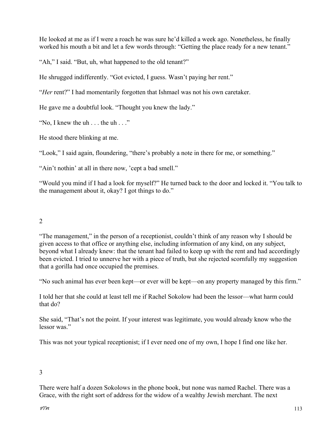He looked at me as if I were a roach he was sure he'd killed a week ago. Nonetheless, he finally worked his mouth a bit and let a few words through: "Getting the place ready for a new tenant."

"Ah," I said. "But, uh, what happened to the old tenant?"

He shrugged indifferently. "Got evicted, I guess. Wasn't paying her rent."

"*Her* rent?" I had momentarily forgotten that Ishmael was not his own caretaker.

He gave me a doubtful look. "Thought you knew the lady."

"No, I knew the uh . . . the uh . . ."

He stood there blinking at me.

"Look," I said again, floundering, "there's probably a note in there for me, or something."

"Ain't nothin' at all in there now, 'cept a bad smell."

"Would you mind if I had a look for myself?" He turned back to the door and locked it. "You talk to the management about it, okay? I got things to do."

# 2

"The management," in the person of a receptionist, couldn't think of any reason why I should be given access to that office or anything else, including information of any kind, on any subject, beyond what I already knew: that the tenant had failed to keep up with the rent and had accordingly been evicted. I tried to unnerve her with a piece of truth, but she rejected scornfully my suggestion that a gorilla had once occupied the premises.

"No such animal has ever been kept—or ever will be kept—on any property managed by this firm."

I told her that she could at least tell me if Rachel Sokolow had been the lessor—what harm could that do?

She said, "That's not the point. If your interest was legitimate, you would already know who the lessor was."

This was not your typical receptionist; if I ever need one of my own, I hope I find one like her.

# 3

There were half a dozen Sokolows in the phone book, but none was named Rachel. There was a Grace, with the right sort of address for the widow of a wealthy Jewish merchant. The next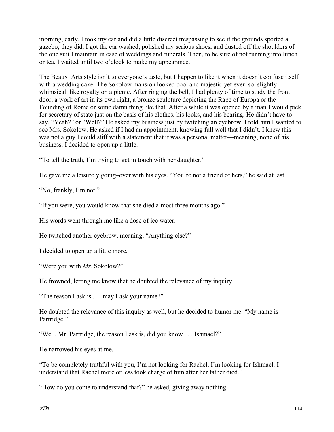morning, early, I took my car and did a little discreet trespassing to see if the grounds sported a gazebo; they did. I got the car washed, polished my serious shoes, and dusted off the shoulders of the one suit I maintain in case of weddings and funerals. Then, to be sure of not running into lunch or tea, I waited until two o'clock to make my appearance.

The Beaux–Arts style isn't to everyone's taste, but I happen to like it when it doesn't confuse itself with a wedding cake. The Sokolow mansion looked cool and majestic yet ever–so–slightly whimsical, like royalty on a picnic. After ringing the bell, I had plenty of time to study the front door, a work of art in its own right, a bronze sculpture depicting the Rape of Europa or the Founding of Rome or some damn thing like that. After a while it was opened by a man I would pick for secretary of state just on the basis of his clothes, his looks, and his bearing. He didn't have to say, "Yeah?" or "Well?" He asked my business just by twitching an eyebrow. I told him I wanted to see Mrs. Sokolow. He asked if I had an appointment, knowing full well that I didn't. I knew this was not a guy I could stiff with a statement that it was a personal matter—meaning, none of his business. I decided to open up a little.

"To tell the truth, I'm trying to get in touch with her daughter."

He gave me a leisurely going–over with his eyes. "You're not a friend of hers," he said at last.

"No, frankly, I'm not."

"If you were, you would know that she died almost three months ago."

His words went through me like a dose of ice water.

He twitched another eyebrow, meaning, "Anything else?"

I decided to open up a little more.

"Were you with *Mr*. Sokolow?"

He frowned, letting me know that he doubted the relevance of my inquiry.

"The reason I ask is . . . may I ask your name?"

He doubted the relevance of this inquiry as well, but he decided to humor me. "My name is Partridge."

"Well, Mr. Partridge, the reason I ask is, did you know . . . Ishmael?"

He narrowed his eyes at me.

"To be completely truthful with you, I'm not looking for Rachel, I'm looking for Ishmael. I understand that Rachel more or less took charge of him after her father died."

"How do you come to understand that?" he asked, giving away nothing.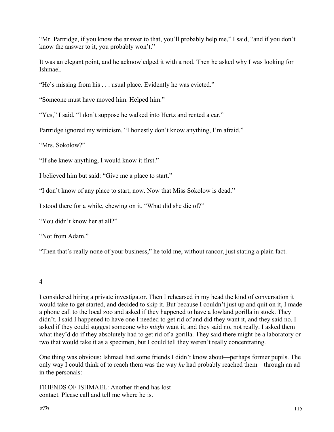"Mr. Partridge, if you know the answer to that, you'll probably help me," I said, "and if you don't know the answer to it, you probably won't."

It was an elegant point, and he acknowledged it with a nod. Then he asked why I was looking for Ishmael.

"He's missing from his . . . usual place. Evidently he was evicted."

"Someone must have moved him. Helped him."

"Yes," I said. "I don't suppose he walked into Hertz and rented a car."

Partridge ignored my witticism. "I honestly don't know anything, I'm afraid."

"Mrs. Sokolow?"

"If she knew anything, I would know it first."

I believed him but said: "Give me a place to start."

"I don't know of any place to start, now. Now that Miss Sokolow is dead."

I stood there for a while, chewing on it. "What did she die of?"

"You didn't know her at all?"

"Not from Adam."

"Then that's really none of your business," he told me, without rancor, just stating a plain fact.

#### 4

I considered hiring a private investigator. Then I rehearsed in my head the kind of conversation it would take to get started, and decided to skip it. But because I couldn't just up and quit on it, I made a phone call to the local zoo and asked if they happened to have a lowland gorilla in stock. They didn't. I said I happened to have one I needed to get rid of and did they want it, and they said no. I asked if they could suggest someone who *might* want it, and they said no, not really. I asked them what they'd do if they absolutely had to get rid of a gorilla. They said there might be a laboratory or two that would take it as a specimen, but I could tell they weren't really concentrating.

One thing was obvious: Ishmael had some friends I didn't know about—perhaps former pupils. The only way I could think of to reach them was the way *he* had probably reached them—through an ad in the personals:

FRIENDS OF ISHMAEL: Another friend has lost contact. Please call and tell me where he is.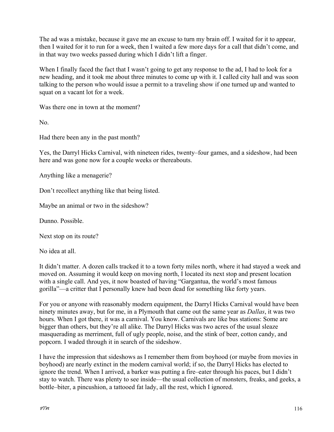The ad was a mistake, because it gave me an excuse to turn my brain off. I waited for it to appear, then I waited for it to run for a week, then I waited a few more days for a call that didn't come, and in that way two weeks passed during which I didn't lift a finger.

When I finally faced the fact that I wasn't going to get any response to the ad, I had to look for a new heading, and it took me about three minutes to come up with it. I called city hall and was soon talking to the person who would issue a permit to a traveling show if one turned up and wanted to squat on a vacant lot for a week.

Was there one in town at the moment?

No.

Had there been any in the past month?

Yes, the Darryl Hicks Carnival, with nineteen rides, twenty–four games, and a sideshow, had been here and was gone now for a couple weeks or thereabouts.

Anything like a menagerie?

Don't recollect anything like that being listed.

Maybe an animal or two in the sideshow?

Dunno. Possible.

Next stop on its route?

No idea at all.

It didn't matter. A dozen calls tracked it to a town forty miles north, where it had stayed a week and moved on. Assuming it would keep on moving north, I located its next stop and present location with a single call. And yes, it now boasted of having "Gargantua, the world's most famous gorilla"—a critter that I personally knew had been dead for something like forty years.

For you or anyone with reasonably modern equipment, the Darryl Hicks Carnival would have been ninety minutes away, but for me, in a Plymouth that came out the same year as *Dallas*, it was two hours. When I got there, it was a carnival. You know. Carnivals are like bus stations: Some are bigger than others, but they're all alike. The Darryl Hicks was two acres of the usual sleaze masquerading as merriment, full of ugly people, noise, and the stink of beer, cotton candy, and popcorn. I waded through it in search of the sideshow.

I have the impression that sideshows as I remember them from boyhood (or maybe from movies in boyhood) are nearly extinct in the modern carnival world; if so, the Darryl Hicks has elected to ignore the trend. When I arrived, a barker was putting a fire–eater through his paces, but I didn't stay to watch. There was plenty to see inside—the usual collection of monsters, freaks, and geeks, a bottle–biter, a pincushion, a tattooed fat lady, all the rest, which I ignored.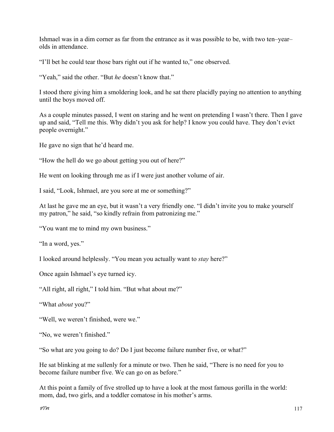Ishmael was in a dim corner as far from the entrance as it was possible to be, with two ten–year– olds in attendance.

"I'll bet he could tear those bars right out if he wanted to," one observed.

"Yeah," said the other. "But *he* doesn't know that."

I stood there giving him a smoldering look, and he sat there placidly paying no attention to anything until the boys moved off.

As a couple minutes passed, I went on staring and he went on pretending I wasn't there. Then I gave up and said, "Tell me this. Why didn't you ask for help? I know you could have. They don't evict people overnight."

He gave no sign that he'd heard me.

"How the hell do we go about getting you out of here?"

He went on looking through me as if I were just another volume of air.

I said, "Look, Ishmael, are you sore at me or something?"

At last he gave me an eye, but it wasn't a very friendly one. "I didn't invite you to make yourself my patron," he said, "so kindly refrain from patronizing me."

"You want me to mind my own business."

"In a word, yes."

I looked around helplessly. "You mean you actually want to *stay* here?"

Once again Ishmael's eye turned icy.

"All right, all right," I told him. "But what about me?"

"What *about* you?"

"Well, we weren't finished, were we."

"No, we weren't finished."

"So what are you going to do? Do I just become failure number five, or what?"

He sat blinking at me sullenly for a minute or two. Then he said, "There is no need for you to become failure number five. We can go on as before."

At this point a family of five strolled up to have a look at the most famous gorilla in the world: mom, dad, two girls, and a toddler comatose in his mother's arms.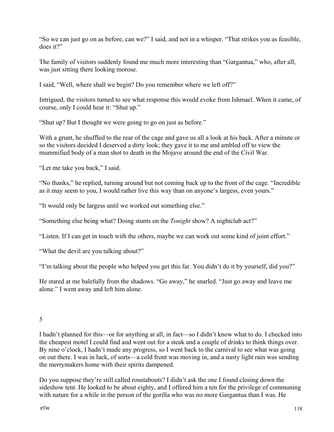"So we can just go on as before, can we?" I said, and not in a whisper. "That strikes you as feasible, does it?"

The family of visitors suddenly found me much more interesting than "Gargantua," who, after all, was just sitting there looking morose.

I said, "Well, where shall we begin? Do you remember where we left off?"

Intrigued, the visitors turned to see what response this would evoke from Ishmael. When it came, of course, only I could hear it: "Shut up."

"Shut up? But I thought we were going to go on just as before."

With a grunt, he shuffled to the rear of the cage and gave us all a look at his back. After a minute or so the visitors decided I deserved a dirty look; they gave it to me and ambled off to view the mummified body of a man shot to death in the Mojave around the end of the Civil War.

"Let me take you back," I said.

"No thanks," he replied, turning around but not coming back up to the front of the cage. "Incredible as it may seem to you, I would rather live this way than on anyone's largess, even yours."

"It would only be largess until we worked out something else."

"Something else being what? Doing stunts on the *Tonight* show? A nightclub act?"

"Listen. If I can get in touch with the others, maybe we can work out some kind of joint effort."

"What the devil are you talking about?"

"I'm talking about the people who helped you get this far. You didn't do it by yourself, did you?"

He stared at me balefully from the shadows. "Go away," he snarled. "Just go away and leave me alone." I went away and left him alone.

## 5

I hadn't planned for this—or for anything at all, in fact—so I didn't know what to do. I checked into the cheapest motel I could find and went out for a steak and a couple of drinks to think things over. By nine o'clock, I hadn't made any progress, so I went back to the carnival to see what was going on out there. I was in luck, of sorts—a cold front was moving in, and a nasty light rain was sending the merrymakers home with their spirits dampened.

Do you suppose they're still called roustabouts? I didn't ask the one I found closing down the sideshow tent. He looked to be about eighty, and I offered him a ten for the privilege of communing with nature for a while in the person of the gorilla who was no more Gargantua than I was. He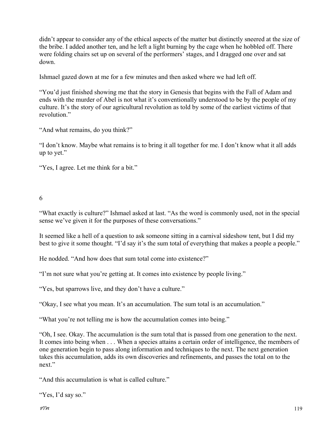didn't appear to consider any of the ethical aspects of the matter but distinctly sneered at the size of the bribe. I added another ten, and he left a light burning by the cage when he hobbled off. There were folding chairs set up on several of the performers' stages, and I dragged one over and sat down.

Ishmael gazed down at me for a few minutes and then asked where we had left off.

"You'd just finished showing me that the story in Genesis that begins with the Fall of Adam and ends with the murder of Abel is not what it's conventionally understood to be by the people of my culture. It's the story of our agricultural revolution as told by some of the earliest victims of that revolution"

"And what remains, do you think?"

"I don't know. Maybe what remains is to bring it all together for me. I don't know what it all adds up to yet."

"Yes, I agree. Let me think for a bit."

# 6

"What exactly is culture?" Ishmael asked at last. "As the word is commonly used, not in the special sense we've given it for the purposes of these conversations."

It seemed like a hell of a question to ask someone sitting in a carnival sideshow tent, but I did my best to give it some thought. "I'd say it's the sum total of everything that makes a people a people."

He nodded. "And how does that sum total come into existence?"

"I'm not sure what you're getting at. It comes into existence by people living."

"Yes, but sparrows live, and they don't have a culture."

"Okay, I see what you mean. It's an accumulation. The sum total is an accumulation."

"What you're not telling me is how the accumulation comes into being."

"Oh, I see. Okay. The accumulation is the sum total that is passed from one generation to the next. It comes into being when . . . When a species attains a certain order of intelligence, the members of one generation begin to pass along information and techniques to the next. The next generation takes this accumulation, adds its own discoveries and refinements, and passes the total on to the next"

"And this accumulation is what is called culture."

```
"Yes, I'd say so."
```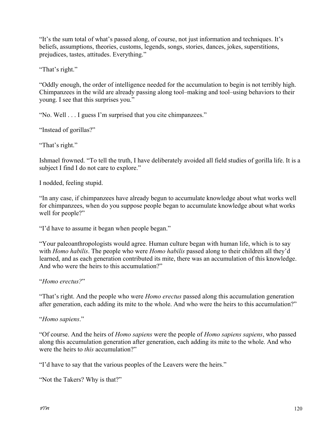"It's the sum total of what's passed along, of course, not just information and techniques. It's beliefs, assumptions, theories, customs, legends, songs, stories, dances, jokes, superstitions, prejudices, tastes, attitudes. Everything."

"That's right."

"Oddly enough, the order of intelligence needed for the accumulation to begin is not terribly high. Chimpanzees in the wild are already passing along tool–making and tool–using behaviors to their young. I see that this surprises you."

"No. Well . . . I guess I'm surprised that you cite chimpanzees."

"Instead of gorillas?"

"That's right."

Ishmael frowned. "To tell the truth, I have deliberately avoided all field studies of gorilla life. It is a subject I find I do not care to explore."

I nodded, feeling stupid.

"In any case, if chimpanzees have already begun to accumulate knowledge about what works well for chimpanzees, when do you suppose people began to accumulate knowledge about what works well for people?"

"I'd have to assume it began when people began."

"Your paleoanthropologists would agree. Human culture began with human life, which is to say with *Homo habilis*. The people who were *Homo habilis* passed along to their children all they'd learned, and as each generation contributed its mite, there was an accumulation of this knowledge. And who were the heirs to this accumulation?"

"*Homo erectus?*"

"That's right. And the people who were *Homo erectus* passed along this accumulation generation after generation, each adding its mite to the whole. And who were the heirs to this accumulation?"

"*Homo sapiens*."

"Of course. And the heirs of *Homo sapiens* were the people of *Homo sapiens sapiens*, who passed along this accumulation generation after generation, each adding its mite to the whole. And who were the heirs to *this* accumulation?"

"I'd have to say that the various peoples of the Leavers were the heirs."

"Not the Takers? Why is that?"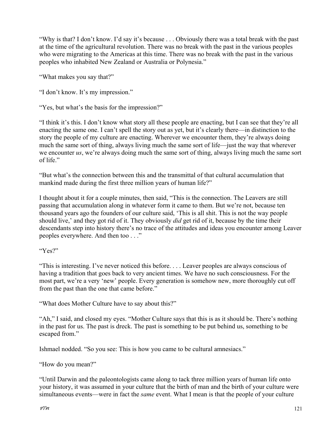"Why is that? I don't know. I'd say it's because . . . Obviously there was a total break with the past at the time of the agricultural revolution. There was no break with the past in the various peoples who were migrating to the Americas at this time. There was no break with the past in the various peoples who inhabited New Zealand or Australia or Polynesia."

"What makes you say that?"

"I don't know. It's my impression."

"Yes, but what's the basis for the impression?"

"I think it's this. I don't know what story all these people are enacting, but I can see that they're all enacting the same one. I can't spell the story out as yet, but it's clearly there—in distinction to the story the people of my culture are enacting. Wherever we encounter them, they're always doing much the same sort of thing, always living much the same sort of life—just the way that wherever we encounter *us*, we're always doing much the same sort of thing, always living much the same sort of life."

"But what's the connection between this and the transmittal of that cultural accumulation that mankind made during the first three million years of human life?"

I thought about it for a couple minutes, then said, "This is the connection. The Leavers are still passing that accumulation along in whatever form it came to them. But we're not, because ten thousand years ago the founders of our culture said, 'This is all shit. This is not the way people should live,' and they got rid of it. They obviously *did* get rid of it, because by the time their descendants step into history there's no trace of the attitudes and ideas you encounter among Leaver peoples everywhere. And then too . . ."

"Yes?"

"This is interesting. I've never noticed this before. . . . Leaver peoples are always conscious of having a tradition that goes back to very ancient times. We have no such consciousness. For the most part, we're a very 'new' people. Every generation is somehow new, more thoroughly cut off from the past than the one that came before."

"What does Mother Culture have to say about this?"

"Ah," I said, and closed my eyes. "Mother Culture says that this is as it should be. There's nothing in the past for us. The past is dreck. The past is something to be put behind us, something to be escaped from."

Ishmael nodded. "So you see: This is how you came to be cultural amnesiacs."

"How do you mean?"

"Until Darwin and the paleontologists came along to tack three million years of human life onto your history, it was assumed in your culture that the birth of man and the birth of your culture were simultaneous events—were in fact the *same* event. What I mean is that the people of your culture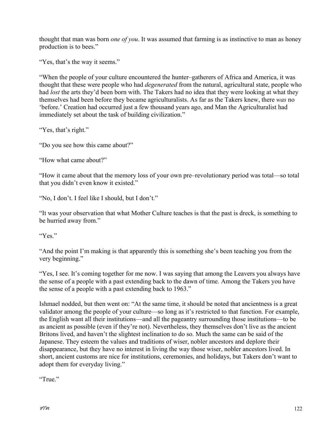thought that man was born *one of you*. It was assumed that farming is as instinctive to man as honey production is to bees."

"Yes, that's the way it seems."

"When the people of your culture encountered the hunter–gatherers of Africa and America, it was thought that these were people who had *degenerated* from the natural, agricultural state, people who had *lost* the arts they'd been born with. The Takers had no idea that they were looking at what they themselves had been before they became agriculturalists. As far as the Takers knew, there *was* no 'before.' Creation had occurred just a few thousand years ago, and Man the Agriculturalist had immediately set about the task of building civilization."

"Yes, that's right."

"Do you see how this came about?"

"How what came about?"

"How it came about that the memory loss of your own pre–revolutionary period was total—so total that you didn't even know it existed."

"No, I don't. I feel like I should, but I don't."

"It was your observation that what Mother Culture teaches is that the past is dreck, is something to be hurried away from."

"Yes"

"And the point I'm making is that apparently this is something she's been teaching you from the very beginning."

"Yes, I see. It's coming together for me now. I was saying that among the Leavers you always have the sense of a people with a past extending back to the dawn of time. Among the Takers you have the sense of a people with a past extending back to 1963."

Ishmael nodded, but then went on: "At the same time, it should be noted that ancientness is a great validator among the people of your culture—so long as it's restricted to that function. For example, the English want all their institutions—and all the pageantry surrounding those institutions—to be as ancient as possible (even if they're not). Nevertheless, they themselves don't live as the ancient Britons lived, and haven't the slightest inclination to do so. Much the same can be said of the Japanese. They esteem the values and traditions of wiser, nobler ancestors and deplore their disappearance, but they have no interest in living the way those wiser, nobler ancestors lived. In short, ancient customs are nice for institutions, ceremonies, and holidays, but Takers don't want to adopt them for everyday living."

"True."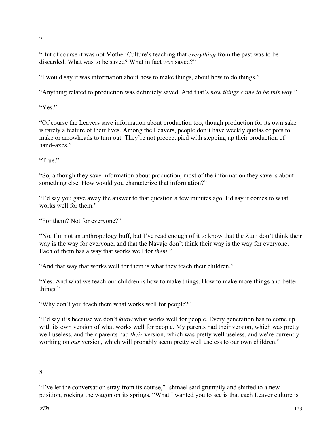7

"But of course it was not Mother Culture's teaching that *everything* from the past was to be discarded. What was to be saved? What in fact *was* saved?"

"I would say it was information about how to make things, about how to do things."

"Anything related to production was definitely saved. And that's *how things came to be this way*."

"Yes."

"Of course the Leavers save information about production too, though production for its own sake is rarely a feature of their lives. Among the Leavers, people don't have weekly quotas of pots to make or arrowheads to turn out. They're not preoccupied with stepping up their production of hand–axes"

"True"

"So, although they save information about production, most of the information they save is about something else. How would you characterize that information?"

"I'd say you gave away the answer to that question a few minutes ago. I'd say it comes to what works well for them."

"For them? Not for everyone?"

"No. I'm not an anthropology buff, but I've read enough of it to know that the Zuni don't think their way is the way for everyone, and that the Navajo don't think their way is the way for everyone. Each of them has a way that works well for *them*."

"And that way that works well for them is what they teach their children."

"Yes. And what we teach our children is how to make things. How to make more things and better things."

"Why don't you teach them what works well for people?"

"I'd say it's because we don't *know* what works well for people. Every generation has to come up with its own version of what works well for people. My parents had their version, which was pretty well useless, and their parents had *their* version, which was pretty well useless, and we're currently working on *our* version, which will probably seem pretty well useless to our own children."

## 8

"I've let the conversation stray from its course," Ishmael said grumpily and shifted to a new position, rocking the wagon on its springs. "What I wanted you to see is that each Leaver culture is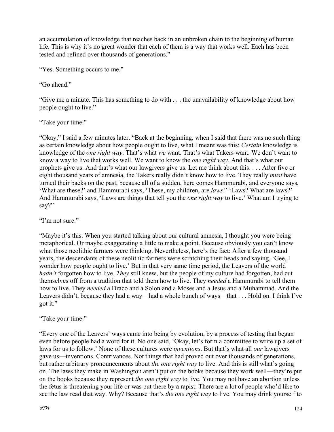an accumulation of knowledge that reaches back in an unbroken chain to the beginning of human life. This is why it's no great wonder that each of them is a way that works well. Each has been tested and refined over thousands of generations."

"Yes. Something occurs to me."

"Go ahead."

"Give me a minute. This has something to do with . . . the unavailability of knowledge about how people ought to live."

#### "Take your time."

"Okay," I said a few minutes later. "Back at the beginning, when I said that there was no such thing as certain knowledge about how people ought to live, what I meant was this: *Certain* knowledge is knowledge of the *one right way*. That's what *we* want. That's what Takers want. We don't want to know a way to live that works well. We want to know the *one right way*. And that's what our prophets give us. And that's what our lawgivers give us. Let me think about this. . . . After five or eight thousand years of amnesia, the Takers really didn't know how to live. They really *must* have turned their backs on the past, because all of a sudden, here comes Hammurabi, and everyone says, 'What are these?' and Hammurabi says, 'These, my children, are *laws*!' 'Laws? What are laws?' And Hammurabi says, 'Laws are things that tell you the *one right way* to live.' What am I trying to say?"

"I'm not sure."

"Maybe it's this. When you started talking about our cultural amnesia, I thought you were being metaphorical. Or maybe exaggerating a little to make a point. Because obviously you can't know what those neolithic farmers were thinking. Nevertheless, here's the fact: After a few thousand years, the descendants of these neolithic farmers were scratching their heads and saying, 'Gee, I wonder how people ought to live.' But in that very same time period, the Leavers of the world *hadn't* forgotten how to live. *They* still knew, but the people of my culture had forgotten, had cut themselves off from a tradition that told them how to live. They *needed* a Hammurabi to tell them how to live. They *needed* a Draco and a Solon and a Moses and a Jesus and a Muhammad. And the Leavers didn't, because they had a way—had a whole bunch of ways—that . . . Hold on. I think I've got it."

## "Take your time."

"Every one of the Leavers' ways came into being by evolution, by a process of testing that began even before people had a word for it. No one said, 'Okay, let's form a committee to write up a set of laws for us to follow.' None of these cultures were *inventions*. But that's what all *our* lawgivers gave us—inventions. Contrivances. Not things that had proved out over thousands of generations, but rather arbitrary pronouncements about *the one right way* to live. And this is still what's going on. The laws they make in Washington aren't put on the books because they work well—they're put on the books because they represent *the one right way* to live. You may not have an abortion unless the fetus is threatening your life or was put there by a rapist. There are a lot of people who'd like to see the law read that way. Why? Because that's *the one right way* to live. You may drink yourself to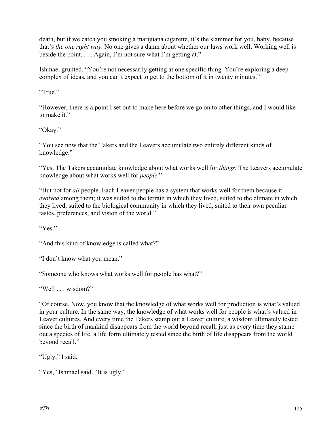death, but if we catch you smoking a marijuana cigarette, it's the slammer for you, baby, because that's *the one right way*. No one gives a damn about whether our laws work well. Working well is beside the point. . . . Again, I'm not sure what I'm getting at."

Ishmael grunted. "You're not necessarily getting at one specific thing. You're exploring a deep complex of ideas, and you can't expect to get to the bottom of it in twenty minutes."

"True."

"However, there is a point I set out to make here before we go on to other things, and I would like to make it."

"Okay."

"You see now that the Takers and the Leavers accumulate two entirely different kinds of knowledge."

"Yes. The Takers accumulate knowledge about what works well for *things*. The Leavers accumulate knowledge about what works well for *people*."

"But not for *all* people. Each Leaver people has a system that works well for them because it *evolved* among them; it was suited to the terrain in which they lived, suited to the climate in which they lived, suited to the biological community in which they lived, suited to their own peculiar tastes, preferences, and vision of the world."

"Yes."

"And this kind of knowledge is called what?"

"I don't know what you mean."

"Someone who knows what works well for people has what?"

"Well . . . wisdom?"

"Of course. Now, you know that the knowledge of what works well for production is what's valued in your culture. In the same way, the knowledge of what works well for people is what's valued in Leaver cultures. And every time the Takers stamp out a Leaver culture, a wisdom ultimately tested since the birth of mankind disappears from the world beyond recall, just as every time they stamp out a species of life, a life form ultimately tested since the birth of life disappears from the world beyond recall."

"Ugly," I said.

"Yes," Ishmael said. "It is ugly."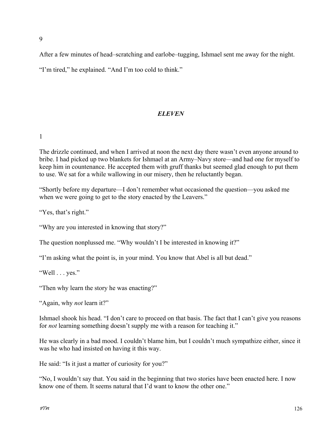9

After a few minutes of head–scratching and earlobe–tugging, Ishmael sent me away for the night.

"I'm tired," he explained. "And I'm too cold to think."

# *ELEVEN*

1

The drizzle continued, and when I arrived at noon the next day there wasn't even anyone around to bribe. I had picked up two blankets for Ishmael at an Army–Navy store—and had one for myself to keep him in countenance. He accepted them with gruff thanks but seemed glad enough to put them to use. We sat for a while wallowing in our misery, then he reluctantly began.

"Shortly before my departure—I don't remember what occasioned the question—you asked me when we were going to get to the story enacted by the Leavers."

"Yes, that's right."

"Why are you interested in knowing that story?"

The question nonplussed me. "Why wouldn't I be interested in knowing it?"

"I'm asking what the point is, in your mind. You know that Abel is all but dead."

"Well . . . yes."

"Then why learn the story he was enacting?"

"Again, why *not* learn it?"

Ishmael shook his head. "I don't care to proceed on that basis. The fact that I can't give you reasons for *not* learning something doesn't supply me with a reason for teaching it."

He was clearly in a bad mood. I couldn't blame him, but I couldn't much sympathize either, since it was he who had insisted on having it this way.

He said: "Is it just a matter of curiosity for you?"

"No, I wouldn't say that. You said in the beginning that two stories have been enacted here. I now know one of them. It seems natural that I'd want to know the other one."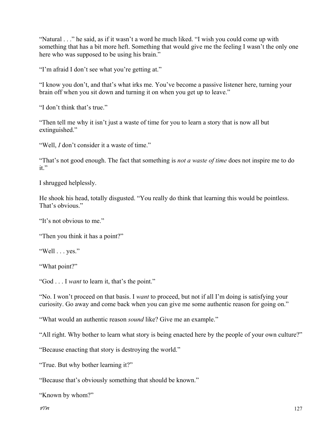"Natural . . ." he said, as if it wasn't a word he much liked. "I wish you could come up with something that has a bit more heft. Something that would give me the feeling I wasn't the only one here who was supposed to be using his brain."

"I'm afraid I don't see what you're getting at."

"I know you don't, and that's what irks me. You've become a passive listener here, turning your brain off when you sit down and turning it on when you get up to leave."

"I don't think that's true."

"Then tell me why it isn't just a waste of time for you to learn a story that is now all but extinguished."

"Well, *I* don't consider it a waste of time."

"That's not good enough. The fact that something is *not a waste of time* does not inspire me to do it."

I shrugged helplessly.

He shook his head, totally disgusted. "You really do think that learning this would be pointless. That's obvious."

"It's not obvious to me."

"Then you think it has a point?"

"Well . . . yes."

"What point?"

"God . . . I *want* to learn it, that's the point."

"No. I won't proceed on that basis. I *want* to proceed, but not if all I'm doing is satisfying your curiosity. Go away and come back when you can give me some authentic reason for going on."

"What would an authentic reason *sound* like? Give me an example."

"All right. Why bother to learn what story is being enacted here by the people of your own culture?"

"Because enacting that story is destroying the world."

"True. But why bother learning it?"

"Because that's obviously something that should be known."

"Known by whom?"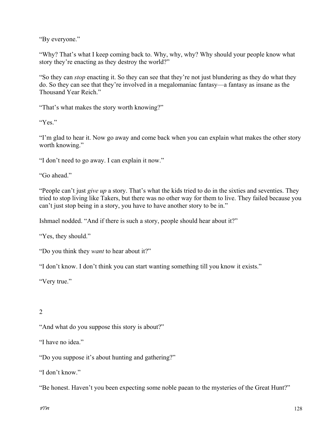"By everyone."

"Why? That's what I keep coming back to. Why, why, why? Why should your people know what story they're enacting as they destroy the world?"

"So they can *stop* enacting it. So they can see that they're not just blundering as they do what they do. So they can see that they're involved in a megalomaniac fantasy—a fantasy as insane as the Thousand Year Reich."

"That's what makes the story worth knowing?"

"Yes."

"I'm glad to hear it. Now go away and come back when you can explain what makes the other story worth knowing."

"I don't need to go away. I can explain it now."

"Go ahead"

"People can't just *give up* a story. That's what the kids tried to do in the sixties and seventies. They tried to stop living like Takers, but there was no other way for them to live. They failed because you can't just stop being in a story, you have to have another story to be in."

Ishmael nodded. "And if there is such a story, people should hear about it?"

"Yes, they should."

"Do you think they *want* to hear about it?"

"I don't know. I don't think you can start wanting something till you know it exists."

"Very true."

2

"And what do you suppose this story is about?"

"I have no idea."

"Do you suppose it's about hunting and gathering?"

"I don't know."

"Be honest. Haven't you been expecting some noble paean to the mysteries of the Great Hunt?"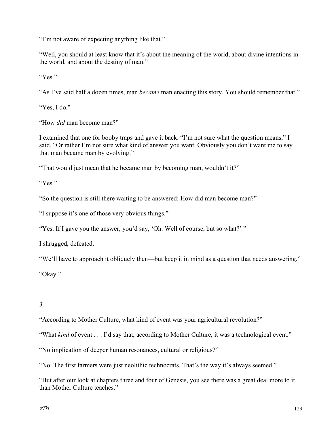"I'm not aware of expecting anything like that."

"Well, you should at least know that it's about the meaning of the world, about divine intentions in the world, and about the destiny of man."

"Yes"

"As I've said half a dozen times, man *became* man enacting this story. You should remember that."

"Yes, I do."

"How *did* man become man?"

I examined that one for booby traps and gave it back. "I'm not sure what the question means," I said. "Or rather I'm not sure what kind of answer you want. Obviously you don't want me to say that man became man by evolving."

"That would just mean that he became man by becoming man, wouldn't it?"

"Yes"

"So the question is still there waiting to be answered: How did man become man?"

"I suppose it's one of those very obvious things."

"Yes. If I gave you the answer, you'd say, 'Oh. Well of course, but so what?' "

I shrugged, defeated.

"We'll have to approach it obliquely then—but keep it in mind as a question that needs answering."

"Okay."

3

"According to Mother Culture, what kind of event was your agricultural revolution?"

"What *kind* of event . . . I'd say that, according to Mother Culture, it was a technological event."

"No implication of deeper human resonances, cultural or religious?"

"No. The first farmers were just neolithic technocrats. That's the way it's always seemed."

"But after our look at chapters three and four of Genesis, you see there was a great deal more to it than Mother Culture teaches."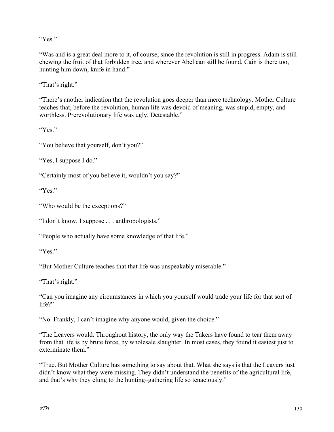"Yes."

"Was and is a great deal more to it, of course, since the revolution is still in progress. Adam is still chewing the fruit of that forbidden tree, and wherever Abel can still be found, Cain is there too, hunting him down, knife in hand."

"That's right."

"There's another indication that the revolution goes deeper than mere technology. Mother Culture teaches that, before the revolution, human life was devoid of meaning, was stupid, empty, and worthless. Prerevolutionary life was ugly. Detestable."

"Yes"

"You believe that yourself, don't you?"

"Yes, I suppose I do."

"Certainly most of you believe it, wouldn't you say?"

"Yes."

"Who would be the exceptions?"

"I don't know. I suppose . . . anthropologists."

"People who actually have some knowledge of that life."

"Yes."

"But Mother Culture teaches that that life was unspeakably miserable."

"That's right."

"Can you imagine any circumstances in which you yourself would trade your life for that sort of life?"

"No. Frankly, I can't imagine why anyone would, given the choice."

"The Leavers would. Throughout history, the only way the Takers have found to tear them away from that life is by brute force, by wholesale slaughter. In most cases, they found it easiest just to exterminate them."

"True. But Mother Culture has something to say about that. What she says is that the Leavers just didn't know what they were missing. They didn't understand the benefits of the agricultural life, and that's why they clung to the hunting–gathering life so tenaciously."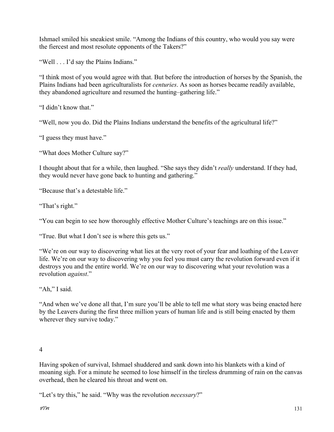Ishmael smiled his sneakiest smile. "Among the Indians of this country, who would you say were the fiercest and most resolute opponents of the Takers?"

"Well . . . I'd say the Plains Indians."

"I think most of you would agree with that. But before the introduction of horses by the Spanish, the Plains Indians had been agriculturalists for *centuries*. As soon as horses became readily available, they abandoned agriculture and resumed the hunting–gathering life."

"I didn't know that."

"Well, now you do. Did the Plains Indians understand the benefits of the agricultural life?"

"I guess they must have."

"What does Mother Culture say?"

I thought about that for a while, then laughed. "She says they didn't *really* understand. If they had, they would never have gone back to hunting and gathering."

"Because that's a detestable life."

"That's right."

"You can begin to see how thoroughly effective Mother Culture's teachings are on this issue."

"True. But what I don't see is where this gets us."

"We're on our way to discovering what lies at the very root of your fear and loathing of the Leaver life. We're on our way to discovering why you feel you must carry the revolution forward even if it destroys you and the entire world. We're on our way to discovering what your revolution was a revolution *against*."

"Ah," I said.

"And when we've done all that, I'm sure you'll be able to tell me what story was being enacted here by the Leavers during the first three million years of human life and is still being enacted by them wherever they survive today."

## 4

Having spoken of survival, Ishmael shuddered and sank down into his blankets with a kind of moaning sigh. For a minute he seemed to lose himself in the tireless drumming of rain on the canvas overhead, then he cleared his throat and went on.

"Let's try this," he said. "Why was the revolution *necessary*?"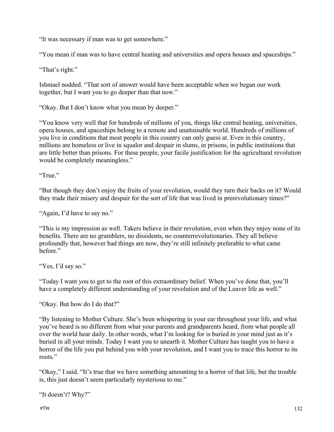"It was necessary if man was to get somewhere."

"You mean if man was to have central heating and universities and opera houses and spaceships."

"That's right."

Ishmael nodded. "That sort of answer would have been acceptable when we began our work together, but I want you to go deeper than that now."

"Okay. But I don't know what you mean by deeper."

"You know very well that for hundreds of millions of you, things like central heating, universities, opera houses, and spaceships belong to a remote and unattainable world. Hundreds of millions of you live in conditions that most people in this country can only guess at. Even in this country, millions are homeless or live in squalor and despair in slums, in prisons, in public institutions that are little better than prisons. For these people, your facile justification for the agricultural revolution would be completely meaningless."

"True."

"But though they don't enjoy the fruits of your revolution, would they turn their backs on it? Would they trade their misery and despair for the sort of life that was lived in prerevolutionary times?"

"Again, I'd have to say no."

"This is my impression as well. Takers believe in their revolution, even when they enjoy none of its benefits. There are no grumblers, no dissidents, no counterrevolutionaries. They all believe profoundly that, however bad things are now, they're still infinitely preferable to what came before."

"Yes, I'd say so."

"Today I want you to get to the root of this extraordinary belief. When you've done that, you'll have a completely different understanding of your revolution and of the Leaver life as well."

"Okay. But how do I do that?"

"By listening to Mother Culture. She's been whispering in your ear throughout your life, and what you've heard is no different from what your parents and grandparents heard, from what people all over the world hear daily. In other words, what I'm looking for is buried in your mind just as it's buried in all your minds. Today I want you to unearth it. Mother Culture has taught you to have a horror of the life you put behind you with your revolution, and I want you to trace this horror to its roots."

"Okay," I said. "It's true that we have something amounting to a horror of that life, but the trouble is, this just doesn't seem particularly mysterious to me."

```
"It doesn't? Why?"
```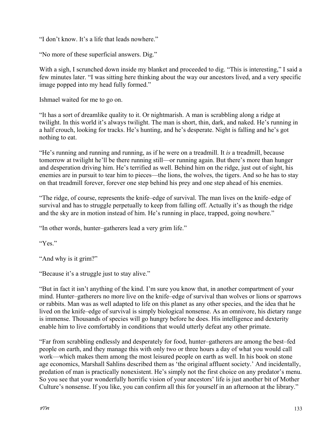"I don't know. It's a life that leads nowhere."

"No more of these superficial answers. Dig."

With a sigh, I scrunched down inside my blanket and proceeded to dig. "This is interesting," I said a few minutes later. "I was sitting here thinking about the way our ancestors lived, and a very specific image popped into my head fully formed."

Ishmael waited for me to go on.

"It has a sort of dreamlike quality to it. Or nightmarish. A man is scrabbling along a ridge at twilight. In this world it's always twilight. The man is short, thin, dark, and naked. He's running in a half crouch, looking for tracks. He's hunting, and he's desperate. Night is falling and he's got nothing to eat.

"He's running and running and running, as if he were on a treadmill. It *is* a treadmill, because tomorrow at twilight he'll be there running still—or running again. But there's more than hunger and desperation driving him. He's terrified as well. Behind him on the ridge, just out of sight, his enemies are in pursuit to tear him to pieces—the lions, the wolves, the tigers. And so he has to stay on that treadmill forever, forever one step behind his prey and one step ahead of his enemies.

"The ridge, of course, represents the knife–edge of survival. The man lives on the knife–edge of survival and has to struggle perpetually to keep from falling off. Actually it's as though the ridge and the sky are in motion instead of him. He's running in place, trapped, going nowhere."

"In other words, hunter–gatherers lead a very grim life."

"Yes."

"And why is it grim?"

"Because it's a struggle just to stay alive."

"But in fact it isn't anything of the kind. I'm sure you know that, in another compartment of your mind. Hunter–gatherers no more live on the knife–edge of survival than wolves or lions or sparrows or rabbits. Man was as well adapted to life on this planet as any other species, and the idea that he lived on the knife–edge of survival is simply biological nonsense. As an omnivore, his dietary range is immense. Thousands of species will go hungry before he does. His intelligence and dexterity enable him to live comfortably in conditions that would utterly defeat any other primate.

"Far from scrabbling endlessly and desperately for food, hunter–gatherers are among the best–fed people on earth, and they manage this with only two or three hours a day of what you would call work—which makes them among the most leisured people on earth as well. In his book on stone age economics, Marshall Sahlins described them as 'the original affluent society.' And incidentally, predation of man is practically nonexistent. He's simply not the first choice on any predator's menu. So you see that your wonderfully horrific vision of your ancestors' life is just another bit of Mother Culture's nonsense. If you like, you can confirm all this for yourself in an afternoon at the library."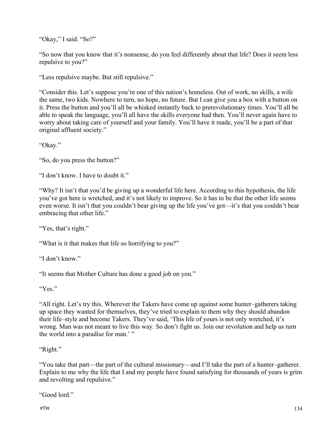"Okay," I said. "So?"

"So now that you know that it's nonsense, do you feel differently about that life? Does it seem less repulsive to you?"

"Less repulsive maybe. But still repulsive."

"Consider this. Let's suppose you're one of this nation's homeless. Out of work, no skills, a wife the same, two kids. Nowhere to turn, no hope, no future. But I can give you a box with a button on it. Press the button and you'll all be whisked instantly back to prerevolutionary times. You'll all be able to speak the language, you'll all have the skills everyone had then. You'll never again have to worry about taking care of yourself and your family. You'll have it made, you'll be a part of that original affluent society."

"Okay."

"So, do you press the button?"

"I don't know. I have to doubt it."

"Why? It isn't that you'd be giving up a wonderful life here. According to this hypothesis, the life you've got here is wretched, and it's not likely to improve. So it has to be that the other life seems even worse. It isn't that you couldn't bear giving up the life you've got—it's that you couldn't bear embracing that other life."

"Yes, that's right."

"What is it that makes that life so horrifying to you?"

"I don't know"

"It seems that Mother Culture has done a good job on you."

"Yes."

"All right. Let's try this. Wherever the Takers have come up against some hunter–gatherers taking up space they wanted for themselves, they've tried to explain to them why they should abandon their life–style and become Takers. They've said, 'This life of yours is not only wretched, it's wrong. Man was not meant to live this way. So don't fight us. Join our revolution and help us turn the world into a paradise for man.' "

"Right."

"You take that part—the part of the cultural missionary—and I'll take the part of a hunter–gatherer. Explain to me why the life that I and my people have found satisfying for thousands of years is grim and revolting and repulsive."

"Good lord"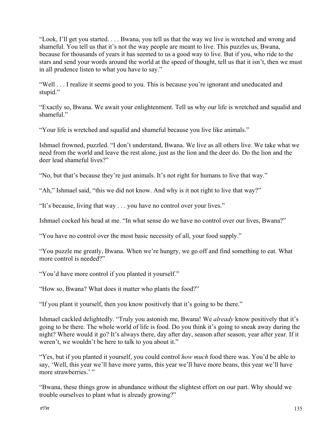"Look, I'll get you started. . . . Bwana, you tell us that the way we live is wretched and wrong and shameful. You tell us that it's not the way people are meant to live. This puzzles us, Bwana, because for thousands of years it has seemed to us a good way to live. But if you, who ride to the stars and send your words around the world at the speed of thought, tell us that it isn't, then we must in all prudence listen to what you have to say."

"Well . . . I realize it seems good to you. This is because you're ignorant and uneducated and stupid."

"Exactly so, Bwana. We await your enlightenment. Tell us why our life is wretched and squalid and shameful."

"Your life is wretched and squalid and shameful because you live like animals."

Ishmael frowned, puzzled. "I don't understand, Bwana. We live as all others live. We take what we need from the world and leave the rest alone, just as the lion and the deer do. Do the lion and the deer lead shameful lives?"

"No, but that's because they're just animals. It's not right for humans to live that way."

"Ah," Ishmael said, "this we did not know. And why is it not right to live that way?"

"It's because, living that way . . . you have no control over your lives."

Ishmael cocked his head at me. "In what sense do we have no control over our lives, Bwana?"

"You have no control over the most basic necessity of all, your food supply."

"You puzzle me greatly, Bwana. When we're hungry, we go off and find something to eat. What more control is needed?"

"You'd have more control if you planted it yourself."

"How so, Bwana? What does it matter who plants the food?"

"If you plant it yourself, then you know positively that it's going to be there."

Ishmael cackled delightedly. "Truly you astonish me, Bwana! We *already* know positively that it's going to be there. The whole world of life is food. Do you think it's going to sneak away during the night? Where would it go? It's always there, day after day, season after season, year after year. If it weren't, we wouldn't be here to talk to you about it."

"Yes, but if you planted it yourself, you could control *how much* food there was. You'd be able to say, 'Well, this year we'll have more yams, this year we'll have more beans, this year we'll have more strawberries.' "

"Bwana, these things grow in abundance without the slightest effort on our part. Why should we trouble ourselves to plant what is already growing?"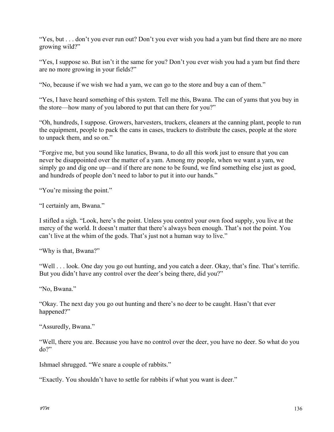"Yes, but . . . don't you ever run out? Don't you ever wish you had a yam but find there are no more growing wild?"

"Yes, I suppose so. But isn't it the same for you? Don't you ever wish you had a yam but find there are no more growing in your fields?"

"No, because if we wish we had a yam, we can go to the store and buy a can of them."

"Yes, I have heard something of this system. Tell me this, Bwana. The can of yams that you buy in the store—how many of you labored to put that can there for you?"

"Oh, hundreds, I suppose. Growers, harvesters, truckers, cleaners at the canning plant, people to run the equipment, people to pack the cans in cases, truckers to distribute the cases, people at the store to unpack them, and so on."

"Forgive me, but you sound like lunatics, Bwana, to do all this work just to ensure that you can never be disappointed over the matter of a yam. Among my people, when we want a yam, we simply go and dig one up—and if there are none to be found, we find something else just as good, and hundreds of people don't need to labor to put it into our hands."

"You're missing the point."

"I certainly am, Bwana."

I stifled a sigh. "Look, here's the point. Unless you control your own food supply, you live at the mercy of the world. It doesn't matter that there's always been enough. That's not the point. You can't live at the whim of the gods. That's just not a human way to live."

"Why is that, Bwana?"

"Well . . . look. One day you go out hunting, and you catch a deer. Okay, that's fine. That's terrific. But you didn't have any control over the deer's being there, did you?"

"No, Bwana."

"Okay. The next day you go out hunting and there's no deer to be caught. Hasn't that ever happened?"

"Assuredly, Bwana."

"Well, there you are. Because you have no control over the deer, you have no deer. So what do you do?"

Ishmael shrugged. "We snare a couple of rabbits."

"Exactly. You shouldn't have to settle for rabbits if what you want is deer."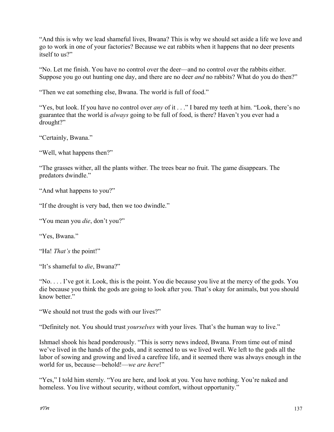"And this is why we lead shameful lives, Bwana? This is why we should set aside a life we love and go to work in one of your factories? Because we eat rabbits when it happens that no deer presents itself to us?"

"No. Let me finish. You have no control over the deer—and no control over the rabbits either. Suppose you go out hunting one day, and there are no deer *and* no rabbits? What do you do then?"

"Then we eat something else, Bwana. The world is full of food."

"Yes, but look. If you have no control over *any* of it . . ." I bared my teeth at him. "Look, there's no guarantee that the world is *always* going to be full of food, is there? Haven't you ever had a drought?"

"Certainly, Bwana."

"Well, what happens then?"

"The grasses wither, all the plants wither. The trees bear no fruit. The game disappears. The predators dwindle."

"And what happens to you?"

"If the drought is very bad, then we too dwindle."

"You mean you *die*, don't you?"

"Yes, Bwana."

"Ha! *That's* the point!"

"It's shameful to *die*, Bwana?"

"No. . . . I've got it. Look, this is the point. You die because you live at the mercy of the gods. You die because you think the gods are going to look after you. That's okay for animals, but you should know better."

"We should not trust the gods with our lives?"

"Definitely not. You should trust *yourselves* with your lives. That's the human way to live."

Ishmael shook his head ponderously. "This is sorry news indeed, Bwana. From time out of mind we've lived in the hands of the gods, and it seemed to us we lived well. We left to the gods all the labor of sowing and growing and lived a carefree life, and it seemed there was always enough in the world for us, because—behold!—*we are here*!"

"Yes," I told him sternly. "You are here, and look at you. You have nothing. You're naked and homeless. You live without security, without comfort, without opportunity."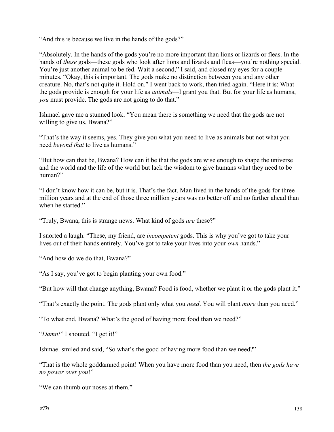"And this is because we live in the hands of the gods?"

"Absolutely. In the hands of the gods you're no more important than lions or lizards or fleas. In the hands of *these* gods—these gods who look after lions and lizards and fleas—you're nothing special. You're just another animal to be fed. Wait a second," I said, and closed my eyes for a couple minutes. "Okay, this is important. The gods make no distinction between you and any other creature. No, that's not quite it. Hold on." I went back to work, then tried again. "Here it is: What the gods provide is enough for your life as *animals*—I grant you that. But for your life as humans, *you* must provide. The gods are not going to do that."

Ishmael gave me a stunned look. "You mean there is something we need that the gods are not willing to give us, Bwana?"

"That's the way it seems, yes. They give you what you need to live as animals but not what you need *beyond that* to live as humans."

"But how can that be, Bwana? How can it be that the gods are wise enough to shape the universe and the world and the life of the world but lack the wisdom to give humans what they need to be human?"

"I don't know how it can be, but it is. That's the fact. Man lived in the hands of the gods for three million years and at the end of those three million years was no better off and no farther ahead than when he started."

"Truly, Bwana, this is strange news. What kind of gods *are* these?"

I snorted a laugh. "These, my friend, are *incompetent* gods. This is why you've got to take your lives out of their hands entirely. You've got to take your lives into your *own* hands."

"And how do we do that, Bwana?"

"As I say, you've got to begin planting your own food."

"But how will that change anything, Bwana? Food is food, whether we plant it or the gods plant it."

"That's exactly the point. The gods plant only what you *need*. You will plant *more* than you need."

"To what end, Bwana? What's the good of having more food than we need?"

"*Damn!*" I shouted. "I get it!"

Ishmael smiled and said, "So what's the good of having more food than we need?"

"That is the whole goddamned point! When you have more food than you need, then *the gods have no power over you*!"

"We can thumb our noses at them."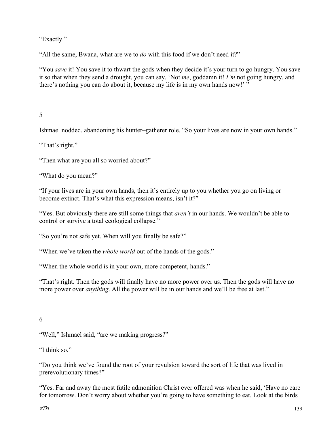"Exactly."

"All the same, Bwana, what are we to *do* with this food if we don't need it?"

"You *save* it! You save it to thwart the gods when they decide it's your turn to go hungry. You save it so that when they send a drought, you can say, 'Not *me*, goddamn it! *I'm* not going hungry, and there's nothing you can do about it, because my life is in my own hands now!"

# 5

Ishmael nodded, abandoning his hunter–gatherer role. "So your lives are now in your own hands."

"That's right."

"Then what are you all so worried about?"

"What do you mean?"

"If your lives are in your own hands, then it's entirely up to you whether you go on living or become extinct. That's what this expression means, isn't it?"

"Yes. But obviously there are still some things that *aren't* in our hands. We wouldn't be able to control or survive a total ecological collapse."

"So you're not safe yet. When will you finally be safe?"

"When we've taken the *whole world* out of the hands of the gods."

"When the whole world is in your own, more competent, hands."

"That's right. Then the gods will finally have no more power over us. Then the gods will have no more power over *anything*. All the power will be in our hands and we'll be free at last."

# 6

"Well," Ishmael said, "are we making progress?"

"I think so."

"Do you think we've found the root of your revulsion toward the sort of life that was lived in prerevolutionary times?"

"Yes. Far and away the most futile admonition Christ ever offered was when he said, 'Have no care for tomorrow. Don't worry about whether you're going to have something to eat. Look at the birds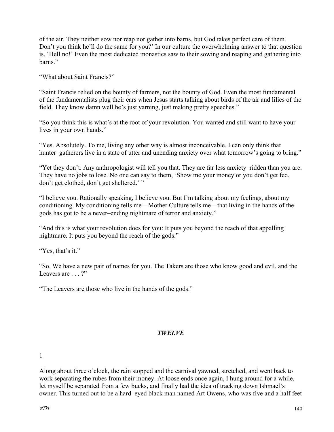of the air. They neither sow nor reap nor gather into barns, but God takes perfect care of them. Don't you think he'll do the same for you?' In our culture the overwhelming answer to that question is, 'Hell no!' Even the most dedicated monastics saw to their sowing and reaping and gathering into barns."

"What about Saint Francis?"

"Saint Francis relied on the bounty of farmers, not the bounty of God. Even the most fundamental of the fundamentalists plug their ears when Jesus starts talking about birds of the air and lilies of the field. They know damn well he's just yarning, just making pretty speeches."

"So you think this is what's at the root of your revolution. You wanted and still want to have your lives in your own hands."

"Yes. Absolutely. To me, living any other way is almost inconceivable. I can only think that hunter–gatherers live in a state of utter and unending anxiety over what tomorrow's going to bring."

"Yet they don't. Any anthropologist will tell you that. They are far less anxiety–ridden than you are. They have no jobs to lose. No one can say to them, 'Show me your money or you don't get fed, don't get clothed, don't get sheltered.' "

"I believe you. Rationally speaking, I believe you. But I'm talking about my feelings, about my conditioning. My conditioning tells me—Mother Culture tells me—that living in the hands of the gods has got to be a never–ending nightmare of terror and anxiety."

"And this is what your revolution does for you: It puts you beyond the reach of that appalling nightmare. It puts you beyond the reach of the gods."

"Yes, that's it."

"So. We have a new pair of names for you. The Takers are those who know good and evil, and the Leavers are . . . ?"

"The Leavers are those who live in the hands of the gods."

# *TWELVE*

1

Along about three o'clock, the rain stopped and the carnival yawned, stretched, and went back to work separating the rubes from their money. At loose ends once again, I hung around for a while, let myself be separated from a few bucks, and finally had the idea of tracking down Ishmael's owner. This turned out to be a hard–eyed black man named Art Owens, who was five and a half feet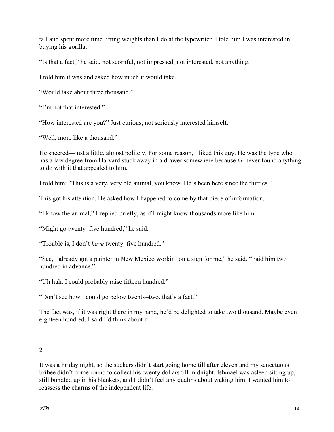tall and spent more time lifting weights than I do at the typewriter. I told him I was interested in buying his gorilla.

"Is that a fact," he said, not scornful, not impressed, not interested, not anything.

I told him it was and asked how much it would take.

"Would take about three thousand."

"I'm not that interested."

"How interested are you?" Just curious, not seriously interested himself.

"Well, more like a thousand."

He sneered—just a little, almost politely. For some reason, I liked this guy. He was the type who has a law degree from Harvard stuck away in a drawer somewhere because *he* never found anything to do with it that appealed to him.

I told him: "This is a very, very old animal, you know. He's been here since the thirties."

This got his attention. He asked how I happened to come by that piece of information.

"I know the animal," I replied briefly, as if I might know thousands more like him.

"Might go twenty–five hundred," he said.

"Trouble is, I don't *have* twenty–five hundred."

"See, I already got a painter in New Mexico workin' on a sign for me," he said. "Paid him two hundred in advance."

"Uh huh. I could probably raise fifteen hundred."

"Don't see how I could go below twenty–two, that's a fact."

The fact was, if it was right there in my hand, he'd be delighted to take two thousand. Maybe even eighteen hundred. I said I'd think about it.

# $\mathfrak{D}$

It was a Friday night, so the suckers didn't start going home till after eleven and my senectuous bribee didn't come round to collect his twenty dollars till midnight. Ishmael was asleep sitting up, still bundled up in his blankets, and I didn't feel any qualms about waking him; I wanted him to reassess the charms of the independent life.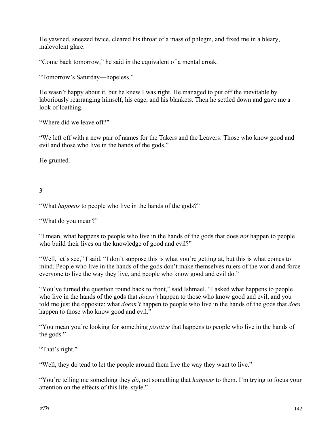He yawned, sneezed twice, cleared his throat of a mass of phlegm, and fixed me in a bleary, malevolent glare.

"Come back tomorrow," he said in the equivalent of a mental croak.

"Tomorrow's Saturday—hopeless."

He wasn't happy about it, but he knew I was right. He managed to put off the inevitable by laboriously rearranging himself, his cage, and his blankets. Then he settled down and gave me a look of loathing.

"Where did we leave off?"

"We left off with a new pair of names for the Takers and the Leavers: Those who know good and evil and those who live in the hands of the gods."

He grunted.

# 3

"What *happens* to people who live in the hands of the gods?"

"What do you mean?"

"I mean, what happens to people who live in the hands of the gods that does *not* happen to people who build their lives on the knowledge of good and evil?"

"Well, let's see," I said. "I don't suppose this is what you're getting at, but this is what comes to mind. People who live in the hands of the gods don't make themselves rulers of the world and force everyone to live the way they live, and people who know good and evil do."

"You've turned the question round back to front," said Ishmael. "I asked what happens to people who live in the hands of the gods that *doesn't* happen to those who know good and evil, and you told me just the opposite: what *doesn't* happen to people who live in the hands of the gods that *does* happen to those who know good and evil."

"You mean you're looking for something *positive* that happens to people who live in the hands of the gods."

"That's right."

"Well, they do tend to let the people around them live the way they want to live."

"You're telling me something they *do*, not something that *happens* to them. I'm trying to focus your attention on the effects of this life–style."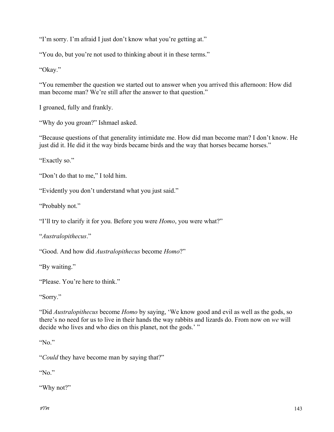"I'm sorry. I'm afraid I just don't know what you're getting at."

"You do, but you're not used to thinking about it in these terms."

"Okay."

"You remember the question we started out to answer when you arrived this afternoon: How did man become man? We're still after the answer to that question."

I groaned, fully and frankly.

"Why do you groan?" Ishmael asked.

"Because questions of that generality intimidate me. How did man become man? I don't know. He just did it. He did it the way birds became birds and the way that horses became horses."

"Exactly so."

"Don't do that to me," I told him.

"Evidently you don't understand what you just said."

"Probably not."

"I'll try to clarify it for you. Before you were *Homo*, you were what?"

"*Australopithecus*."

"Good. And how did *Australopithecus* become *Homo*?"

"By waiting."

"Please. You're here to think."

"Sorry."

"Did *Australopithecus* become *Homo* by saying, 'We know good and evil as well as the gods, so there's no need for us to live in their hands the way rabbits and lizards do. From now on *we* will decide who lives and who dies on this planet, not the gods.' "

"No."

"*Could* they have become man by saying that?"

"No."

"Why not?"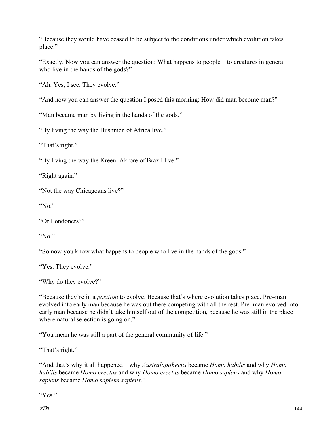"Because they would have ceased to be subject to the conditions under which evolution takes place."

"Exactly. Now you can answer the question: What happens to people—to creatures in general who live in the hands of the gods?"

"Ah. Yes, I see. They evolve."

"And now you can answer the question I posed this morning: How did man become man?"

"Man became man by living in the hands of the gods."

"By living the way the Bushmen of Africa live."

"That's right."

"By living the way the Kreen–Akrore of Brazil live."

"Right again."

"Not the way Chicagoans live?"

"No."

"Or Londoners?"

"No."

"So now you know what happens to people who live in the hands of the gods."

"Yes. They evolve."

"Why do they evolve?"

"Because they're in a *position* to evolve. Because that's where evolution takes place. Pre–man evolved into early man because he was out there competing with all the rest. Pre–man evolved into early man because he didn't take himself out of the competition, because he was still in the place where natural selection is going on."

"You mean he was still a part of the general community of life."

"That's right."

"And that's why it all happened—why *Australopithecus* became *Homo habilis* and why *Homo habilis* became *Homo erectus* and why *Homo erectus* became *Homo sapiens* and why *Homo sapiens* became *Homo sapiens sapiens*."

"Yes."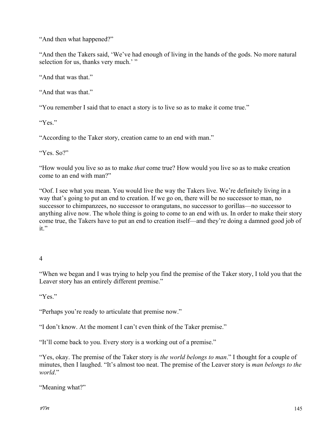"And then what happened?"

"And then the Takers said, 'We've had enough of living in the hands of the gods. No more natural selection for us, thanks very much.' "

"And that was that."

"And that was that."

"You remember I said that to enact a story is to live so as to make it come true."

"Yes"

"According to the Taker story, creation came to an end with man."

"Yes. So?"

"How would you live so as to make *that* come true? How would you live so as to make creation come to an end with man?"

"Oof. I see what you mean. You would live the way the Takers live. We're definitely living in a way that's going to put an end to creation. If we go on, there will be no successor to man, no successor to chimpanzees, no successor to orangutans, no successor to gorillas—no successor to anything alive now. The whole thing is going to come to an end with us. In order to make their story come true, the Takers have to put an end to creation itself—and they're doing a damned good job of it."

4

"When we began and I was trying to help you find the premise of the Taker story, I told you that the Leaver story has an entirely different premise."

"Yes"

"Perhaps you're ready to articulate that premise now."

"I don't know. At the moment I can't even think of the Taker premise."

"It'll come back to you. Every story is a working out of a premise."

"Yes, okay. The premise of the Taker story is *the world belongs to man*." I thought for a couple of minutes, then I laughed. "It's almost too neat. The premise of the Leaver story is *man belongs to the world*."

"Meaning what?"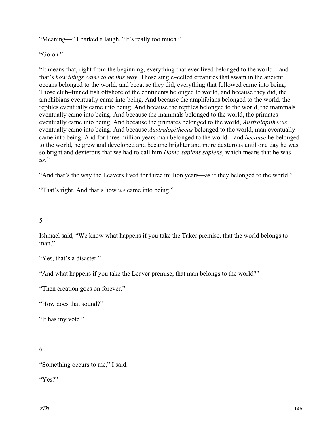"Meaning—" I barked a laugh. "It's really too much."

"Go on."

"It means that, right from the beginning, everything that ever lived belonged to the world—and that's *how things came to be this way*. Those single–celled creatures that swam in the ancient oceans belonged to the world, and because they did, everything that followed came into being. Those club–finned fish offshore of the continents belonged to world, and because they did, the amphibians eventually came into being. And because the amphibians belonged to the world, the reptiles eventually came into being. And because the reptiles belonged to the world, the mammals eventually came into being. And because the mammals belonged to the world, the primates eventually came into being. And because the primates belonged to the world, *Australopithecus* eventually came into being. And because *Australopithecus* belonged to the world, man eventually came into being. And for three million years man belonged to the world—and *because* he belonged to the world, he grew and developed and became brighter and more dexterous until one day he was so bright and dexterous that we had to call him *Homo sapiens sapiens*, which means that he was *us*."

"And that's the way the Leavers lived for three million years—as if they belonged to the world."

"That's right. And that's how *we* came into being."

5

Ishmael said, "We know what happens if you take the Taker premise, that the world belongs to man."

"Yes, that's a disaster."

"And what happens if you take the Leaver premise, that man belongs to the world?"

"Then creation goes on forever."

"How does that sound?"

"It has my vote."

"Something occurs to me," I said.

"Yes?"

<sup>6</sup>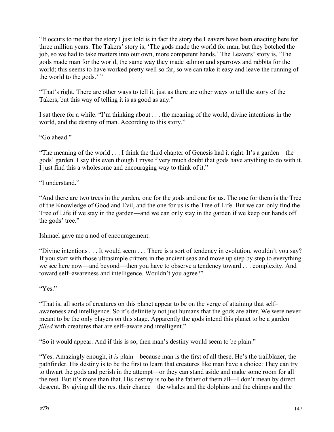"It occurs to me that the story I just told is in fact the story the Leavers have been enacting here for three million years. The Takers' story is, 'The gods made the world for man, but they botched the job, so we had to take matters into our own, more competent hands.' The Leavers' story is, 'The gods made man for the world, the same way they made salmon and sparrows and rabbits for the world; this seems to have worked pretty well so far, so we can take it easy and leave the running of the world to the gods.'"

"That's right. There are other ways to tell it, just as there are other ways to tell the story of the Takers, but this way of telling it is as good as any."

I sat there for a while. "I'm thinking about . . . the meaning of the world, divine intentions in the world, and the destiny of man. According to this story."

"Go ahead"

"The meaning of the world . . . I think the third chapter of Genesis had it right. It's a garden—the gods' garden. I say this even though I myself very much doubt that gods have anything to do with it. I just find this a wholesome and encouraging way to think of it."

"I understand."

"And there are two trees in the garden, one for the gods and one for us. The one for them is the Tree of the Knowledge of Good and Evil, and the one for us is the Tree of Life. But we can only find the Tree of Life if we stay in the garden—and we can only stay in the garden if we keep our hands off the gods' tree."

Ishmael gave me a nod of encouragement.

"Divine intentions . . . It would seem . . . There is a sort of tendency in evolution, wouldn't you say? If you start with those ultrasimple critters in the ancient seas and move up step by step to everything we see here now—and beyond—then you have to observe a tendency toward . . . complexity. And toward self–awareness and intelligence. Wouldn't you agree?"

"Yes."

"That is, all sorts of creatures on this planet appear to be on the verge of attaining that self– awareness and intelligence. So it's definitely not just humans that the gods are after. We were never meant to be the only players on this stage. Apparently the gods intend this planet to be a garden *filled* with creatures that are self–aware and intelligent."

"So it would appear. And if this is so, then man's destiny would seem to be plain."

"Yes. Amazingly enough, it *is* plain—because man is the first of all these. He's the trailblazer, the pathfinder. His destiny is to be the first to learn that creatures like man have a choice: They can try to thwart the gods and perish in the attempt—or they can stand aside and make some room for all the rest. But it's more than that. His destiny is to be the father of them all—I don't mean by direct descent. By giving all the rest their chance—the whales and the dolphins and the chimps and the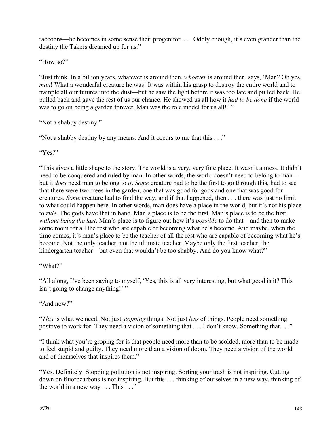raccoons—he becomes in some sense their progenitor. . . . Oddly enough, it's even grander than the destiny the Takers dreamed up for us."

"How so?"

"Just think. In a billion years, whatever is around then, *whoever* is around then, says, 'Man? Oh yes, *man*! What a wonderful creature he was! It was within his grasp to destroy the entire world and to trample all our futures into the dust—but he saw the light before it was too late and pulled back. He pulled back and gave the rest of us our chance. He showed us all how it *had to be done* if the world was to go on being a garden forever. Man was the role model for us all!' "

"Not a shabby destiny."

"Not a shabby destiny by any means. And it occurs to me that this . . ."

"Yes?"

"This gives a little shape to the story. The world is a very, very fine place. It wasn't a mess. It didn't need to be conquered and ruled by man. In other words, the world doesn't need to belong to man but it *does* need man to belong to *it*. *Some* creature had to be the first to go through this, had to see that there were two trees in the garden, one that was good for gods and one that was good for creatures. *Some* creature had to find the way, and if that happened, then . . . there was just no limit to what could happen here. In other words, man does have a place in the world, but it's not his place to *rule*. The gods have that in hand. Man's place is to be the first. Man's place is to be the first *without being the last*. Man's place is to figure out how it's *possible* to do that—and then to make some room for all the rest who are capable of becoming what he's become. And maybe, when the time comes, it's man's place to be the teacher of all the rest who are capable of becoming what he's become. Not the only teacher, not the ultimate teacher. Maybe only the first teacher, the kindergarten teacher—but even that wouldn't be too shabby. And do you know what?"

"What?"

"All along, I've been saying to myself, 'Yes, this is all very interesting, but what good is it? This isn't going to change anything!'"

"And now?"

"*This* is what we need. Not just *stopping* things. Not just *less* of things. People need something positive to work for. They need a vision of something that . . . I don't know. Something that . . ."

"I think what you're groping for is that people need more than to be scolded, more than to be made to feel stupid and guilty. They need more than a vision of doom. They need a vision of the world and of themselves that inspires them."

"Yes. Definitely. Stopping pollution is not inspiring. Sorting your trash is not inspiring. Cutting down on fluorocarbons is not inspiring. But this . . . thinking of ourselves in a new way, thinking of the world in a new way . . . This . . ."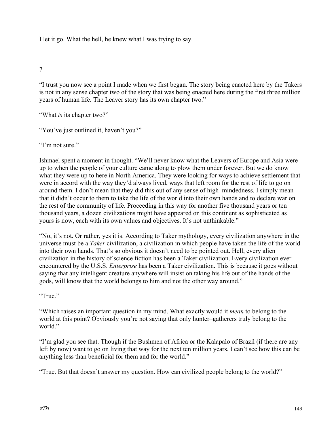I let it go. What the hell, he knew what I was trying to say.

7

"I trust you now see a point I made when we first began. The story being enacted here by the Takers is not in any sense chapter two of the story that was being enacted here during the first three million years of human life. The Leaver story has its own chapter two."

"What *is* its chapter two?"

"You've just outlined it, haven't you?"

"I'm not sure."

Ishmael spent a moment in thought. "We'll never know what the Leavers of Europe and Asia were up to when the people of your culture came along to plow them under forever. But we do know what they were up to here in North America. They were looking for ways to achieve settlement that were in accord with the way they'd always lived, ways that left room for the rest of life to go on around them. I don't mean that they did this out of any sense of high–mindedness. I simply mean that it didn't occur to them to take the life of the world into their own hands and to declare war on the rest of the community of life. Proceeding in this way for another five thousand years or ten thousand years, a dozen civilizations might have appeared on this continent as sophisticated as yours is now, each with its own values and objectives. It's not unthinkable."

"No, it's not. Or rather, yes it is. According to Taker mythology, every civilization anywhere in the universe must be a *Taker* civilization, a civilization in which people have taken the life of the world into their own hands. That's so obvious it doesn't need to be pointed out. Hell, every alien civilization in the history of science fiction has been a Taker civilization. Every civilization ever encountered by the U.S.S. *Enterprise* has been a Taker civilization. This is because it goes without saying that any intelligent creature anywhere will insist on taking his life out of the hands of the gods, will know that the world belongs to him and not the other way around."

"True"

"Which raises an important question in my mind. What exactly would it *mean* to belong to the world at this point? Obviously you're not saying that only hunter–gatherers truly belong to the world."

"I'm glad you see that. Though if the Bushmen of Africa or the Kalapalo of Brazil (if there are any left by now) want to go on living that way for the next ten million years, I can't see how this can be anything less than beneficial for them and for the world."

"True. But that doesn't answer my question. How can civilized people belong to the world?"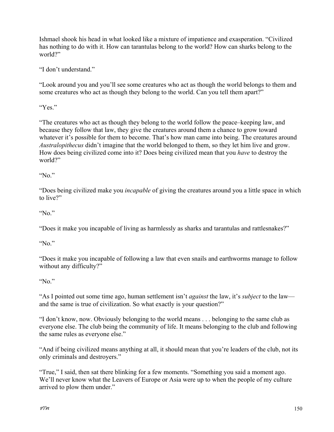Ishmael shook his head in what looked like a mixture of impatience and exasperation. "Civilized has nothing to do with it. How can tarantulas belong to the world? How can sharks belong to the world?"

"I don't understand."

"Look around you and you'll see some creatures who act as though the world belongs to them and some creatures who act as though they belong to the world. Can you tell them apart?"

"Yes."

"The creatures who act as though they belong to the world follow the peace–keeping law, and because they follow that law, they give the creatures around them a chance to grow toward whatever it's possible for them to become. That's how man came into being. The creatures around *Australopithecus* didn't imagine that the world belonged to them, so they let him live and grow. How does being civilized come into it? Does being civilized mean that you *have* to destroy the world?"

"No."

"Does being civilized make you *incapable* of giving the creatures around you a little space in which to live?"

"No."

"Does it make you incapable of living as harmlessly as sharks and tarantulas and rattlesnakes?"

"No."

"Does it make you incapable of following a law that even snails and earthworms manage to follow without any difficulty?"

"No."

"As I pointed out some time ago, human settlement isn't *against* the law, it's *subject* to the law and the same is true of civilization. So what exactly is your question?"

"I don't know, now. Obviously belonging to the world means . . . belonging to the same club as everyone else. The club being the community of life. It means belonging to the club and following the same rules as everyone else."

"And if being civilized means anything at all, it should mean that you're leaders of the club, not its only criminals and destroyers."

"True," I said, then sat there blinking for a few moments. "Something you said a moment ago. We'll never know what the Leavers of Europe or Asia were up to when the people of my culture arrived to plow them under."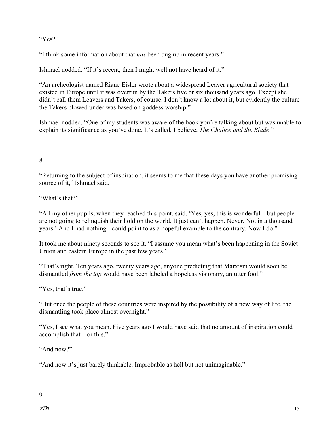"Yes?"

"I think some information about that *has* been dug up in recent years."

Ishmael nodded. "If it's recent, then I might well not have heard of it."

"An archeologist named Riane Eisler wrote about a widespread Leaver agricultural society that existed in Europe until it was overrun by the Takers five or six thousand years ago. Except she didn't call them Leavers and Takers, of course. I don't know a lot about it, but evidently the culture the Takers plowed under was based on goddess worship."

Ishmael nodded. "One of my students was aware of the book you're talking about but was unable to explain its significance as you've done. It's called, I believe, *The Chalice and the Blade*."

### 8

"Returning to the subject of inspiration, it seems to me that these days you have another promising source of it," Ishmael said.

"What's that?"

"All my other pupils, when they reached this point, said, 'Yes, yes, this is wonderful—but people are not going to relinquish their hold on the world. It just can't happen. Never. Not in a thousand years.' And I had nothing I could point to as a hopeful example to the contrary. Now I do."

It took me about ninety seconds to see it. "I assume you mean what's been happening in the Soviet Union and eastern Europe in the past few years."

"That's right. Ten years ago, twenty years ago, anyone predicting that Marxism would soon be dismantled *from the top* would have been labeled a hopeless visionary, an utter fool."

"Yes, that's true."

"But once the people of these countries were inspired by the possibility of a new way of life, the dismantling took place almost overnight."

"Yes, I see what you mean. Five years ago I would have said that no amount of inspiration could accomplish that—or this."

"And now?"

"And now it's just barely thinkable. Improbable as hell but not unimaginable."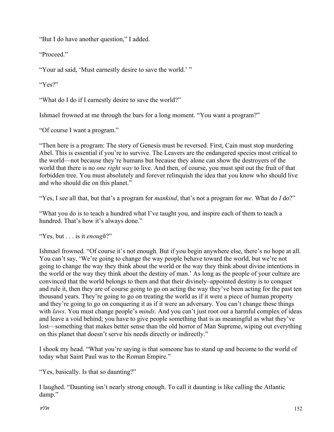"But I do have another question," I added.

"Proceed"

"Your ad said, 'Must earnestly desire to save the world.' "

"Yes?"

"What do I do if I earnestly desire to save the world?"

Ishmael frowned at me through the bars for a long moment. "You want a program?"

"Of course I want a program."

"Then here is a program: The story of Genesis must be reversed. First, Cain must stop murdering Abel. This is essential if you're to survive. The Leavers are the endangered species most critical to the world—not because they're humans but because they alone can show the destroyers of the world that there is no *one right way* to live. And then, of course, you must spit out the fruit of that forbidden tree. You must absolutely and forever relinquish the idea that you know who should live and who should die on this planet."

"Yes, I see all that, but that's a program for *mankind*, that's not a program for *me*. What do *I* do?"

"What you do is to teach a hundred what I've taught you, and inspire each of them to teach a hundred. That's how it's always done."

"Yes, but . . . is it *enough*?"

Ishmael frowned. "Of course it's not enough. But if you begin anywhere else, there's no hope at all. You can't say, 'We're going to change the way people behave toward the world, but we're not going to change the way they think about the world or the way they think about divine intentions in the world or the way they think about the destiny of man.' As long as the people of your culture are convinced that the world belongs to them and that their divinely–appointed destiny is to conquer and rule it, then they are of course going to go on acting the way they've been acting for the past ten thousand years. They're going to go on treating the world as if it were a piece of human property and they're going to go on conquering it as if it were an adversary. You can't change these things with *laws*. You must change people's *minds*. And you can't just root out a harmful complex of ideas and leave a void behind; you have to give people something that is as meaningful as what they've lost—something that makes better sense than the old horror of Man Supreme, wiping out everything on this planet that doesn't serve his needs directly or indirectly."

I shook my head. "What you're saying is that someone has to stand up and become to the world of today what Saint Paul was to the Roman Empire."

"Yes, basically. Is that so daunting?"

I laughed. "Daunting isn't nearly strong enough. To call it daunting is like calling the Atlantic damp."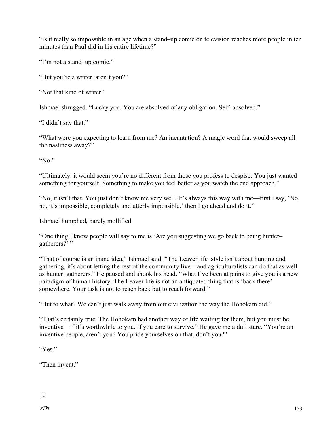"Is it really so impossible in an age when a stand–up comic on television reaches more people in ten minutes than Paul did in his entire lifetime?"

"I'm not a stand–up comic."

"But you're a writer, aren't you?"

"Not that kind of writer."

Ishmael shrugged. "Lucky you. You are absolved of any obligation. Self–absolved."

"I didn't say that."

"What were you expecting to learn from me? An incantation? A magic word that would sweep all the nastiness away?"

" $No$ "

"Ultimately, it would seem you're no different from those you profess to despise: You just wanted something for yourself. Something to make you feel better as you watch the end approach."

"No, it isn't that. You just don't know me very well. It's always this way with me—first I say, 'No, no, it's impossible, completely and utterly impossible,' then I go ahead and do it."

Ishmael humphed, barely mollified.

"One thing I know people will say to me is 'Are you suggesting we go back to being hunter– gatherers?"

"That of course is an inane idea," Ishmael said. "The Leaver life–style isn't about hunting and gathering, it's about letting the rest of the community live—and agriculturalists can do that as well as hunter–gatherers." He paused and shook his head. "What I've been at pains to give you is a new paradigm of human history. The Leaver life is not an antiquated thing that is 'back there' somewhere. Your task is not to reach back but to reach forward."

"But to what? We can't just walk away from our civilization the way the Hohokam did."

"That's certainly true. The Hohokam had another way of life waiting for them, but you must be inventive—if it's worthwhile to you. If you care to survive." He gave me a dull stare. "You're an inventive people, aren't you? You pride yourselves on that, don't you?"

"Yes."

"Then invent"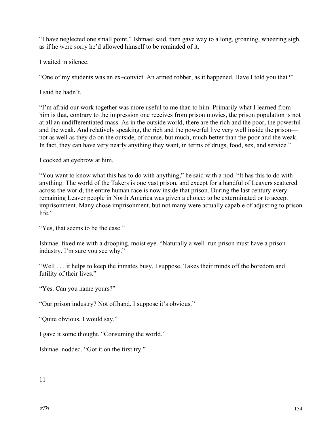"I have neglected one small point," Ishmael said, then gave way to a long, groaning, wheezing sigh, as if he were sorry he'd allowed himself to be reminded of it.

I waited in silence.

"One of my students was an ex–convict. An armed robber, as it happened. Have I told you that?"

I said he hadn't.

"I'm afraid our work together was more useful to me than to him. Primarily what I learned from him is that, contrary to the impression one receives from prison movies, the prison population is not at all an undifferentiated mass. As in the outside world, there are the rich and the poor, the powerful and the weak. And relatively speaking, the rich and the powerful live very well inside the prison not as well as they do on the outside, of course, but much, much better than the poor and the weak. In fact, they can have very nearly anything they want, in terms of drugs, food, sex, and service."

I cocked an eyebrow at him.

"You want to know what this has to do with anything," he said with a nod. "It has this to do with anything: The world of the Takers is one vast prison, and except for a handful of Leavers scattered across the world, the entire human race is now inside that prison. During the last century every remaining Leaver people in North America was given a choice: to be exterminated or to accept imprisonment. Many chose imprisonment, but not many were actually capable of adjusting to prison life."

"Yes, that seems to be the case."

Ishmael fixed me with a drooping, moist eye. "Naturally a well–run prison must have a prison industry. I'm sure you see why."

"Well . . . it helps to keep the inmates busy, I suppose. Takes their minds off the boredom and futility of their lives."

"Yes. Can you name yours?"

"Our prison industry? Not offhand. I suppose it's obvious."

"Quite obvious, I would say."

I gave it some thought. "Consuming the world."

Ishmael nodded. "Got it on the first try."

11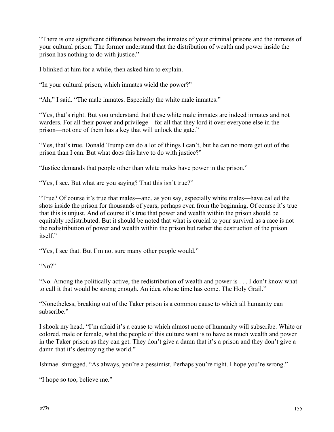"There is one significant difference between the inmates of your criminal prisons and the inmates of your cultural prison: The former understand that the distribution of wealth and power inside the prison has nothing to do with justice."

I blinked at him for a while, then asked him to explain.

"In your cultural prison, which inmates wield the power?"

"Ah," I said. "The male inmates. Especially the white male inmates."

"Yes, that's right. But you understand that these white male inmates are indeed inmates and not warders. For all their power and privilege—for all that they lord it over everyone else in the prison—not one of them has a key that will unlock the gate."

"Yes, that's true. Donald Trump can do a lot of things I can't, but he can no more get out of the prison than I can. But what does this have to do with justice?"

"Justice demands that people other than white males have power in the prison."

"Yes, I see. But what are you saying? That this isn't true?"

"True? Of course it's true that males—and, as you say, especially white males—have called the shots inside the prison for thousands of years, perhaps even from the beginning. Of course it's true that this is unjust. And of course it's true that power and wealth within the prison should be equitably redistributed. But it should be noted that what is crucial to your survival as a race is not the redistribution of power and wealth within the prison but rather the destruction of the prison itself."

"Yes, I see that. But I'm not sure many other people would."

"No?"

"No. Among the politically active, the redistribution of wealth and power is . . . I don't know what to call it that would be strong enough. An idea whose time has come. The Holy Grail."

"Nonetheless, breaking out of the Taker prison is a common cause to which all humanity can subscribe."

I shook my head. "I'm afraid it's a cause to which almost none of humanity will subscribe. White or colored, male or female, what the people of this culture want is to have as much wealth and power in the Taker prison as they can get. They don't give a damn that it's a prison and they don't give a damn that it's destroying the world."

Ishmael shrugged. "As always, you're a pessimist. Perhaps you're right. I hope you're wrong."

"I hope so too, believe me."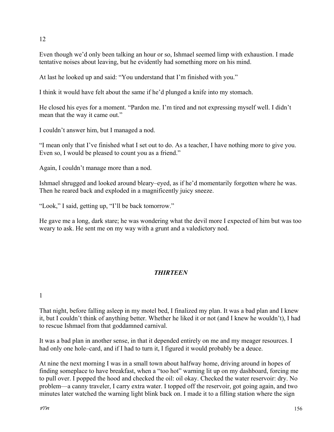12

Even though we'd only been talking an hour or so, Ishmael seemed limp with exhaustion. I made tentative noises about leaving, but he evidently had something more on his mind.

At last he looked up and said: "You understand that I'm finished with you."

I think it would have felt about the same if he'd plunged a knife into my stomach.

He closed his eyes for a moment. "Pardon me. I'm tired and not expressing myself well. I didn't mean that the way it came out."

I couldn't answer him, but I managed a nod.

"I mean only that I've finished what I set out to do. As a teacher, I have nothing more to give you. Even so, I would be pleased to count you as a friend."

Again, I couldn't manage more than a nod.

Ishmael shrugged and looked around bleary–eyed, as if he'd momentarily forgotten where he was. Then he reared back and exploded in a magnificently juicy sneeze.

"Look," I said, getting up, "I'll be back tomorrow."

He gave me a long, dark stare; he was wondering what the devil more I expected of him but was too weary to ask. He sent me on my way with a grunt and a valedictory nod.

# *THIRTEEN*

1

That night, before falling asleep in my motel bed, I finalized my plan. It was a bad plan and I knew it, but I couldn't think of anything better. Whether he liked it or not (and I knew he wouldn't), I had to rescue Ishmael from that goddamned carnival.

It was a bad plan in another sense, in that it depended entirely on me and my meager resources. I had only one hole–card, and if I had to turn it, I figured it would probably be a deuce.

At nine the next morning I was in a small town about halfway home, driving around in hopes of finding someplace to have breakfast, when a "too hot" warning lit up on my dashboard, forcing me to pull over. I popped the hood and checked the oil: oil okay. Checked the water reservoir: dry. No problem—a canny traveler, I carry extra water. I topped off the reservoir, got going again, and two minutes later watched the warning light blink back on. I made it to a filling station where the sign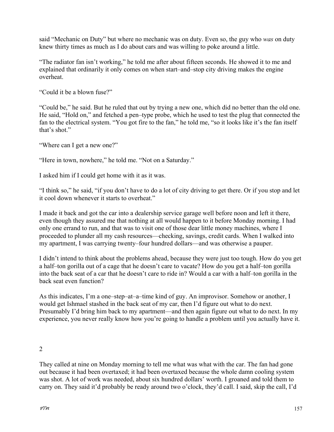said "Mechanic on Duty" but where no mechanic was on duty. Even so, the guy who *was* on duty knew thirty times as much as I do about cars and was willing to poke around a little.

"The radiator fan isn't working," he told me after about fifteen seconds. He showed it to me and explained that ordinarily it only comes on when start–and–stop city driving makes the engine overheat.

"Could it be a blown fuse?"

"Could be," he said. But he ruled that out by trying a new one, which did no better than the old one. He said, "Hold on," and fetched a pen–type probe, which he used to test the plug that connected the fan to the electrical system. "You got fire to the fan," he told me, "so it looks like it's the fan itself that's shot."

"Where can I get a new one?"

"Here in town, nowhere," he told me. "Not on a Saturday."

I asked him if I could get home with it as it was.

"I think so," he said, "if you don't have to do a lot of city driving to get there. Or if you stop and let it cool down whenever it starts to overheat."

I made it back and got the car into a dealership service garage well before noon and left it there, even though they assured me that nothing at all would happen to it before Monday morning. I had only one errand to run, and that was to visit one of those dear little money machines, where I proceeded to plunder all my cash resources—checking, savings, credit cards. When I walked into my apartment, I was carrying twenty–four hundred dollars—and was otherwise a pauper.

I didn't intend to think about the problems ahead, because they were just too tough. How do you get a half–ton gorilla out of a cage that he doesn't care to vacate? How do you get a half–ton gorilla into the back seat of a car that he doesn't care to ride in? Would a car with a half–ton gorilla in the back seat even function?

As this indicates, I'm a one–step–at–a–time kind of guy. An improvisor. Somehow or another, I would get Ishmael stashed in the back seat of my car, then I'd figure out what to do next. Presumably I'd bring him back to my apartment—and then again figure out what to do next. In my experience, you never really know how you're going to handle a problem until you actually have it.

2

They called at nine on Monday morning to tell me what was what with the car. The fan had gone out because it had been overtaxed; it had been overtaxed because the whole damn cooling system was shot. A lot of work was needed, about six hundred dollars' worth. I groaned and told them to carry on. They said it'd probably be ready around two o'clock, they'd call. I said, skip the call, I'd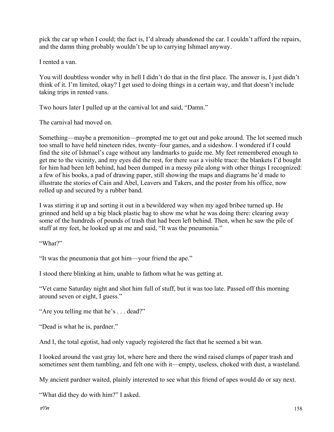pick the car up when I could; the fact is, I'd already abandoned the car. I couldn't afford the repairs, and the damn thing probably wouldn't be up to carrying Ishmael anyway.

I rented a van.

You will doubtless wonder why in hell I didn't do that in the first place. The answer is, I just didn't think of it. I'm limited, okay? I get used to doing things in a certain way, and that doesn't include taking trips in rented vans.

Two hours later I pulled up at the carnival lot and said, "Damn."

The carnival had moved on.

Something—maybe a premonition—prompted me to get out and poke around. The lot seemed much too small to have held nineteen rides, twenty–four games, and a sideshow. I wondered if I could find the site of Ishmael's cage without any landmarks to guide me. My feet remembered enough to get me to the vicinity, and my eyes did the rest, for there *was* a visible trace: the blankets I'd bought for him had been left behind, had been dumped in a messy pile along with other things I recognized: a few of his books, a pad of drawing paper, still showing the maps and diagrams he'd made to illustrate the stories of Cain and Abel, Leavers and Takers, and the poster from his office, now rolled up and secured by a rubber band.

I was stirring it up and sorting it out in a bewildered way when my aged bribee turned up. He grinned and held up a big black plastic bag to show me what he was doing there: clearing away some of the hundreds of pounds of trash that had been left behind. Then, when he saw the pile of stuff at my feet, he looked up at me and said, "It was the pneumonia."

"What?"

"It was the pneumonia that got him—your friend the ape."

I stood there blinking at him, unable to fathom what he was getting at.

"Vet came Saturday night and shot him full of stuff, but it was too late. Passed off this morning around seven or eight, I guess."

"Are you telling me that he's . . . dead?"

"Dead is what he is, pardner."

And I, the total egotist, had only vaguely registered the fact that he seemed a bit wan.

I looked around the vast gray lot, where here and there the wind raised clumps of paper trash and sometimes sent them tumbling, and felt one with it—empty, useless, choked with dust, a wasteland.

My ancient pardner waited, plainly interested to see what this friend of apes would do or say next.

"What did they do with him?" I asked.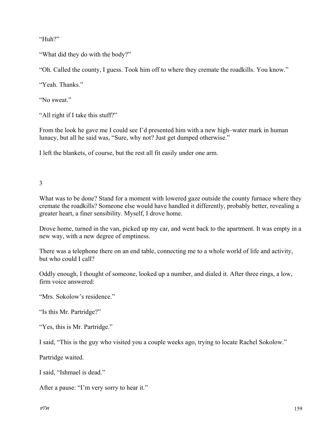"Huh?"

"What did they do with the body?"

"Oh. Called the county, I guess. Took him off to where they cremate the roadkills. You know."

"Yeah. Thanks."

"No sweat"

"All right if I take this stuff?"

From the look he gave me I could see I'd presented him with a new high–water mark in human lunacy, but all he said was, "Sure, why not? Just get dumped otherwise."

I left the blankets, of course, but the rest all fit easily under one arm.

# 3

What was to be done? Stand for a moment with lowered gaze outside the county furnace where they cremate the roadkills? Someone else would have handled it differently, probably better, revealing a greater heart, a finer sensibility. Myself, I drove home.

Drove home, turned in the van, picked up my car, and went back to the apartment. It was empty in a new way, with a new degree of emptiness.

There was a telephone there on an end table, connecting me to a whole world of life and activity, but who could I call?

Oddly enough, I thought of someone, looked up a number, and dialed it. After three rings, a low, firm voice answered:

"Mrs. Sokolow's residence."

"Is this Mr. Partridge?"

"Yes, this is Mr. Partridge."

I said, "This is the guy who visited you a couple weeks ago, trying to locate Rachel Sokolow."

Partridge waited.

I said, "Ishmael is dead."

After a pause: "I'm very sorry to hear it."